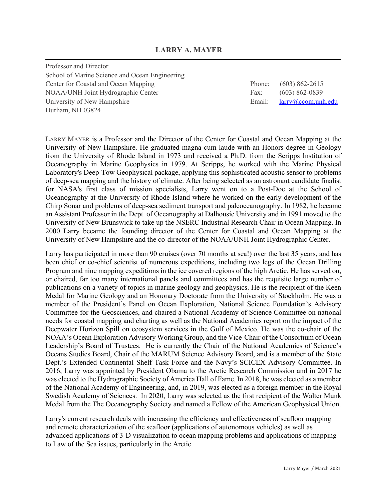## **LARRY A. MAYER**

Professor and Director School of Marine Science and Ocean Engineering Center for Coastal and Ocean Mapping NOAA/UNH Joint Hydrographic Center University of New Hampshire Durham, NH 03824

| Phone: | $(603) 862 - 2615$     |
|--------|------------------------|
| Fax:   | $(603) 862 - 0839$     |
| Email: | $larrow@ccom.$ unh.edu |

LARRY MAYER is a Professor and the Director of the Center for Coastal and Ocean Mapping at the University of New Hampshire. He graduated magna cum laude with an Honors degree in Geology from the University of Rhode Island in 1973 and received a Ph.D. from the Scripps Institution of Oceanography in Marine Geophysics in 1979. At Scripps, he worked with the Marine Physical Laboratory's Deep-Tow Geophysical package, applying this sophisticated acoustic sensor to problems of deep-sea mapping and the history of climate. After being selected as an astronaut candidate finalist for NASA's first class of mission specialists, Larry went on to a Post-Doc at the School of Oceanography at the University of Rhode Island where he worked on the early development of the Chirp Sonar and problems of deep-sea sediment transport and paleoceanography. In 1982, he became an Assistant Professor in the Dept. of Oceanography at Dalhousie University and in 1991 moved to the University of New Brunswick to take up the NSERC Industrial Research Chair in Ocean Mapping. In 2000 Larry became the founding director of the Center for Coastal and Ocean Mapping at the University of New Hampshire and the co-director of the NOAA/UNH Joint Hydrographic Center.

Larry has participated in more than 90 cruises (over 70 months at sea!) over the last 35 years, and has been chief or co-chief scientist of numerous expeditions, including two legs of the Ocean Drilling Program and nine mapping expeditions in the ice covered regions of the high Arctic. He has served on, or chaired, far too many international panels and committees and has the requisite large number of publications on a variety of topics in marine geology and geophysics. He is the recipient of the Keen Medal for Marine Geology and an Honorary Doctorate from the University of Stockholm. He was a member of the President's Panel on Ocean Exploration, National Science Foundation's Advisory Committee for the Geosciences, and chaired a National Academy of Science Committee on national needs for coastal mapping and charting as well as the National Academies report on the impact of the Deepwater Horizon Spill on ecosystem services in the Gulf of Mexico. He was the co-chair of the NOAA's Ocean Exploration Advisory Working Group, and the Vice-Chair of the Consortium of Ocean Leadership's Board of Trustees. He is currently the Chair of the National Academies of Science's Oceans Studies Board, Chair of the MARUM Science Advisory Board, and is a member of the State Dept.'s Extended Continental Shelf Task Force and the Navy's SCICEX Advisory Committee. In 2016, Larry was appointed by President Obama to the Arctic Research Commission and in 2017 he was elected to the Hydrographic Society of America Hall of Fame. In 2018, he was elected as a member of the National Academy of Engineering, and, in 2019, was elected as a foreign member in the Royal Swedish Academy of Sciences. In 2020, Larry was selected as the first recipient of the Walter Munk Medal from the The Oceanography Society and named a Fellow of the American Geophysical Union.

Larry's current research deals with increasing the efficiency and effectiveness of seafloor mapping and remote characterization of the seafloor (applications of autonomous vehicles) as well as advanced applications of 3-D visualization to ocean mapping problems and applications of mapping to Law of the Sea issues, particularly in the Arctic.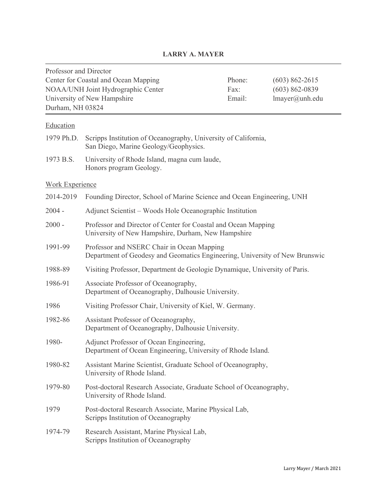# **LARRY A. MAYER**

| Professor and Director                                  |                                                                                                                           |        |                    |  |
|---------------------------------------------------------|---------------------------------------------------------------------------------------------------------------------------|--------|--------------------|--|
| Center for Coastal and Ocean Mapping                    |                                                                                                                           | Phone: | $(603)$ 862-2615   |  |
| NOAA/UNH Joint Hydrographic Center                      |                                                                                                                           | Fax:   | $(603) 862 - 0839$ |  |
| University of New Hampshire<br>Email:<br>lmayer@unh.edu |                                                                                                                           |        |                    |  |
| Durham, NH 03824                                        |                                                                                                                           |        |                    |  |
| Education                                               |                                                                                                                           |        |                    |  |
|                                                         | 1979 Ph.D. Scripps Institution of Oceanography, University of California,<br>San Diego, Marine Geology/Geophysics.        |        |                    |  |
| 1973 B.S.                                               | University of Rhode Island, magna cum laude,<br>Honors program Geology.                                                   |        |                    |  |
| <b>Work Experience</b>                                  |                                                                                                                           |        |                    |  |
| 2014-2019                                               | Founding Director, School of Marine Science and Ocean Engineering, UNH                                                    |        |                    |  |
| $2004 -$                                                | Adjunct Scientist – Woods Hole Oceanographic Institution                                                                  |        |                    |  |
| $2000 -$                                                | Professor and Director of Center for Coastal and Ocean Mapping<br>University of New Hampshire, Durham, New Hampshire      |        |                    |  |
| 1991-99                                                 | Professor and NSERC Chair in Ocean Mapping<br>Department of Geodesy and Geomatics Engineering, University of New Brunswic |        |                    |  |
| 1988-89                                                 | Visiting Professor, Department de Geologie Dynamique, University of Paris.                                                |        |                    |  |
| 1986-91                                                 | Associate Professor of Oceanography,<br>Department of Oceanography, Dalhousie University.                                 |        |                    |  |
| 1986                                                    | Visiting Professor Chair, University of Kiel, W. Germany.                                                                 |        |                    |  |
| 1982-86                                                 | Assistant Professor of Oceanography,<br>Department of Oceanography, Dalhousie University.                                 |        |                    |  |
| 1980-                                                   | Adjunct Professor of Ocean Engineering,<br>Department of Ocean Engineering, University of Rhode Island.                   |        |                    |  |
| 1980-82                                                 | Assistant Marine Scientist, Graduate School of Oceanography,<br>University of Rhode Island.                               |        |                    |  |
| 1979-80                                                 | Post-doctoral Research Associate, Graduate School of Oceanography,<br>University of Rhode Island.                         |        |                    |  |
| 1979                                                    | Post-doctoral Research Associate, Marine Physical Lab,<br>Scripps Institution of Oceanography                             |        |                    |  |
| 1974-79                                                 | Research Assistant, Marine Physical Lab,<br>Scripps Institution of Oceanography                                           |        |                    |  |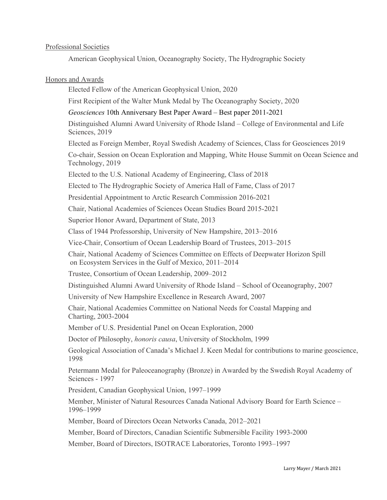## Professional Societies

American Geophysical Union, Oceanography Society, The Hydrographic Society

## Honors and Awards

Elected Fellow of the American Geophysical Union, 2020

First Recipient of the Walter Munk Medal by The Oceanography Society, 2020

*Geosciences* 10th Anniversary Best Paper Award – Best paper 2011-2021

Distinguished Alumni Award University of Rhode Island – College of Environmental and Life Sciences, 2019

Elected as Foreign Member, Royal Swedish Academy of Sciences, Class for Geosciences 2019

Co-chair, Session on Ocean Exploration and Mapping, White House Summit on Ocean Science and Technology, 2019

Elected to the U.S. National Academy of Engineering, Class of 2018

Elected to The Hydrographic Society of America Hall of Fame, Class of 2017

Presidential Appointment to Arctic Research Commission 2016-2021

Chair, National Academies of Sciences Ocean Studies Board 2015-2021

Superior Honor Award, Department of State, 2013

Class of 1944 Professorship, University of New Hampshire, 2013–2016

Vice-Chair, Consortium of Ocean Leadership Board of Trustees, 2013–2015

Chair, National Academy of Sciences Committee on Effects of Deepwater Horizon Spill on Ecosystem Services in the Gulf of Mexico, 2011–2014

Trustee, Consortium of Ocean Leadership, 2009–2012

Distinguished Alumni Award University of Rhode Island – School of Oceanography, 2007

University of New Hampshire Excellence in Research Award, 2007

Chair, National Academies Committee on National Needs for Coastal Mapping and Charting, 2003-2004

Member of U.S. Presidential Panel on Ocean Exploration, 2000

Doctor of Philosophy, *honoris causa*, University of Stockholm, 1999

Geological Association of Canada's Michael J. Keen Medal for contributions to marine geoscience, 1998

Petermann Medal for Paleoceanography (Bronze) in Awarded by the Swedish Royal Academy of Sciences - 1997

President, Canadian Geophysical Union, 1997–1999

Member, Minister of Natural Resources Canada National Advisory Board for Earth Science – 1996–1999

Member, Board of Directors Ocean Networks Canada, 2012–2021

Member, Board of Directors, Canadian Scientific Submersible Facility 1993-2000

Member, Board of Directors, ISOTRACE Laboratories, Toronto 1993–1997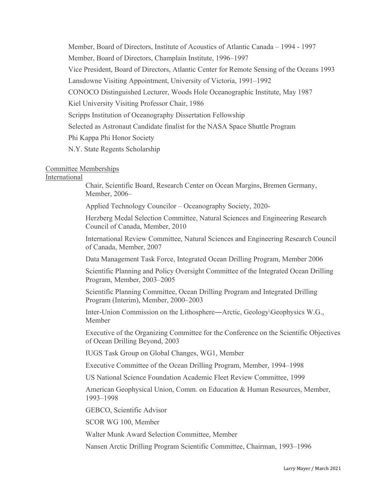Member, Board of Directors, Institute of Acoustics of Atlantic Canada – 1994 - 1997 Member, Board of Directors, Champlain Institute, 1996–1997 Vice President, Board of Directors, Atlantic Center for Remote Sensing of the Oceans 1993 Lansdowne Visiting Appointment, University of Victoria, 1991–1992 CONOCO Distinguished Lecturer, Woods Hole Oceanographic Institute, May 1987 Kiel University Visiting Professor Chair, 1986 Scripps Institution of Oceanography Dissertation Fellowship Selected as Astronaut Candidate finalist for the NASA Space Shuttle Program Phi Kappa Phi Honor Society N.Y. State Regents Scholarship

### Committee Memberships

## International

Chair, Scientific Board, Research Center on Ocean Margins, Bremen Germany, Member, 2006–

Applied Technology Councilor – Oceanography Society, 2020-

Herzberg Medal Selection Committee, Natural Sciences and Engineering Research Council of Canada, Member, 2010

International Review Committee, Natural Sciences and Engineering Research Council of Canada, Member, 2007

Data Management Task Force, Integrated Ocean Drilling Program, Member 2006

Scientific Planning and Policy Oversight Committee of the Integrated Ocean Drilling Program, Member, 2003–2005

Scientific Planning Committee, Ocean Drilling Program and Integrated Drilling Program (Interim), Member, 2000–2003

Inter-Union Commission on the Lithosphere―Arctic, Geology\Geophysics W.G., Member

Executive of the Organizing Committee for the Conference on the Scientific Objectives of Ocean Drilling Beyond, 2003

IUGS Task Group on Global Changes, WG1, Member

Executive Committee of the Ocean Drilling Program, Member, 1994–1998

US National Science Foundation Academic Fleet Review Committee, 1999

American Geophysical Union, Comm. on Education & Human Resources, Member, 1993–1998

GEBCO, Scientific Advisor

SCOR WG 100, Member

Walter Munk Award Selection Committee, Member

Nansen Arctic Drilling Program Scientific Committee, Chairman, 1993–1996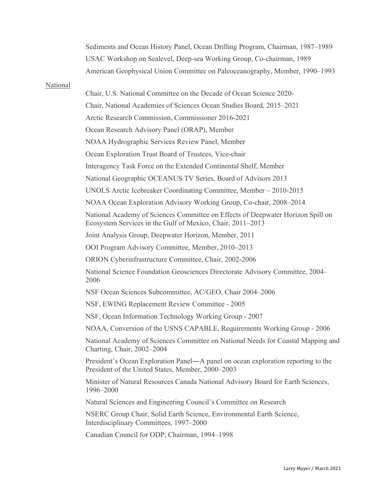Sediments and Ocean History Panel, Ocean Drilling Program, Chairman, 1987–1989 USAC Workshop on Sealevel, Deep-sea Working Group, Co-chairman, 1989 American Geophysical Union Committee on Paleoceanography, Member, 1990–1993

#### National

Chair, U.S. National Committee on the Decade of Ocean Science 2020- Chair, National Academies of Sciences Ocean Studies Board, 2015–2021 Arctic Research Commission, Commissioner 2016-2021 Ocean Research Advisory Panel (ORAP), Member NOAA Hydrographic Services Review Panel, Member Ocean Exploration Trust Board of Trustees, Vice-chair Interagency Task Force on the Extended Continental Shelf, Member National Geographic OCEANUS TV Series, Board of Advisors 2013 UNOLS Arctic Icebreaker Coordinating Committee, Member – 2010-2015 NOAA Ocean Exploration Advisory Working Group, Co-chair, 2008–2014 National Academy of Sciences Committee on Effects of Deepwater Horizon Spill on Ecosystem Services in the Gulf of Mexico, Chair, 2011–2013 Joint Analysis Group, Deepwater Horizon, Member, 2011 OOI Program Advisory Committee, Member, 2010–2013 ORION Cyberinfrastructure Committee, Chair, 2002-2006 National Science Foundation Geosciences Directorate Advisory Committee, 2004– 2006 NSF Ocean Sciences Subcommittee, AC/GEO, Chair 2004–2006 NSF, EWING Replacement Review Committee - 2005 NSF, Ocean Information Technology Working Group - 2007 NOAA, Conversion of the USNS CAPABLE, Requirements Working Group - 2006 National Academy of Sciences Committee on National Needs for Coastal Mapping and Charting, Chair, 2002–2004 President's Ocean Exploration Panel―A panel on ocean exploration reporting to the President of the United States, Member, 2000–2003 Minister of Natural Resources Canada National Advisory Board for Earth Sciences, 1996–2000 Natural Sciences and Engineering Council's Committee on Research NSERC Group Chair, Solid Earth Science, Environmental Earth Science, Interdisciplinary Committees, 1997–2000

Canadian Council for ODP, Chairman, 1994–1998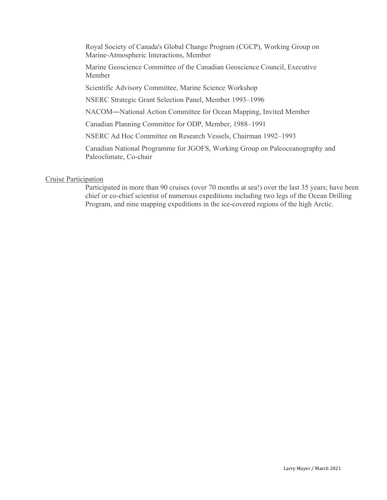Royal Society of Canada's Global Change Program (CGCP), Working Group on Marine-Atmospheric Interactions, Member

Marine Geoscience Committee of the Canadian Geoscience Council, Executive Member

Scientific Advisory Committee, Marine Science Workshop

NSERC Strategic Grant Selection Panel, Member 1993–1996

NACOM―National Action Committee for Ocean Mapping, Invited Member

Canadian Planning Committee for ODP, Member, 1988–1991

NSERC Ad Hoc Committee on Research Vessels, Chairman 1992–1993

Canadian National Programme for JGOFS, Working Group on Paleoceanography and Paleoclimate, Co-chair

## Cruise Participation

Participated in more than 90 cruises (over 70 months at sea!) over the last 35 years; have been chief or co-chief scientist of numerous expeditions including two legs of the Ocean Drilling Program, and nine mapping expeditions in the ice-covered regions of the high Arctic.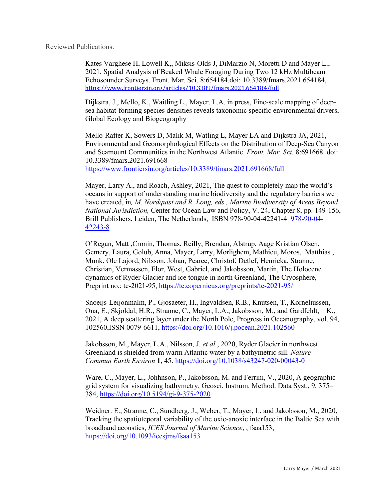Kates Varghese H, Lowell K,, Miksis-Olds J, DiMarzio N, Moretti D and Mayer L., 2021, Spatial Analysis of Beaked Whale Foraging During Two 12 kHz Multibeam Echosounder Surveys. Front. Mar. Sci. 8:654184.doi: 10.3389/fmars.2021.654184, <https://www.frontiersin.org/articles/10.3389/fmars.2021.654184/full>

Dijkstra, J., Mello, K., Waitling L., Mayer. L.A. in press, Fine-scale mapping of deepsea habitat-forming species densities reveals taxonomic specific environmental drivers, Global Ecology and Biogeography

Mello-Rafter K, Sowers D, Malik M, Watling L, Mayer LA and Dijkstra JA, 2021, Environmental and Geomorphological Effects on the Distribution of Deep-Sea Canyon and Seamount Communities in the Northwest Atlantic. *Front. Mar. Sci.* 8:691668. doi: 10.3389/fmars.2021.691668 <https://www.frontiersin.org/articles/10.3389/fmars.2021.691668/full>

Mayer, Larry A., and Roach, Ashley, 2021, The quest to completely map the world's oceans in support of understanding marine biodiversity and the regulatory barriers we have created, in*, M. Nordquist and R. Long, eds., Marine Biodiversity of Areas Beyond National Jurisdiction,* Center for Ocean Law and Policy, V. 24, Chapter 8, pp. 149-156, Brill Publishers, Leiden, The Netherlands, ISBN 978-90-04-42241-4 978-90-04- 42243-8

O'Regan, Matt ,Cronin, Thomas, Reilly, Brendan, Alstrup, Aage Kristian Olsen, Gemery, Laura, Golub, Anna, Mayer, Larry, Morlighem, Mathieu, Moros, Matthias , Munk, Ole Lajord, Nilsson, Johan, Pearce, Christof, Detlef, Henrieka, Stranne, Christian, Vermassen, Flor, West, Gabriel, and Jakobsson, Martin, The Holocene dynamics of Ryder Glacier and ice tongue in north Greenland, The Cryosphere, Preprint no.: tc-2021-95,<https://tc.copernicus.org/preprints/tc-2021-95/>

Snoeijs-Leijonmalm, P., Gjosaeter, H., Ingvaldsen, R.B., Knutsen, T., Korneliussen, Ona, E., Skjoldal, H.R., Stranne, C., Mayer, L.A., Jakobsson, M., and Gardfeldt, K., 2021, A deep scattering layer under the North Pole, Progress in Oceanography, vol. 94, 102560,ISSN 0079-6611,<https://doi.org/10.1016/j.pocean.2021.102560>

Jakobsson, M., Mayer, L.A., Nilsson, J. *et al.*, 2020, Ryder Glacier in northwest Greenland is shielded from warm Atlantic water by a bathymetric sill. *Nature - Commun Earth Environ* **1,** 45.<https://doi.org/10.1038/s43247-020-00043-0>

Ware, C., Mayer, L., Johhnson, P., Jakobsson, M. and Ferrini, V., 2020, A geographic grid system for visualizing bathymetry, Geosci. Instrum. Method. Data Syst., 9, 375– 384,<https://doi.org/10.5194/gi-9-375-2020>

Weidner. E., Stranne, C., Sundberg, J., Weber, T., Mayer, L. and Jakobsson, M., 2020, Tracking the spatioteporal variability of the oxic-anoxic interface in the Baltic Sea with broadband acoustics, *ICES Journal of Marine Science*, , fsaa153, <https://doi.org/10.1093/icesjms/fsaa153>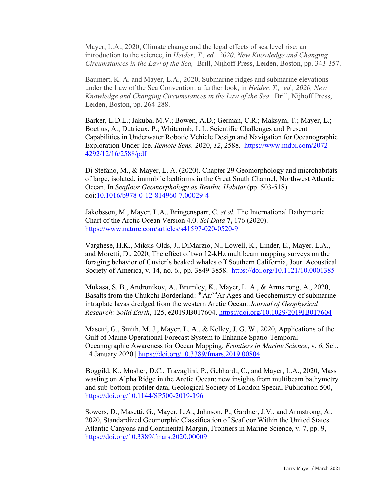Mayer, L.A., 2020, Climate change and the legal effects of sea level rise: an introduction to the science, in *Heider, T., ed., 2020, New Knowledge and Changing Circumstances in the Law of the Sea,* Brill, Nijhoff Press, Leiden, Boston, pp. 343-357.

Baumert, K. A. and Mayer, L.A., 2020, Submarine ridges and submarine elevations under the Law of the Sea Convention: a further look, in *Heider, T., ed., 2020, New Knowledge and Changing Circumstances in the Law of the Sea,* Brill, Nijhoff Press, Leiden, Boston, pp. 264-288.

Barker, L.D.L.; Jakuba, M.V.; Bowen, A.D.; German, C.R.; Maksym, T.; Mayer, L.; Boetius, A.; Dutrieux, P.; Whitcomb, L.L. Scientific Challenges and Present Capabilities in Underwater Robotic Vehicle Design and Navigation for Oceanographic Exploration Under-Ice. *Remote Sens.* 2020, *12*, 2588. [https://www.mdpi.com/2072-](https://www.mdpi.com/2072-4292/12/16/2588/pdf) [4292/12/16/2588/pdf](https://www.mdpi.com/2072-4292/12/16/2588/pdf)

Di Stefano, M., & Mayer, L. A. (2020). Chapter 29 Geomorphology and microhabitats of large, isolated, immobile bedforms in the Great South Channel, Northwest Atlantic Ocean. In *Seafloor Geomorphology as Benthic Habitat* (pp. 503-518). doi[:10.1016/b978-0-12-814960-7.00029-4](http://doi.org/10.1016/b978-0-12-814960-7.00029-4)

Jakobsson, M., Mayer, L.A., Bringensparr, C. *et al.* The International Bathymetric Chart of the Arctic Ocean Version 4.0. *Sci Data* **7,** 176 (2020). <https://www.nature.com/articles/s41597-020-0520-9>

Varghese, H.K., Miksis-Olds, J., DiMarzio, N., Lowell, K., Linder, E., Mayer. L.A., and Moretti, D., 2020, The effect of two 12-kHz multibeam mapping surveys on the foraging behavior of Cuvier's beaked whales off Southern California, Jour. Acoustical Society of America, v. 14, no. 6., pp. 3849-3858. <https://doi.org/10.1121/10.0001385>

Mukasa, S. B., Andronikov, A., Brumley, K., Mayer, L. A., & Armstrong, A., 2020, Basalts from the Chukchi Borderland:  $^{40}Ar^{39}Ar$  Ages and Geochemistry of submarine intraplate lavas dredged from the western Arctic Ocean. *Journal of Geophysical Research: Solid Earth*, 125, e2019JB017604.<https://doi.org/10.1029/2019JB017604>

Masetti, G., Smith, M. J., Mayer, L. A., & Kelley, J. G. W., 2020, Applications of the Gulf of Maine Operational Forecast System to Enhance Spatio-Temporal Oceanographic Awareness for Ocean Mapping. *Frontiers in Marine Science*, v. *6*, Sci., 14 January 2020 |<https://doi.org/10.3389/fmars.2019.00804>

Boggild, K., Mosher, D.C., Travaglini, P., Gebhardt, C., and Mayer, L.A., 2020, Mass wasting on Alpha Ridge in the Arctic Ocean: new insights from multibeam bathymetry and sub-bottom profiler data, Geological Society of London Special Publication 500, <https://doi.org/10.1144/SP500-2019-196>

Sowers, D., Masetti, G., Mayer, L.A., Johnson, P., Gardner, J.V., and Armstrong, A., 2020, Standardized Geomorphic Classification of Seafloor Within the United States Atlantic Canyons and Continental Margin, Frontiers in Marine Science, v. 7, pp. 9, <https://doi.org/10.3389/fmars.2020.00009>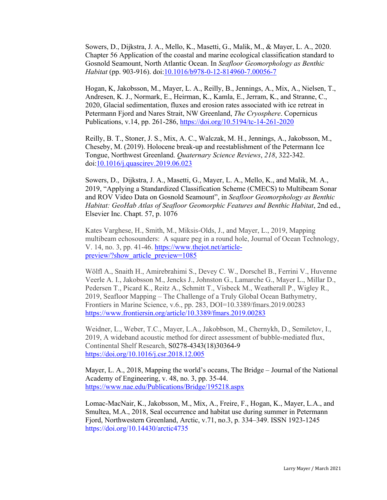Sowers, D., Dijkstra, J. A., Mello, K., Masetti, G., Malik, M., & Mayer, L. A., 2020. Chapter 56 Application of the coastal and marine ecological classification standard to Gosnold Seamount, North Atlantic Ocean. In *Seafloor Geomorphology as Benthic Habitat* (pp. 903-916). doi[:10.1016/b978-0-12-814960-7.00056-7](http://doi.org/10.1016/b978-0-12-814960-7.00056-7)

Hogan, K, [Jakobsson, M.,](https://ccom.unh.edu/user/3084/publications) [Mayer, L. A.,](https://ccom.unh.edu/user/59/publications) [Reilly, B.,](https://ccom.unh.edu/publications?f%5Bauthor%5D=6702) [Jennings, A.,](https://ccom.unh.edu/publications?f%5Bauthor%5D=5691) [Mix, A.,](https://ccom.unh.edu/publications?f%5Bauthor%5D=6698) [Nielsen, T.,](https://ccom.unh.edu/publications?f%5Bauthor%5D=6252) [Andresen, K. J.,](https://ccom.unh.edu/publications?f%5Bauthor%5D=6707) [Normark, E.,](https://ccom.unh.edu/publications?f%5Bauthor%5D=6244) [Heirman, K.,](https://ccom.unh.edu/publications?f%5Bauthor%5D=6221) [Kamla, E.,](https://ccom.unh.edu/publications?f%5Bauthor%5D=6253) [Jerram, K.,](https://ccom.unh.edu/user/55/publications) and [Stranne, C.,](https://ccom.unh.edu/publications?f%5Bauthor%5D=5966) 2020, Glacial sedimentation, fluxes and erosion rates associated with ice retreat in Petermann Fjord and Nares Strait, NW Greenland, *The Cryosphere*. Copernicus Publications, v.14, pp. 261-286,<https://doi.org/10.5194/tc-14-261-2020>

Reilly, B. T., Stoner, J. S., Mix, A. C., Walczak, M. H., Jennings, A., Jakobsson, M., Cheseby, M. (2019). Holocene break-up and reestablishment of the Petermann Ice Tongue, Northwest Greenland. *Quaternary Science Reviews*, *218*, 322-342. doi[:10.1016/j.quascirev.2019.06.023](http://doi.org/10.1016/j.quascirev.2019.06.023)

[Sowers,](https://ccom.unh.edu/user/75/publications) D., [Dijkstra, J. A.,](https://ccom.unh.edu/user/387/publications) [Masetti, G.,](https://ccom.unh.edu/user/156/publications) [Mayer, L. A.,](https://ccom.unh.edu/user/59/publications) [Mello, K.,](https://ccom.unh.edu/user/2263/publications) and [Malik, M. A.,](https://ccom.unh.edu/user/313/publications) 2019, ["Applying a Standardized Classification Scheme \(CMECS\) to Multibeam Sonar](https://ccom.unh.edu/publications/applying-standardized-classification-scheme-cmecs-multibeam-sonar-and-rov-video-data)  [and ROV Video Data on Gosnold Seamount",](https://ccom.unh.edu/publications/applying-standardized-classification-scheme-cmecs-multibeam-sonar-and-rov-video-data) in *Seafloor Geomorphology as Benthic Habitat: GeoHab Atlas of Seafloor Geomorphic Features and Benthic Habitat*, 2nd ed., Elsevier Inc. Chapt. 57, p. 1076

Kates Varghese, H., Smith, M., Miksis-Olds, J., and Mayer, L., 2019, Mapping multibeam echosounders: A square peg in a round hole, Journal of Ocean Technology, V. 14, no. 3, pp. 41-46. [https://www.thejot.net/article](https://www.thejot.net/article-preview/?show_article_preview=1085)[preview/?show\\_article\\_preview=1085](https://www.thejot.net/article-preview/?show_article_preview=1085)

Wölfl A., Snaith H., Amirebrahimi S., Devey C. W., Dorschel B., Ferrini V., Huvenne Veerle A. I., Jakobsson M., Jencks J., Johnston G., Lamarche G., Mayer L., Millar D., Pedersen T., Picard K., Reitz A., Schmitt T., Visbeck M., Weatherall P., Wigley R., 2019, Seafloor Mapping – The Challenge of a Truly Global Ocean Bathymetry, Frontiers in Marine Science, v.6., pp. 283, DOI=10.3389/fmars.2019.00283 <https://www.frontiersin.org/article/10.3389/fmars.2019.00283>

Weidner, L., Weber, T.C., Mayer, L.A., Jakobbson, M., Chernykh, D., Semiletov, I., 2019, A wideband acoustic method for direct assessment of bubble-mediated flux, Continental Shelf Research, S0278-4343(18)30364-9 <https://doi.org/10.1016/j.csr.2018.12.005>

Mayer, L. A., 2018, Mapping the world's oceans, The Bridge – Journal of the National Academy of Engineering, v. 48, no. 3, pp. 35-44. <https://www.nae.edu/Publications/Bridge/195218.aspx>

Lomac-MacNair, K., Jakobsson, M., Mix, A., Freire, F., Hogan, K., Mayer, L.A., and Smultea, M.A., 2018, Seal occurrence and habitat use during summer in Petermann Fjord, Northwestern Greenland, Arctic, v.71, no.3, p. 334–349. ISSN 1923-1245 https://doi.org/10.14430/arctic4735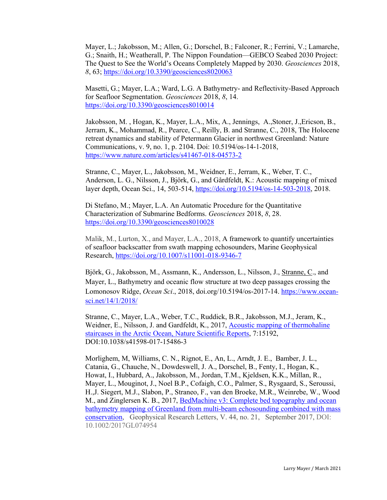Mayer, L.; Jakobsson, M.; Allen, G.; Dorschel, B.; Falconer, R.; Ferrini, V.; Lamarche, G.; Snaith, H.; Weatherall, P. The Nippon Foundation—GEBCO Seabed 2030 Project: The Quest to See the World's Oceans Completely Mapped by 2030. *Geosciences* 2018, *8*, 63;<https://doi.org/10.3390/geosciences8020063>

Masetti, G.; Mayer, L.A.; Ward, L.G. A Bathymetry- and Reflectivity-Based Approach for Seafloor Segmentation. *Geosciences* 2018, *8*, 14. <https://doi.org/10.3390/geosciences8010014>

Jakobsson, M. , Hogan, K., Mayer, L.A., Mix, A., Jennings, A.,Stoner, J.,Ericson, B., Jerram, K., Mohammad, R., Pearce, C., Reilly, B. and Stranne, C., 2018, The Holocene retreat dynamics and stability of Petermann Glacier in northwest Greenland: Nature Communications, v. 9, no. 1, p. 2104. Doi: 10.5194/os-14-1-2018, <https://www.nature.com/articles/s41467-018-04573-2>

Stranne, C., Mayer, L., Jakobsson, M., Weidner, E., Jerram, K., Weber, T. C., Anderson, L. G., Nilsson, J., Björk, G., and Gårdfeldt, K.: Acoustic mapping of mixed layer depth, Ocean Sci., 14, 503-514, [https://doi.org/10.5194/os-14-503-2018,](https://doi.org/10.5194/os-14-503-2018) 2018.

Di Stefano, M.; Mayer, L.A. An Automatic Procedure for the Quantitative Characterization of Submarine Bedforms. *Geosciences* 2018, *8*, 28. <https://doi.org/10.3390/geosciences8010028>

Malik, M., Lurton, X., and Mayer, L.A., 2018, A framework to quantify uncertainties of seafloor backscatter from swath mapping echosounders, Marine Geophysical Research,<https://doi.org/10.1007/s11001-018-9346-7>

Björk, G., Jakobsson, M., Assmann, K., Andersson, L., Nilsson, J., Stranne, C., and Mayer, L., Bathymetry and oceanic flow structure at two deep passages crossing the Lomonosov Ridge, *Ocean Sci*., 2018, doi.org/10.5194/os-2017-14. [https://www.ocean](https://www.ocean-sci.net/14/1/2018/)[sci.net/14/1/2018/](https://www.ocean-sci.net/14/1/2018/)

Stranne, C., Mayer, L.A., Weber, T.C., Ruddick, B.R., Jakobsson, M.J., Jeram, K., Weidner, E., Nilsson, J. and Gardfeldt, K., 2017, [Acoustic mapping of thermohaline](https://www.nature.com/articles/s41598-017-15486-3)  [staircases in the Arctic](https://www.nature.com/articles/s41598-017-15486-3) Ocean, Nature Scientific Reports, 7:15192, DOI:10.1038/s41598-017-15486-3

Morlighem, M, Williams, C. N., Rignot, E., An, L., Arndt, J. E., Bamber, J. L., Catania, G., Chauche, N., Dowdeswell, J. A., Dorschel, B., Fenty, I., Hogan, K., Howat, I., Hubbard, A., Jakobsson, M., Jordan, T.M., Kjeldsen, K.K., Millan, R., Mayer, L., Mouginot, J., Noel B.P., Cofaigh, C.O., Palmer, S., Rysgaard, S., Seroussi, H.,J. Siegert, M.J., Slabon, P., Straneo, F., van den Broeke, M.R., Weinrebe, W., Wood M., and Zinglersen K. B., 2017, BedMachine v3: Complete bed topography and ocean [bathymetry mapping of Greenland from multi-beam echosounding combined with mass](https://www.researchgate.net/publication/319886808)  [conservation,](https://www.researchgate.net/publication/319886808) Geophysical Research Letters, V. 44, no. 21, September 2017, DOI: 10.1002/2017GL074954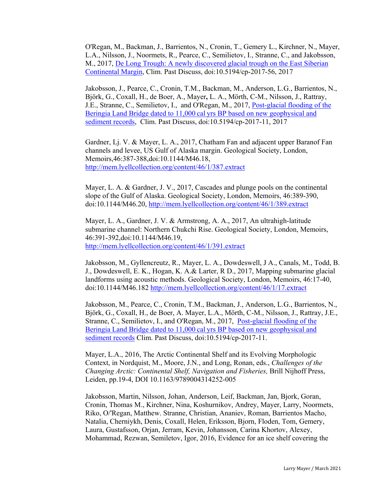O'Regan, M., Backman, J., Barrientos, N., Cronin, T., Gemery L., Kirchner, N., Mayer, L.A., Nilsson, J., Noormets, R., Pearce, C., Semilietov, I., Stranne, C., and Jakobsson, M., 2017, [De Long Trough: A newly discovered glacial trough on the East Siberian](http://www.clim-past-discuss.net/cp-2017-56/)  [Continental Margin,](http://www.clim-past-discuss.net/cp-2017-56/) Clim. Past Discuss, doi:10.5194/cp-2017-56, 2017

Jakobsson, J., Pearce, C., Cronin, T.M., Backman, M., Anderson, L.G., Barrientos, N., Björk, G., Coxall, H., de Boer, A., Mayer**,** L. A., Mörth, C-M., Nilsson, J., Rattray, J.E., Stranne, C., Semilietov, I., and O'Regan, M., 2017, [Post-glacial flooding of the](http://www.clim-past-discuss.net/cp-2017-11/)  [Beringia Land Bridge dated to 11,000 cal yrs BP based on new geophysical and](http://www.clim-past-discuss.net/cp-2017-11/)  [sediment records,](http://www.clim-past-discuss.net/cp-2017-11/) Clim. Past Discuss, doi:10.5194/cp-2017-11, 2017

Gardner, Lj. V. & Mayer, L. A., 2017, Chatham Fan and adjacent upper Baranof Fan channels and levee, US Gulf of Alaska margin. Geological Society, London, Memoirs,46:387-388,doi:10.1144/M46.18, <http://mem.lyellcollection.org/content/46/1/387.extract>

Mayer, L. A. & Gardner, J. V., 2017, Cascades and plunge pools on the continental slope of the Gulf of Alaska. Geological Society, London, Memoirs, 46:389-390, doi:10.1144/M46.20, [http://mem.lyellcollection.org/content/46/1/389.extract](http://mem.lyellcollection.org/content/46/1/389.extract?etoc)

Mayer, L. A., Gardner, J. V. & Armstrong, A. A., 2017, An ultrahigh-latitude submarine channel: Northern Chukchi Rise. Geological Society, London, Memoirs, 46:391-392,doi:10.1144/M46.19, <http://mem.lyellcollection.org/content/46/1/391.extract>

Jakobsson, M., Gyllencreutz, R., Mayer, L. A., Dowdeswell, J A., Canals, M., Todd, B. J., Dowdeswell, E. K., Hogan, K. A.& Larter, R D., 2017, Mapping submarine glacial landforms using acoustic methods. Geological Society, London, Memoirs, 46:17-40, doi:10.1144/M46.182<http://mem.lyellcollection.org/content/46/1/17.extract>

Jakobsson, M., Pearce, C., Cronin, T.M., Backman, J., Anderson, L.G., Barrientos, N., Björk, G., Coxall, H., de Boer, A. Mayer, L.A., Mörth, C-M., Nilsson, J., Rattray, J.E., Stranne, C., Semilietov, I., and O'Regan, M., 2017, [Post-glacial flooding of the](http://www.clim-past-discuss.net/cp-2017-11/)  Beringia Land Bridge dated to 11,0[00 cal yrs BP based on new geophysical and](http://www.clim-past-discuss.net/cp-2017-11/)  [sediment records](http://www.clim-past-discuss.net/cp-2017-11/) Clim. Past Discuss, doi:10.5194/cp-2017-11.

Mayer, L.A., 2016, The Arctic Continental Shelf and its Evolving Morphologic Context, in Nordquist, M., Moore, J.N., and Long, Ronan, eds., *Challenges of the Changing Arctic: Continental Shelf, Navigation and Fisheries,* Brill Nijhoff Press, Leiden, pp.19-4, DOI 10.1163/9789004314252-005

Jakobsson, Martin, Nilsson, Johan, Anderson, Leif, Backman, Jan, Bjork, Goran, Cronin, Thomas M., Kirchner, Nina, Koshurnikov, Andrey, Mayer, Larry, Noormets, Riko, O/'Regan, Matthew. Stranne, Christian, Ananiev, Roman, Barrientos Macho, Natalia, Cherniykh, Denis, Coxall, Helen, Eriksson, Bjorn, Floden, Tom, Gemery, Laura, Gustafsson, Orjan, Jerram, Kevin, Johansson, Carina Khortov, Alexey, Mohammad, Rezwan, Semiletov, Igor, 2016, Evidence for an ice shelf covering the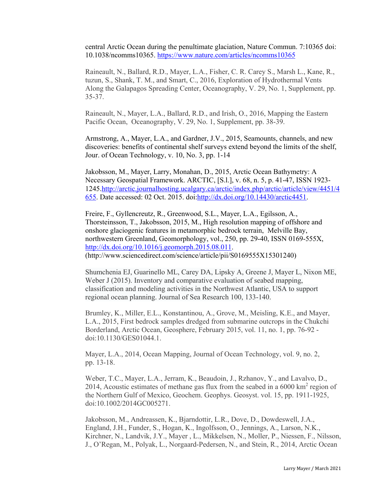central Arctic Ocean during the penultimate glaciation, Nature Commun. 7:10365 doi: 10.1038/ncomms10365. <https://www.nature.com/articles/ncomms10365>

Raineault, N., Ballard, R.D., Mayer, L.A., Fisher, C. R. Carey S., Marsh L., Kane, R., tuzun, S., Shank, T. M., and Smart, C., 2016, Exploration of Hydrothermal Vents Along the Galapagos Spreading Center, Oceanography, V. 29, No. 1, Supplement, pp. 35-37.

Raineault, N., Mayer, L.A., Ballard, R.D., and Irish, O., 2016, Mapping the Eastern Pacific Ocean, Oceanography, V. 29, No. 1, Supplement, pp. 38-39.

Armstrong, A., Mayer, L.A., and Gardner, J.V., 2015, Seamounts, channels, and new discoveries: benefits of continental shelf surveys extend beyond the limits of the shelf, Jour. of Ocean Technology, v. 10, No. 3, pp. 1-14

Jakobsson, M., Mayer, Larry, Monahan, D., 2015, Arctic Ocean Bathymetry: A Necessary Geospatial Framework. ARCTIC, [S.l.], v. 68, n. 5, p. 41-47, ISSN 1923- 1245[.http://arctic.journalhosting.ucalgary.ca/arctic/index.php/arctic/article/view/4451/4](http://arctic.journalhosting.ucalgary.ca/arctic/index.php/arctic/article/view/4451/4655) [655.](http://arctic.journalhosting.ucalgary.ca/arctic/index.php/arctic/article/view/4451/4655) Date accessed: 02 Oct. 2015. doi[:http://dx.doi.org/10.14430/arctic4451.](http://dx.doi.org/10.14430/arctic4451)

Freire, F., Gyllencreutz, R., Greenwood, S.L., Mayer, L.A., Egilsson, A., Thorsteinsson, T., Jakobsson, 2015, M., High resolution mapping of offshore and onshore glaciogenic features in metamorphic bedrock terrain, Melville Bay, northwestern Greenland, Geomorphology, vol., 250, pp. 29-40, ISSN 0169-555X, [http://dx.doi.org/10.1016/j.geomorph.2015.08.011.](http://dx.doi.org/10.1016/j.geomorph.2015.08.011) (http://www.sciencedirect.com/science/article/pii/S0169555X15301240)

Shumchenia EJ, Guarinello ML, Carey DA, Lipsky A, Greene J, Mayer L, Nixon ME, Weber J (2015). Inventory and comparative evaluation of seabed mapping, classification and modeling activities in the Northwest Atlantic, USA to support regional ocean planning. Journal of Sea Research 100, 133-140.

Brumley, K., Miller, E.L., Konstantinou, A., Grove, M., Meisling, K.E., and Mayer, L.A., 2015, First bedrock samples dredged from submarine outcrops in the Chukchi Borderland, Arctic Ocean, Geosphere, February 2015, vol. 11, no. 1, pp. 76-92 doi:10.1130/GES01044.1.

Mayer, L.A., 2014, Ocean Mapping, Journal of Ocean Technology, vol. 9, no. 2, pp. 13-18.

Weber, T.C., Mayer, L.A., Jerram, K., Beaudoin, J., Rzhanov, Y., and Lavalvo, D., 2014, Acoustic estimates of methane gas flux from the seabed in a  $6000 \text{ km}^2$  region of the Northern Gulf of Mexico, Geochem. Geophys. Geosyst. vol. 15, pp. 1911-1925, doi:10.1002/2014GC005271.

Jakobsson, M., Andreassen, K., Bjarndottir, L.R., Dove, D., Dowdeswell, J.A., England, J.H., Funder, S., Hogan, K., Ingolfsson, O., Jennings, A., Larson, N.K., Kirchner, N., Landvik, J.Y., Mayer , L., Mikkelsen, N., Moller, P., Niessen, F., Nilsson, J., O'Regan, M., Polyak, L., Norgaard-Pedersen, N., and Stein, R., 2014, Arctic Ocean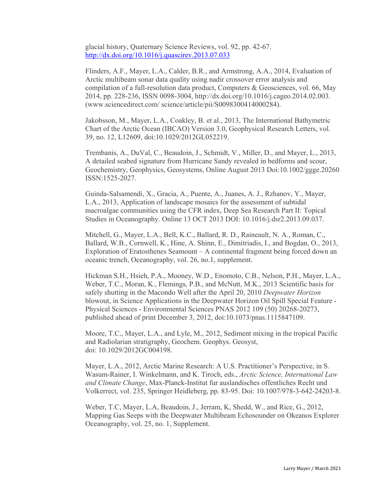glacial history, Quaternary Science Reviews, vol. 92, pp. 42-67. <http://dx.doi.org/10.1016/j.quascirev.2013.07.033>

Flinders, A.F., Mayer, L.A., Calder, B.R., and Armstrong, A.A., 2014, Evaluation of Arctic multibeam sonar data quality using nadir crossover error analysis and compilation of a full-resolution data product, Computers & Geosciences, vol. 66, May 2014, pp. 228-236, ISSN 0098-3004, [http://dx.doi.org/10.1016/j.cageo.2014.02.003.](http://dx.doi.org/10.1016/j.cageo.2014.02.003) [\(www.sciencedirect.com/](http://www.sciencedirect.com/) science/article/pii/S0098300414000284).

Jakobsson, M., Mayer, L.A., Coakley, B. et al., 2013, The International Bathymetric Chart of the Arctic Ocean (IBCAO) Version 3.0, Geophysical Research Letters, vol. 39, no. 12, L12609, doi:10.1029/2012GL052219.

Trembanis, A., DuVal, C., Beaudoin, J., Schmidt, V., Miller, D., and Mayer, L., 2013, A detailed seabed signature from Hurricane Sandy revealed in bedforms and scour, Geochemistry, Geophysics, Geosystems, Online August 2013 Doi:10.1002/ggge.20260 ISSN:1525-2027.

Guinda-Salsamendi, X., Gracia, A., Puente, A., Juanes, A. J., Rzhanov, Y., Mayer, L.A., 2013, Application of landscape mosaics for the assessment of subtidal macroalgae communities using the CFR index, Deep Sea Research Part II: Topical Studies in Oceanography. Online 13 OCT 2013 DOI: 10.1016/j.dsr2.2013.09.037.

Mitchell, G., Mayer, L.A., Bell, K.C., Ballard, R. D., Raineault, N. A., Roman, C., Ballard, W.B., Cornwell, K., Hine, A. Shinn, E., Dimitriadis, I., and Bogdan, O., 2013, Exploration of Eratosthenes Seamount – A continental fragment being forced down an oceanic trench, Oceanography, vol. 26, no.1, supplement.

Hickman S.H., Hsieh, P.A., Mooney, W.D., Enomoto, C.B., Nelson, P.H., Mayer, L.A., Weber, T.C., Moran, K., Flemings, P.B., and McNutt, M.K., 2013 Scientific basis for safely shutting in the Macondo Well after the April 20, 2010 *Deepwater Horizon* blowout, in Science Applications in the Deepwater Horizon Oil Spill Special Feature - Physical Sciences - Environmental Sciences PNAS 2012 109 (50) 20268-20273, published ahead of print December 3, 2012, doi:10.1073/pnas.1115847109.

Moore, T.C., Mayer, L.A., and Lyle, M., 2012, Sediment mixing in the tropical Pacific and Radiolarian stratigraphy, Geochem. Geophys. Geosyst, doi: 10.1029/2012GC004198.

Mayer, L.A., 2012, Arctic Marine Research: A U.S. Practitioner's Perspective, in S. Wasum-Rainer, I. Winkelmann, and K. Tiroch, eds., *Arctic Science, International Law and Climate Change*, Max-Planck-Institut fur auslandisches offentliches Recht und Volkerrect, vol. 235, Springer Heidleberg, pp. 83-95. Doi: 10.1007/978-3-642-24203-8.

Weber, T.C, Mayer, L.A, Beaudoin, J., Jerram, K, Shedd, W., and Rice, G., 2012, Mapping Gas Seeps with the Deepwater Multibeam Echosounder on Okeanos Explorer Oceanography, vol. 25, no. 1, Supplement.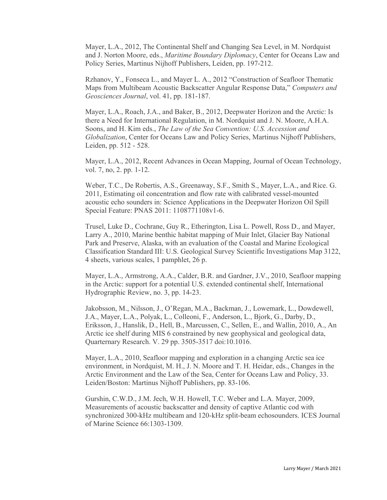Mayer, L.A., 2012, The Continental Shelf and Changing Sea Level, in M. Nordquist and J. Norton Moore, eds., *Maritime Boundary Diplomacy*, Center for Oceans Law and Policy Series, Martinus Nijhoff Publishers, Leiden, pp. 197-212.

Rzhanov, Y., [Fonseca L.,](http://drupal.bluewhale.ccom.nh/user/47/publications) and Mayer L. A., 2012 "Construction of Seafloor Thematic Maps from Multibeam Acoustic Backscatter Angular Response Data," *Computers and Geosciences Journal*, vol. 41, pp. 181-187.

Mayer, L.A., Roach, J.A., and Baker, B., 2012, Deepwater Horizon and the Arctic: Is there a Need for International Regulation, in M. Nordquist and J. N. Moore, A.H.A. Soons, and H. Kim eds., *The Law of the Sea Convention: U.S. Accession and Globalization*, Center for Oceans Law and Policy Series, Martinus Nijhoff Publishers, Leiden, pp. 512 - 528.

Mayer, L.A., 2012, Recent Advances in Ocean Mapping, Journal of Ocean Technology, vol. 7, no, 2. pp. 1-12.

Weber, T.C., De Robertis, A.S., Greenaway, S.F., Smith S., Mayer, L.A., and Rice. G. 2011, Estimating oil concentration and flow rate with calibrated vessel-mounted acoustic echo sounders in: Science Applications in the Deepwater Horizon Oil Spill Special Feature: PNAS 2011: 1108771108v1-6.

Trusel, Luke D., Cochrane, Guy R., Etherington, Lisa L. Powell, Ross D., and Mayer, Larry A., 2010, Marine benthic habitat mapping of Muir Inlet, Glacier Bay National Park and Preserve, Alaska, with an evaluation of the Coastal and Marine Ecological Classification Standard III: U.S. Geological Survey Scientific Investigations Map 3122, 4 sheets, various scales, 1 pamphlet, 26 p.

Mayer, L.A., Armstrong, A.A., Calder, B.R. and Gardner, J.V., 2010, Seafloor mapping in the Arctic: support for a potential U.S. extended continental shelf, International Hydrographic Review, no. 3, pp. 14-23.

Jakobsson, M., Nilsson, J., O'Regan, M.A., Backman, J., Lowemark, L., Dowdewell, J.A., Mayer, L.A., Polyak, L., Colleoni, F., Anderson, L., Bjork, G., Darby, D., Eriksson, J., Hanslik, D., Hell, B., Marcussen, C., Sellen, E., and Wallin, 2010, A., An Arctic ice shelf during MIS 6 constrained by new geophysical and geological data, Quarternary Research. V. 29 pp. 3505-3517 doi:10.1016.

Mayer, L.A., 2010, Seafloor mapping and exploration in a changing Arctic sea ice environment, in Nordquist, M. H., J. N. Moore and T. H. Heidar, eds., Changes in the Arctic Environment and the Law of the Sea, Center for Oceans Law and Policy, 33. Leiden/Boston: Martinus Nijhoff Publishers, pp. 83-106.

Gurshin, C.W.D., J.M. Jech, W.H. Howell, T.C. Weber and L.A. Mayer, 2009, Measurements of acoustic backscatter and density of captive Atlantic cod with synchronized 300-kHz multibeam and 120-kHz split-beam echosounders. ICES Journal of Marine Science 66:1303-1309.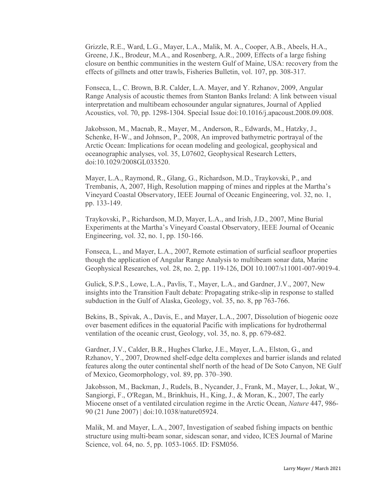Grizzle, R.E., Ward, L.G., Mayer, L.A., Malik, M. A., Cooper, A.B., Abeels, H.A., Greene, J.K., Brodeur, M.A., and Rosenberg, A.R., 2009, Effects of a large fishing closure on benthic communities in the western Gulf of Maine, USA: recovery from the effects of gillnets and otter trawls, Fisheries Bulletin, vol. 107, pp. 308-317.

Fonseca, L., C. Brown, B.R. Calder, L.A. Mayer, and Y. Rzhanov, 2009, Angular Range Analysis of acoustic themes from Stanton Banks Ireland: A link between visual interpretation and multibeam echosounder angular signatures, Journal of Applied Acoustics, vol. 70, pp. 1298-1304. Special Issue doi:10.1016/j.apacoust.2008.09.008.

Jakobsson, M., Macnab, R., Mayer, M., Anderson, R., Edwards, M., Hatzky, J., Schenke, H-W., and Johnson, P., 2008, An improved bathymetric portrayal of the Arctic Ocean: Implications for ocean modeling and geological, geophysical and oceanographic analyses, vol. 35, L07602, Geophysical Research Letters, doi:10.1029/2008GL033520.

Mayer, L.A., Raymond, R., Glang, G., Richardson, M.D., Traykovski, P., and Trembanis, A, 2007, High, Resolution mapping of mines and ripples at the Martha's Vineyard Coastal Observatory, IEEE Journal of Oceanic Engineering, vol. 32, no. 1, pp. 133-149.

Traykovski, P., Richardson, M.D, Mayer, L.A., and Irish, J.D., 2007, Mine Burial Experiments at the Martha's Vineyard Coastal Observatory, IEEE Journal of Oceanic Engineering, vol. 32, no. 1, pp. 150-166.

Fonseca, L., and Mayer, L.A., 2007, Remote estimation of surficial seafloor properties though the application of Angular Range Analysis to multibeam sonar data, Marine Geophysical Researches, vol. 28, no. 2, pp. 119-126, DOI 10.1007/s11001-007-9019-4.

Gulick, S.P.S., Lowe, L.A., Pavlis, T., Mayer, L.A., and Gardner, J.V., 2007, New insights into the Transition Fault debate: Propagating strike-slip in response to stalled subduction in the Gulf of Alaska, Geology, vol. 35, no. 8, pp 763-766.

Bekins, B., Spivak, A., Davis, E., and Mayer, L.A., 2007, Dissolution of biogenic ooze over basement edifices in the equatorial Pacific with implications for hydrothermal ventilation of the oceanic crust, Geology, vol. 35, no. 8, pp. 679-682.

Gardner, J.V., Calder, B.R., Hughes Clarke, J.E., Mayer, L.A., Elston, G., and Rzhanov, Y., 2007, Drowned shelf-edge delta complexes and barrier islands and related features along the outer continental shelf north of the head of De Soto Canyon, NE Gulf of Mexico, Geomorphology, vol. 89, pp. 370–390.

Jakobsson, M., Backman, J., Rudels, B., Nycander, J., Frank, M., Mayer, L., Jokat, W., Sangiorgi, F., O'Regan, M., Brinkhuis, H., King, J., & Moran, K., 2007, The early Miocene onset of a ventilated circulation regime in the Arctic Ocean, *Nature* 447, 986- 90 (21 June 2007) | doi:10.1038/nature05924.

Malik, M. and Mayer, L.A., 2007, Investigation of seabed fishing impacts on benthic structure using multi-beam sonar, sidescan sonar, and video, ICES Journal of Marine Science, vol. 64, no. 5, pp. 1053-1065. ID: FSM056.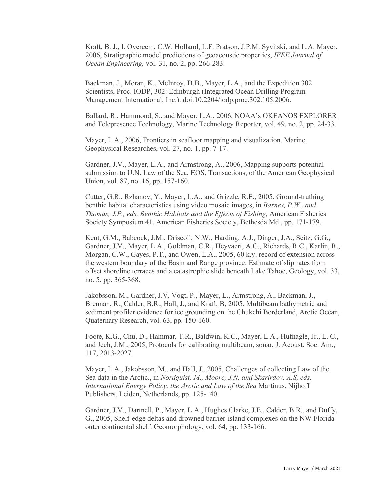Kraft, B. J., I. Overeem, C.W. Holland, L.F. Pratson, J.P.M. Syvitski, and L.A. Mayer, 2006, Stratigraphic model predictions of geoacoustic properties, *IEEE Journal of Ocean Engineering,* vol. 31, no. 2, pp. 266-283.

Backman, J., Moran, K., McInroy, D.B., Mayer, L.A., and the Expedition 302 Scientists, Proc. IODP, 302: Edinburgh (Integrated Ocean Drilling Program Management International, Inc.). doi:10.2204/iodp.proc.302.105.2006.

Ballard, R., Hammond, S., and Mayer, L.A., 2006, NOAA's OKEANOS EXPLORER and Telepresence Technology, Marine Technology Reporter, vol. 49, no. 2, pp. 24-33.

Mayer, L.A., 2006, Frontiers in seafloor mapping and visualization, Marine Geophysical Researches, vol. 27, no. 1, pp. 7-17.

Gardner, J.V., Mayer, L.A., and Armstrong, A., 2006, Mapping supports potential submission to U.N. Law of the Sea, EOS, Transactions, of the American Geophysical Union, vol. 87, no. 16, pp. 157-160.

Cutter, G.R., Rzhanov, Y., Mayer, L.A., and Grizzle, R.E., 2005, Ground-truthing benthic habitat characteristics using video mosaic images, in *Barnes, P.W., and Thomas, J.P., eds, Benthic Habitats and the Effects of Fishing,* American Fisheries Society Symposium 41, American Fisheries Society, Bethesda Md., pp. 171-179.

Kent, G.M., Babcock, J.M., Driscoll, N.W., Harding, A.J., Dinger, J.A., Seitz, G.G., Gardner, J.V., Mayer, L.A., Goldman, C.R., Heyvaert, A.C., Richards, R.C., Karlin, R., Morgan, C.W., Gayes, P.T., and Owen, L.A., 2005, 60 k.y. record of extension across the western boundary of the Basin and Range province: Estimate of slip rates from offset shoreline terraces and a catastrophic slide beneath Lake Tahoe, Geology, vol. 33, no. 5, pp. 365-368.

Jakobsson, M., Gardner, J.V, Vogt, P., Mayer, L., Armstrong, A., Backman, J., Brennan, R., Calder, B.R., Hall, J., and Kraft, B, 2005, Multibeam bathymetric and sediment profiler evidence for ice grounding on the Chukchi Borderland, Arctic Ocean, Quaternary Research, vol. 63, pp. 150-160.

Foote, K.G., Chu, D., Hammar, T.R., Baldwin, K.C., Mayer, L.A., Hufnagle, Jr., L. C., and Jech, J.M., 2005, Protocols for calibrating multibeam, sonar, J. Acoust. Soc. Am., 117, 2013-2027.

Mayer, L.A., Jakobsson, M., and Hall, J., 2005, Challenges of collecting Law of the Sea data in the Arctic., in *Nordquist, M., Moore, J.N, and Skarirdov, A.S, eds, International Energy Policy, the Arctic and Law of the Sea* Martinus, Nijhoff Publishers, Leiden, Netherlands, pp. 125-140.

Gardner, J.V., Dartnell, P., Mayer, L.A., Hughes Clarke, J.E., Calder, B.R., and Duffy, G., 2005, Shelf-edge deltas and drowned barrier-island complexes on the NW Florida outer continental shelf. Geomorphology, vol. 64, pp. 133-166.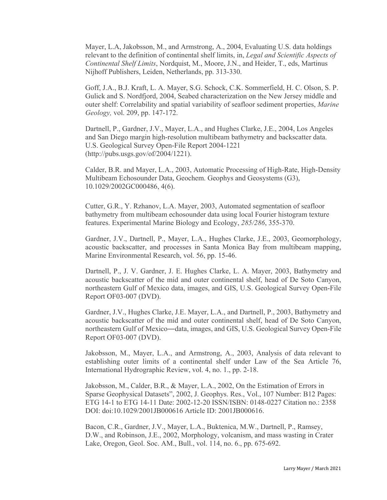Mayer, L.A, Jakobsson, M., and Armstrong, A., 2004, Evaluating U.S. data holdings relevant to the definition of continental shelf limits, in, *Legal and Scientific Aspects of Continental Shelf Limits*, Nordquist, M., Moore, J.N., and Heider, T., eds, Martinus Nijhoff Publishers, Leiden, Netherlands, pp. 313-330.

Goff, J.A., B.J. Kraft, L. A. Mayer, S.G. Schock, C.K. Sommerfield, H. C. Olson, S. P. Gulick and S. Nordfjord, 2004, Seabed characterization on the New Jersey middle and outer shelf: Correlability and spatial variability of seafloor sediment properties, *Marine Geology,* vol. 209, pp. 147-172.

Dartnell, P., Gardner, J.V., Mayer, L.A., and Hughes Clarke, J.E., 2004, Los Angeles and San Diego margin high-resolution multibeam bathymetry and backscatter data. U.S. Geological Survey Open-File Report 2004-1221 [\(http://pubs.usgs.gov/of/2004/1221\)](http://pubs.usgs.gov/of/2004/1221).

Calder, B.R. and Mayer, L.A., 2003, Automatic Processing of High-Rate, High-Density Multibeam Echosounder Data, Geochem. Geophys and Geosystems (G3), 10.1029/2002GC000486, 4(6).

Cutter, G.R., Y. Rzhanov, L.A. Mayer, 2003, Automated segmentation of seafloor bathymetry from multibeam echosounder data using local Fourier histogram texture features. Experimental Marine Biology and Ecology, *285/286*, 355-370.

Gardner, J.V., Dartnell, P., Mayer, L.A., Hughes Clarke, J.E., 2003, Geomorphology, acoustic backscatter, and processes in Santa Monica Bay from multibeam mapping, Marine Environmental Research, vol. 56, pp. 15-46.

Dartnell, P., J. V. Gardner, J. E. Hughes Clarke, L. A. Mayer, 2003, Bathymetry and acoustic backscatter of the mid and outer continental shelf, head of De Soto Canyon, northeastern Gulf of Mexico data, images, and GIS, U.S. Geological Survey Open-File Report OF03-007 (DVD).

Gardner, J.V., Hughes Clarke, J.E. Mayer, L.A., and Dartnell, P., 2003, Bathymetry and acoustic backscatter of the mid and outer continental shelf, head of De Soto Canyon, northeastern Gulf of Mexico―data, images, and GIS, U.S. Geological Survey Open-File Report OF03-007 (DVD).

Jakobsson, M., Mayer, L.A., and Armstrong, A., 2003, Analysis of data relevant to establishing outer limits of a continental shelf under Law of the Sea Article 76, International Hydrographic Review, vol. 4, no. 1., pp. 2-18.

Jakobsson, M., Calder, B.R., & Mayer, L.A., 2002, On the Estimation of Errors in Sparse Geophysical Datasets", 2002, J. Geophys. Res., Vol., 107 Number: B12 Pages: ETG 14-1 to ETG 14-11 Date: 2002-12-20 ISSN/ISBN: 0148-0227 Citation no.: 2358 DOI: doi:10.1029/2001JB000616 Article ID: 2001JB000616.

Bacon, C.R., Gardner, J.V., Mayer, L.A., Buktenica, M.W., Dartnell, P., Ramsey, D.W., and Robinson, J.E., 2002, Morphology, volcanism, and mass wasting in Crater Lake, Oregon, Geol. Soc. AM., Bull., vol. 114, no. 6., pp. 675-692.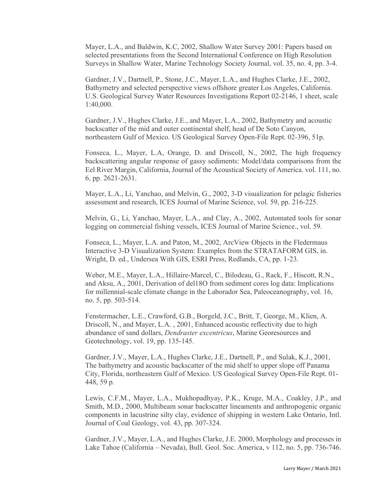Mayer, L.A., and Baldwin, K.C, 2002, Shallow Water Survey 2001: Papers based on selected presentations from the Second International Conference on High Resolution Surveys in Shallow Water, Marine Technology Society Journal, vol. 35, no. 4, pp. 3-4.

Gardner, J.V., Dartnell, P., Stone, J.C., Mayer, L.A., and Hughes Clarke, J.E., 2002, Bathymetry and selected perspective views offshore greater Los Angeles, California. U.S. Geological Survey Water Resources Investigations Report 02-2146, 1 sheet, scale 1:40,000.

Gardner, J.V., Hughes Clarke, J.E., and Mayer, L.A., 2002, Bathymetry and acoustic backscatter of the mid and outer continental shelf, head of De Soto Canyon, northeastern Gulf of Mexico. US Geological Survey Open-File Rept. 02-396, 51p.

Fonseca, L., Mayer, L.A, Orange, D. and Driscoll, N., 2002, The high frequency backscattering angular response of gassy sediments: Model/data comparisons from the Eel River Margin, California, Journal of the Acoustical Society of America. vol. 111, no. 6, pp. 2621-2631.

Mayer, L.A., Li, Yanchao, and Melvin, G., 2002, 3-D visualization for pelagic fisheries assessment and research, ICES Journal of Marine Science, vol. 59, pp. 216-225.

Melvin, G., Li, Yanchao, Mayer, L.A., and Clay, A., 2002, Automated tools for sonar logging on commercial fishing vessels, ICES Journal of Marine Science., vol. 59.

Fonseca, L., Mayer, L.A. and Paton, M., 2002, ArcView Objects in the Fledermaus Interactive 3-D Visualization System: Examples from the STRATAFORM GIS, in. Wright, D. ed., Undersea With GIS, ESRI Press, Redlands, CA, pp. 1-23.

Weber, M.E., Mayer, L.A., Hillaire-Marcel, C., Bilodeau, G., Rack, F., Hiscott, R.N., and Aksu, A., 2001, Derivation of del18O from sediment cores log data: Implications for millennial-scale climate change in the Laborador Sea, Paleoceanography, vol. 16, no. 5, pp. 503-514.

Fenstermacher, L.E., Crawford, G.B., Borgeld, J.C., Britt, T, George, M., Klien, A. Driscoll, N., and Mayer, L.A. , 2001, Enhanced acoustic reflectivity due to high abundance of sand dollars, *Dendraster excentricus*, Marine Georesources and Geotechnology, vol. 19, pp. 135-145.

Gardner, J.V., Mayer, L.A., Hughes Clarke, J.E., Dartnell, P., and Sulak, K.J., 2001, The bathymetry and acoustic backscatter of the mid shelf to upper slope off Panama City, Florida, northeastern Gulf of Mexico. US Geological Survey Open-File Rept. 01- 448, 59 p.

Lewis, C.F.M., Mayer, L.A., Mukhopadhyay, P.K., Kruge, M.A., Coakley, J.P., and Smith, M.D., 2000, Multibeam sonar backscatter lineaments and anthropogenic organic components in lacustrine silty clay, evidence of shipping in western Lake Ontario, Intl. Journal of Coal Geology, vol. 43, pp. 307-324.

Gardner, J.V., Mayer, L.A., and Hughes Clarke, J.E. 2000, Morphology and processes in Lake Tahoe (California – Nevada), Bull. Geol. Soc. America, v 112, no. 5, pp. 736-746.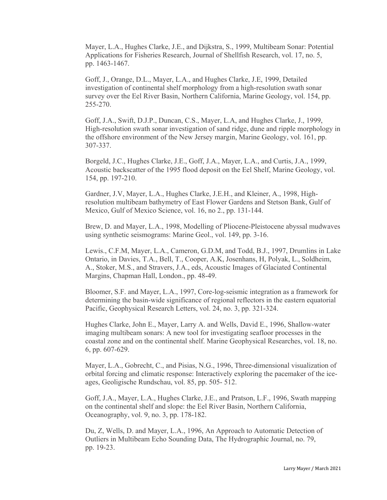Mayer, L.A., Hughes Clarke, J.E., and Dijkstra, S., 1999, Multibeam Sonar: Potential Applications for Fisheries Research, Journal of Shellfish Research, vol. 17, no. 5, pp. 1463-1467.

Goff, J., Orange, D.L., Mayer, L.A., and Hughes Clarke, J.E, 1999, Detailed investigation of continental shelf morphology from a high-resolution swath sonar survey over the Eel River Basin, Northern California, Marine Geology, vol. 154, pp. 255-270.

Goff, J.A., Swift, D.J.P., Duncan, C.S., Mayer, L.A, and Hughes Clarke, J., 1999, High-resolution swath sonar investigation of sand ridge, dune and ripple morphology in the offshore environment of the New Jersey margin, Marine Geology, vol. 161, pp. 307-337.

Borgeld, J.C., Hughes Clarke, J.E., Goff, J.A., Mayer, L.A., and Curtis, J.A., 1999, Acoustic backscatter of the 1995 flood deposit on the Eel Shelf, Marine Geology, vol. 154, pp. 197-210.

Gardner, J.V, Mayer, L.A., Hughes Clarke, J.E.H., and Kleiner, A., 1998, Highresolution multibeam bathymetry of East Flower Gardens and Stetson Bank, Gulf of Mexico, Gulf of Mexico Science, vol. 16, no 2., pp. 131-144.

Brew, D. and Mayer, L.A., 1998, Modelling of Pliocene-Pleistocene abyssal mudwaves using synthetic seismograms: Marine Geol., vol. 149, pp. 3-16.

Lewis., C.F.M, Mayer, L.A., Cameron, G.D.M, and Todd, B.J., 1997, Drumlins in Lake Ontario, in Davies, T.A., Bell, T., Cooper, A.K, Josenhans, H, Polyak, L., Soldheim, A., Stoker, M.S., and Stravers, J.A., eds, Acoustic Images of Glaciated Continental Margins, Chapman Hall, London., pp. 48-49.

Bloomer, S.F. and Mayer, L.A., 1997, Core-log-seismic integration as a framework for determining the basin-wide significance of regional reflectors in the eastern equatorial Pacific, Geophysical Research Letters, vol. 24, no. 3, pp. 321-324.

Hughes Clarke, John E., Mayer, Larry A. and Wells, David E., 1996, Shallow-water imaging multibeam sonars: A new tool for investigating seafloor processes in the coastal zone and on the continental shelf. Marine Geophysical Researches, vol. 18, no. 6, pp. 607-629.

Mayer, L.A., Gobrecht, C., and Pisias, N.G., 1996, Three-dimensional visualization of orbital forcing and climatic response: Interactively exploring the pacemaker of the iceages, Geoligische Rundschau, vol. 85, pp. 505- 512.

Goff, J.A., Mayer, L.A., Hughes Clarke, J.E., and Pratson, L.F., 1996, Swath mapping on the continental shelf and slope: the Eel River Basin, Northern California, Oceanography, vol. 9, no. 3, pp. 178-182.

Du, Z, Wells, D. and Mayer, L.A., 1996, An Approach to Automatic Detection of Outliers in Multibeam Echo Sounding Data, The Hydrographic Journal, no. 79, pp. 19-23.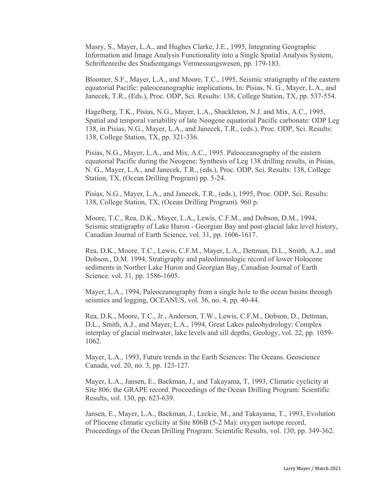Masry, S., Mayer, L.A., and Hughes Clarke, J.E., 1995, Integrating Geographic Information and Image Analysis Functionality into a Single Spatial Analysis System, Schriftenreihe des Studientgangs Vermessungswesen, pp. 179-183.

Bloomer, S.F., Mayer, L.A., and Moore, T.C., 1995, Seismic stratigraphy of the eastern equatorial Pacific: paleoceanographic implications, In: Pisias, N. G., Mayer, L.A., and Janecek, T.R., (Eds.), Proc. ODP, Sci. Results: 138, College Station, TX, pp. 537-554.

Hagelberg, T.K., Pisias, N.G., Mayer, L.A., Shackleton, N.J. and Mix, A.C., 1995, Spatial and temporal variability of late Neogene equatorial Pacific carbonate: ODP Leg 138, in Pisias, N.G., Mayer, L.A., and Janecek, T.R., (eds.), Proc. ODP, Sci. Results: 138, College Station, TX, pp. 321-336.

Pisias, N.G., Mayer, L.A., and Mix, A.C., 1995. Paleoceanography of the eastern equatorial Pacific during the Neogene: Synthesis of Leg 138 drilling results, in Pisias, N. G., Mayer, L.A., and Janecek, T.R., (eds.), Proc. ODP, Sci. Results: 138, College Station, TX, (Ocean Drilling Program) pp. 5-24.

Pisias, N.G., Mayer, L.A., and Janecek, T.R., (eds.), 1995, Proc. ODP, Sci. Results: 138, College Station, TX, (Ocean Drilling Program). 960 p.

Moore, T.C., Rea, D.K., Mayer, L.A., Lewis, C.F.M., and Dobson, D.M., 1994, Seismic stratigraphy of Lake Huron - Georgian Bay and post-glacial lake level history, Canadian Journal of Earth Science, vol. 31, pp. 1606-1617.

Rea, D.K., Moore, T.C., Lewis, C.F.M., Mayer, L.A., Dettman, D.L., Smith, A.J., and Dobson., D.M. 1994, Stratigraphy and paleolimnologic record of lower Holocene sediments in Norther Lake Huron and Georgian Bay, Canadian Journal of Earth Science. vol. 31, pp. 1586-1605.

Mayer, L.A., 1994, Paleoceanography from a single hole to the ocean basins through seismics and logging, OCEANUS, vol. 36, no. 4, pp. 40-44.

Rea, D.K., Moore, T.C., Jr., Anderson, T.W., Lewis, C.F.M., Dobson, D., Dettman, D.L., Smith, A.J., and Mayer, L.A., 1994, Great Lakes paleohydrology: Complex interplay of glacial meltwater, lake levels and sill depths, Geology, vol. 22, pp. 1059- 1062.

Mayer, L.A., 1993, Future trends in the Earth Sciences: The Oceans. Geoscience Canada, vol. 20, no. 3, pp. 123-127.

Mayer, L.A., Jansen, E., Backman, J., and Takayama, T, 1993, Climatic cyclicity at Site 806: the GRAPE record. Proceedings of the Ocean Drilling Program: Scientific Results, vol. 130, pp. 623-639.

Jansen, E., Mayer, L.A., Backman, J., Leckie, M., and Takayama, T., 1993, Evolution of Pliocene climatic cyclicity at Site 806B (5-2 Ma): oxygen isotope record, Proceedings of the Ocean Drilling Program: Scientific Results, vol. 130, pp. 349-362.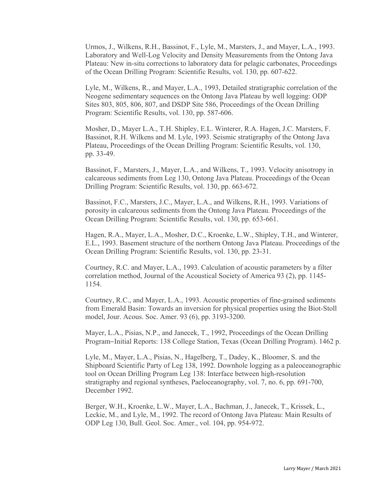Urmos, J., Wilkens, R.H., Bassinot, F., Lyle, M., Marsters, J., and Mayer, L.A., 1993. Laboratory and Well-Log Velocity and Density Measurements from the Ontong Java Plateau: New in-situ corrections to laboratory data for pelagic carbonates, Proceedings of the Ocean Drilling Program: Scientific Results, vol. 130, pp. 607-622.

Lyle, M., Wilkens, R., and Mayer, L.A., 1993, Detailed stratigraphic correlation of the Neogene sedimentary sequences on the Ontong Java Plateau by well logging: ODP Sites 803, 805, 806, 807, and DSDP Site 586, Proceedings of the Ocean Drilling Program: Scientific Results, vol. 130, pp. 587-606.

Mosher, D., Mayer L.A., T.H. Shipley, E.L. Winterer, R.A. Hagen, J.C. Marsters, F. Bassinot, R.H. Wilkens and M. Lyle, 1993. Seismic stratigraphy of the Ontong Java Plateau, Proceedings of the Ocean Drilling Program: Scientific Results, vol. 130, pp. 33-49.

Bassinot, F., Marsters, J., Mayer, L.A., and Wilkens, T., 1993. Velocity anisotropy in calcareous sediments from Leg 130, Ontong Java Plateau. Proceedings of the Ocean Drilling Program: Scientific Results, vol. 130, pp. 663-672.

Bassinot, F.C., Marsters, J.C., Mayer, L.A., and Wilkens, R.H., 1993. Variations of porosity in calcareous sediments from the Ontong Java Plateau. Proceedings of the Ocean Drilling Program: Scientific Results, vol. 130, pp. 653-661.

Hagen, R.A., Mayer, L.A., Mosher, D.C., Kroenke, L.W., Shipley, T.H., and Winterer, E.L., 1993. Basement structure of the northern Ontong Java Plateau. Proceedings of the Ocean Drilling Program: Scientific Results, vol. 130, pp. 23-31.

Courtney, R.C. and Mayer, L.A., 1993. Calculation of acoustic parameters by a filter correlation method, Journal of the Acoustical Society of America 93 (2), pp. 1145- 1154.

Courtney, R.C., and Mayer, L.A., 1993. Acoustic properties of fine-grained sediments from Emerald Basin: Towards an inversion for physical properties using the Biot-Stoll model, Jour. Acous. Soc. Amer. 93 (6), pp. 3193-3200.

Mayer, L.A., Pisias, N.P., and Janecek, T., 1992, Proceedings of the Ocean Drilling Program–Initial Reports: 138 College Station, Texas (Ocean Drilling Program). 1462 p.

Lyle, M., Mayer, L.A., Pisias, N., Hagelberg, T., Dadey, K., Bloomer, S. and the Shipboard Scientific Party of Leg 138, 1992. Downhole logging as a paleoceanographic tool on Ocean Drilling Program Leg 138: Interface between high-resolution stratigraphy and regional syntheses, Paeloceanography, vol. 7, no. 6, pp. 691-700, December 1992.

Berger, W.H., Kroenke, L.W., Mayer, L.A., Bachman, J., Janecek, T., Krissek, L., Leckie, M., and Lyle, M., 1992. The record of Ontong Java Plateau: Main Results of ODP Leg 130, Bull. Geol. Soc. Amer., vol. 104, pp. 954-972.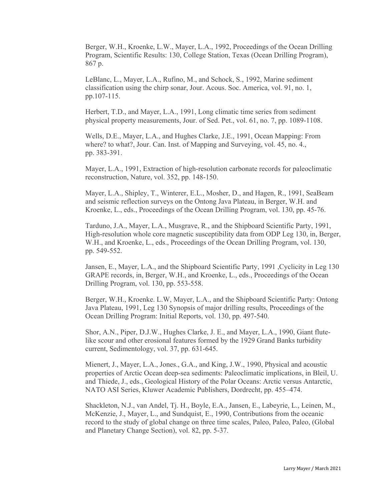Berger, W.H., Kroenke, L.W., Mayer, L.A., 1992, Proceedings of the Ocean Drilling Program, Scientific Results: 130, College Station, Texas (Ocean Drilling Program), 867 p.

LeBlanc, L., Mayer, L.A., Rufino, M., and Schock, S., 1992, Marine sediment classification using the chirp sonar, Jour. Acous. Soc. America, vol. 91, no. 1, pp.107-115.

Herbert, T.D., and Mayer, L.A., 1991, Long climatic time series from sediment physical property measurements, Jour. of Sed. Pet., vol. 61, no. 7, pp. 1089-1108.

Wells, D.E., Mayer, L.A., and Hughes Clarke, J.E., 1991, Ocean Mapping: From where? to what?, Jour. Can. Inst. of Mapping and Surveying, vol. 45, no. 4., pp. 383-391.

Mayer, L.A., 1991, Extraction of high-resolution carbonate records for paleoclimatic reconstruction, Nature, vol. 352, pp. 148-150.

Mayer, L.A., Shipley, T., Winterer, E.L., Mosher, D., and Hagen, R., 1991, SeaBeam and seismic reflection surveys on the Ontong Java Plateau, in Berger, W.H. and Kroenke, L., eds., Proceedings of the Ocean Drilling Program, vol. 130, pp. 45-76.

Tarduno, J.A., Mayer, L.A., Musgrave, R., and the Shipboard Scientific Party, 1991, High-resolution whole core magnetic susceptibility data from ODP Leg 130, in, Berger, W.H., and Kroenke, L., eds., Proceedings of the Ocean Drilling Program, vol. 130, pp. 549-552.

Jansen, E., Mayer, L.A., and the Shipboard Scientific Party, 1991 ,Cyclicity in Leg 130 GRAPE records, in, Berger, W.H., and Kroenke, L., eds., Proceedings of the Ocean Drilling Program, vol. 130, pp. 553-558.

Berger, W.H., Kroenke. L.W, Mayer, L.A., and the Shipboard Scientific Party: Ontong Java Plateau, 1991, Leg 130 Synopsis of major drilling results, Proceedings of the Ocean Drilling Program: Initial Reports, vol. 130, pp. 497-540.

Shor, A.N., Piper, D.J.W., Hughes Clarke, J. E., and Mayer, L.A., 1990, Giant flutelike scour and other erosional features formed by the 1929 Grand Banks turbidity current, Sedimentology, vol. 37, pp. 631-645.

Mienert, J., Mayer, L.A., Jones., G.A., and King, J.W., 1990, Physical and acoustic properties of Arctic Ocean deep-sea sediments: Paleoclimatic implications, in Bleil, U. and Thiede, J., eds., Geological History of the Polar Oceans: Arctic versus Antarctic, NATO ASI Series, Kluwer Academic Publishers, Dordrecht, pp. 455–474.

Shackleton, N.J., van Andel, Tj. H., Boyle, E.A., Jansen, E., Labeyrie, L., Leinen, M., McKenzie, J., Mayer, L., and Sundquist, E., 1990, Contributions from the oceanic record to the study of global change on three time scales, Paleo, Paleo, Paleo, (Global and Planetary Change Section), vol. 82, pp. 5-37.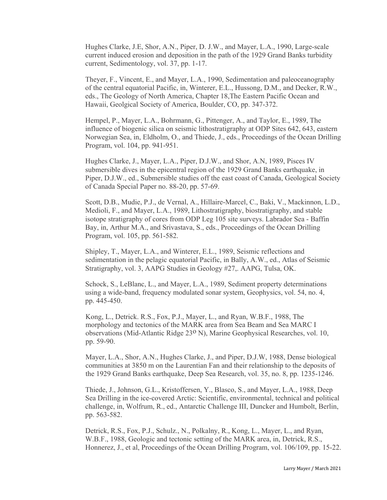Hughes Clarke, J.E, Shor, A.N., Piper, D. J.W., and Mayer, L.A., 1990, Large-scale current induced erosion and deposition in the path of the 1929 Grand Banks turbidity current, Sedimentology, vol. 37, pp. 1-17.

Theyer, F., Vincent, E., and Mayer, L.A., 1990, Sedimentation and paleoceanography of the central equatorial Pacific, in, Winterer, E.L., Hussong, D.M., and Decker, R.W., eds., The Geology of North America, Chapter 18,The Eastern Pacific Ocean and Hawaii, Geolgical Society of America, Boulder, CO, pp. 347-372.

Hempel, P., Mayer, L.A., Bohrmann, G., Pittenger, A., and Taylor, E., 1989, The influence of biogenic silica on seismic lithostratigraphy at ODP Sites 642, 643, eastern Norwegian Sea, in, Eldholm, O., and Thiede, J., eds., Proceedings of the Ocean Drilling Program, vol. 104, pp. 941-951.

Hughes Clarke, J., Mayer, L.A., Piper, D.J.W., and Shor, A.N, 1989, Pisces IV submersible dives in the epicentral region of the 1929 Grand Banks earthquake, in Piper, D.J.W., ed., Submersible studies off the east coast of Canada, Geological Society of Canada Special Paper no. 88-20, pp. 57-69.

Scott, D.B., Mudie, P.J., de Vernal, A., Hillaire-Marcel, C., Baki, V., Mackinnon, L.D., Medioli, F., and Mayer, L.A., 1989, Lithostratigraphy, biostratigraphy, and stable isotope stratigraphy of cores from ODP Leg 105 site surveys. Labrador Sea - Baffin Bay, in, Arthur M.A., and Srivastava, S., eds., Proceedings of the Ocean Drilling Program, vol. 105, pp. 561-582.

Shipley, T., Mayer, L.A., and Winterer, E.L., 1989, Seismic reflections and sedimentation in the pelagic equatorial Pacific, in Bally, A.W., ed., Atlas of Seismic Stratigraphy, vol. 3, AAPG Studies in Geology #27,. AAPG, Tulsa, OK.

Schock, S., LeBlanc, L., and Mayer, L.A., 1989, Sediment property determinations using a wide-band, frequency modulated sonar system, Geophysics, vol. 54, no. 4, pp. 445-450.

Kong, L., Detrick. R.S., Fox, P.J., Mayer, L., and Ryan, W.B.F., 1988, The morphology and tectonics of the MARK area from Sea Beam and Sea MARC I observations (Mid-Atlantic Ridge 23o N), Marine Geophysical Researches, vol. 10, pp. 59-90.

Mayer, L.A., Shor, A.N., Hughes Clarke, J., and Piper, D.J.W, 1988, Dense biological communities at 3850 m on the Laurentian Fan and their relationship to the deposits of the 1929 Grand Banks earthquake, Deep Sea Research, vol. 35, no. 8, pp. 1235-1246.

Thiede, J., Johnson, G.L., Kristoffersen, Y., Blasco, S., and Mayer, L.A., 1988, Deep Sea Drilling in the ice-covered Arctic: Scientific, environmental, technical and political challenge, in, Wolfrum, R., ed., Antarctic Challenge III, Duncker and Humbolt, Berlin, pp. 563-582.

Detrick, R.S., Fox, P.J., Schulz., N., Polkalny, R., Kong, L., Mayer, L., and Ryan, W.B.F., 1988, Geologic and tectonic setting of the MARK area, in, Detrick, R.S., Honnerez, J., et al, Proceedings of the Ocean Drilling Program, vol. 106/109, pp. 15-22.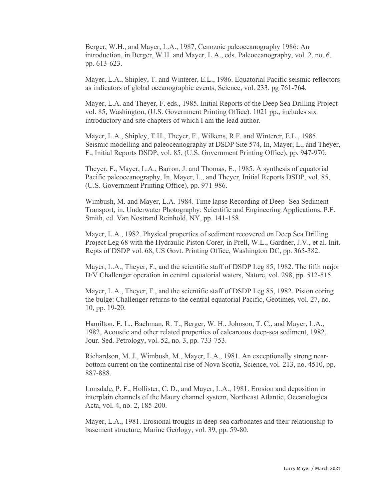Berger, W.H., and Mayer, L.A., 1987, Cenozoic paleoceanography 1986: An introduction, in Berger, W.H. and Mayer, L.A., eds. Paleoceanography, vol. 2, no. 6, pp. 613-623.

Mayer, L.A., Shipley, T. and Winterer, E.L., 1986. Equatorial Pacific seismic reflectors as indicators of global oceanographic events, Science, vol. 233, pg 761-764.

Mayer, L.A. and Theyer, F. eds., 1985. Initial Reports of the Deep Sea Drilling Project vol. 85, Washington, (U.S. Government Printing Office). 1021 pp., includes six introductory and site chapters of which I am the lead author.

Mayer, L.A., Shipley, T.H., Theyer, F., Wilkens, R.F. and Winterer, E.L., 1985. Seismic modelling and paleoceanography at DSDP Site 574, In, Mayer, L., and Theyer, F., Initial Reports DSDP, vol. 85, (U.S. Government Printing Office), pp. 947-970.

Theyer, F., Mayer, L.A., Barron, J. and Thomas, E., 1985. A synthesis of equatorial Pacific paleoceanography, In, Mayer, L., and Theyer, Initial Reports DSDP, vol. 85, (U.S. Government Printing Office), pp. 971-986.

Wimbush, M. and Mayer, L.A. 1984. Time lapse Recording of Deep- Sea Sediment Transport, in, Underwater Photography: Scientific and Engineering Applications, P.F. Smith, ed. Van Nostrand Reinhold, NY, pp. 141-158.

Mayer, L.A., 1982. Physical properties of sediment recovered on Deep Sea Drilling Project Leg 68 with the Hydraulic Piston Corer, in Prell, W.L., Gardner, J.V., et al. Init. Repts of DSDP vol. 68, US Govt. Printing Office, Washington DC, pp. 365-382.

Mayer, L.A., Theyer, F., and the scientific staff of DSDP Leg 85, 1982. The fifth major D/V Challenger operation in central equatorial waters, Nature, vol. 298, pp. 512-515.

Mayer, L.A., Theyer, F., and the scientific staff of DSDP Leg 85, 1982. Piston coring the bulge: Challenger returns to the central equatorial Pacific, Geotimes, vol. 27, no. 10, pp. 19-20.

Hamilton, E. L., Bachman, R. T., Berger, W. H., Johnson, T. C., and Mayer, L.A., 1982, Acoustic and other related properties of calcareous deep-sea sediment, 1982, Jour. Sed. Petrology, vol. 52, no. 3, pp. 733-753.

Richardson, M. J., Wimbush, M., Mayer, L.A., 1981. An exceptionally strong nearbottom current on the continental rise of Nova Scotia, Science, vol. 213, no. 4510, pp. 887-888.

Lonsdale, P. F., Hollister, C. D., and Mayer, L.A., 1981. Erosion and deposition in interplain channels of the Maury channel system, Northeast Atlantic, Oceanologica Acta, vol. 4, no. 2, 185-200.

Mayer, L.A., 1981. Erosional troughs in deep-sea carbonates and their relationship to basement structure, Marine Geology, vol. 39, pp. 59-80.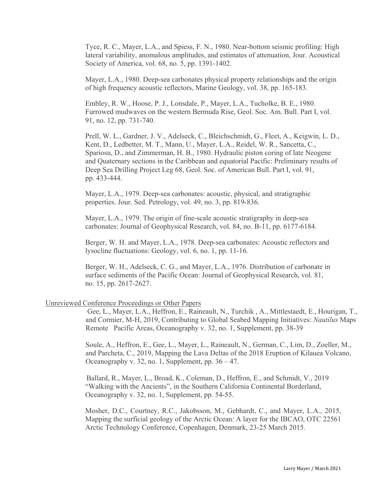Tyce, R. C., Mayer, L.A., and Spiess, F. N., 1980. Near-bottom seismic profiling: High lateral variability, anomalous amplitudes, and estimates of attenuation, Jour. Acoustical Society of America, vol. 68, no. 5, pp. 1391-1402.

Mayer, L.A., 1980. Deep-sea carbonates physical property relationships and the origin of high frequency acoustic reflectors, Marine Geology, vol. 38, pp. 165-183.

Embley, R. W., Hoose, P. J., Lonsdale, P., Mayer, L.A., Tucholke, B. E., 1980. Furrowed mudwaves on the western Bermuda Rise, Geol. Soc. Am. Bull. Part I, vol. 91, no. 12, pp. 731-740.

Prell, W. L., Gardner, J. V., Adelseck, C., Bleichschmidt, G., Fleet, A., Keigwin, L. D., Kent, D., Ledbetter, M. T., Mann, U., Mayer, L.A., Reidel, W. R., Sancetta, C., Spariosu, D., and Zimmerman, H. B., 1980. Hydraulic piston coring of late Neogene and Quaternary sections in the Caribbean and equatorial Pacific: Preliminary results of Deep Sea Drilling Project Leg 68, Geol. Soc. of American Bull. Part I, vol. 91, pp. 433-444.

Mayer, L.A., 1979. Deep-sea carbonates: acoustic, physical, and stratigraphic properties. Jour. Sed. Petrology, vol. 49, no. 3, pp. 819-836.

Mayer, L.A., 1979. The origin of fine-scale acoustic stratigraphy in deep-sea carbonates: Journal of Geophysical Research, vol. 84, no. B-11, pp. 6177-6184.

Berger, W. H. and Mayer, L.A., 1978. Deep-sea carbonates: Acoustic reflectors and lysocline fluctuations: Geology, vol. 6, no. 1, pp. 11-16.

Berger, W. H., Adelseck, C. G., and Mayer, L.A., 1976. Distribution of carbonate in surface sediments of the Pacific Ocean: Journal of Geophysical Research, vol. 81, no. 15, pp. 2617-2627.

### Unreviewed Conference Proceedings or Other Papers

Gee, L., Mayer, L.A., Heffron, E., Raineault, N., Turchik , A., Mittlestaedt, E., Hourigan, T., and Cormier, M-H, 2019, Contributing to Global Seabed Mapping Initiatives: *Nautilus* Maps Remote Pacific Areas, Oceanography v. 32, no. 1, Supplement, pp. 38-39

Soule, A., Heffron, E., Gee, L., Mayer, L., Raineault, N., German, C., Lim, D., Zoeller, M., and Parcheta, C., 2019, Mapping the Lava Deltas of the 2018 Eruption of Kilauea Volcano, Oceanography v. 32, no. 1, Supplement, pp.  $36 - 47$ .

 Ballard, R., Mayer, L., Broad, K., Coleman, D., Heffron, E., and Schmidt, V., 2019 "Walking with the Ancients", in the Southern California Continental Borderland, Oceanography v. 32, no. 1, Supplement, pp. 54-55.

Mosher, D.C., Courtney, R.C., Jakobsson, M., Gebhardt, C., and Mayer, L.A., 2015, Mapping the surficial geology of the Arctic Ocean: A layer for the IBCAO, OTC 22561 Arctic Technology Conference, Copenhagen, Denmark, 23-25 March 2015.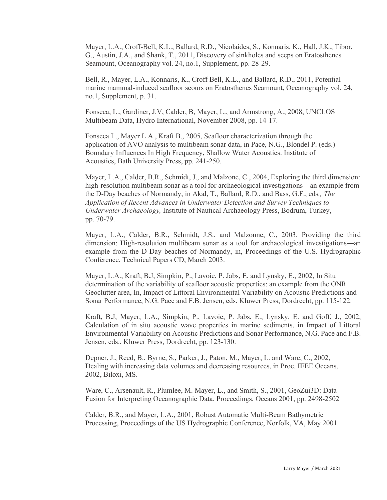Mayer, L.A., Croff-Bell, K.L., Ballard, R.D., Nicolaides, S., Konnaris, K., Hall, J.K., Tibor, G., Austin, J.A., and Shank, T., 2011, Discovery of sinkholes and seeps on Eratosthenes Seamount, Oceanography vol. 24, no.1, Supplement, pp. 28-29.

Bell, R., Mayer, L.A., Konnaris, K., Croff Bell, K.L., and Ballard, R.D., 2011, Potential marine mammal-induced seafloor scours on Eratosthenes Seamount, Oceanography vol. 24, no.1, Supplement, p. 31.

Fonseca, L., Gardiner, J.V, Calder, B, Mayer, L., and Armstrong, A., 2008, UNCLOS Multibeam Data, Hydro International, November 2008, pp. 14-17.

Fonseca L., Mayer L.A., Kraft B., 2005, Seafloor characterization through the application of AVO analysis to multibeam sonar data, in Pace, N.G., Blondel P. (eds.) Boundary Influences In High Frequency, Shallow Water Acoustics. Institute of Acoustics, Bath University Press, pp. 241-250.

Mayer, L.A., Calder, B.R., Schmidt, J., and Malzone, C., 2004, Exploring the third dimension: high-resolution multibeam sonar as a tool for archaeological investigations – an example from the D-Day beaches of Normandy, in Akal, T., Ballard, R.D., and Bass, G.F., eds*., The Application of Recent Advances in Underwater Detection and Survey Techniques to Underwater Archaeology,* Institute of Nautical Archaeology Press, Bodrum, Turkey, pp. 70-79.

Mayer, L.A., Calder, B.R., Schmidt, J.S., and Malzonne, C., 2003, Providing the third dimension: High-resolution multibeam sonar as a tool for archaeological investigations―an example from the D-Day beaches of Normandy, in, Proceedings of the U.S. Hydrographic Conference, Technical Papers CD, March 2003.

Mayer, L.A., Kraft, B.J, Simpkin, P., Lavoie, P. Jabs, E. and Lynsky, E., 2002, In Situ determination of the variability of seafloor acoustic properties: an example from the ONR Geoclutter area, In, Impact of Littoral Environmental Variability on Acoustic Predictions and Sonar Performance, N.G. Pace and F.B. Jensen, eds. Kluwer Press, Dordrecht, pp. 115-122.

Kraft, B.J, Mayer, L.A., Simpkin, P., Lavoie, P. Jabs, E., Lynsky, E. and Goff, J., 2002, Calculation of in situ acoustic wave properties in marine sediments, in Impact of Littoral Environmental Variability on Acoustic Predictions and Sonar Performance, N.G. Pace and F.B. Jensen, eds., Kluwer Press, Dordrecht, pp. 123-130.

Depner, J., Reed, B., Byrne, S., Parker, J., Paton, M., Mayer, L. and Ware, C., 2002, Dealing with increasing data volumes and decreasing resources, in Proc. IEEE Oceans, 2002, Biloxi, MS.

Ware, C., Arsenault, R., Plumlee, M. Mayer, L., and Smith, S., 2001, GeoZui3D: Data Fusion for Interpreting Oceanographic Data. Proceedings, Oceans 2001, pp. 2498-2502

Calder, B.R., and Mayer, L.A., 2001, Robust Automatic Multi-Beam Bathymetric Processing, Proceedings of the US Hydrographic Conference, Norfolk, VA, May 2001.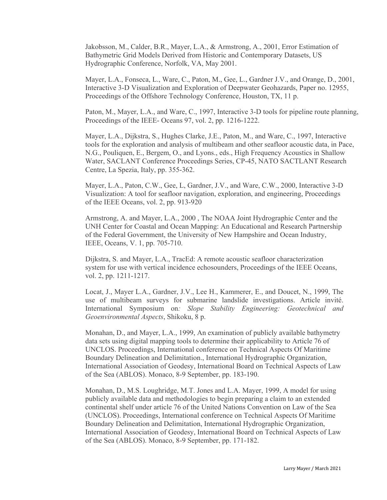Jakobsson, M., Calder, B.R., Mayer, L.A., & Armstrong, A., 2001, Error Estimation of Bathymetric Grid Models Derived from Historic and Contemporary Datasets, US Hydrographic Conference, Norfolk, VA, May 2001.

Mayer, L.A., Fonseca, L., Ware, C., Paton, M., Gee, L., Gardner J.V., and Orange, D., 2001, Interactive 3-D Visualization and Exploration of Deepwater Geohazards, Paper no. 12955, Proceedings of the Offshore Technology Conference, Houston, TX, 11 p.

Paton, M., Mayer, L.A., and Ware, C., 1997, Interactive 3-D tools for pipeline route planning, Proceedings of the IEEE- Oceans 97, vol. 2, pp. 1216-1222.

Mayer, L.A., Dijkstra, S., Hughes Clarke, J.E., Paton, M., and Ware, C., 1997, Interactive tools for the exploration and analysis of multibeam and other seafloor acoustic data, in Pace, N.G., Pouliquen, E., Bergem, O., and Lyons., eds., High Frequency Acoustics in Shallow Water, SACLANT Conference Proceedings Series, CP-45, NATO SACTLANT Research Centre, La Spezia, Italy, pp. 355-362.

Mayer, L.A., Paton, C.W., Gee, L, Gardner, J.V., and Ware, C.W., 2000, Interactive 3-D Visualization: A tool for seafloor navigation, exploration, and engineering, Proceedings of the IEEE Oceans, vol. 2, pp. 913-920

Armstrong, A. and Mayer, L.A., 2000 , The NOAA Joint Hydrographic Center and the UNH Center for Coastal and Ocean Mapping: An Educational and Research Partnership of the Federal Government, the University of New Hampshire and Ocean Industry, IEEE, Oceans, V. 1, pp. 705-710.

Dijkstra, S. and Mayer, L.A., TracEd: A remote acoustic seafloor characterization system for use with vertical incidence echosounders, Proceedings of the IEEE Oceans, vol. 2, pp. 1211-1217.

Locat, J., Mayer L.A., Gardner, J.V., Lee H., Kammerer, E., and Doucet, N., 1999, The use of multibeam surveys for submarine landslide investigations. Article invité. International Symposium on*: Slope Stability Engineering: Geotechnical and Geoenvironmental Aspects*, Shikoku, 8 p.

Monahan, D., and Mayer, L.A., 1999, An examination of publicly available bathymetry data sets using digital mapping tools to determine their applicability to Article 76 of UNCLOS. Proceedings, International conference on Technical Aspects Of Maritime Boundary Delineation and Delimitation., International Hydrographic Organization, International Association of Geodesy, International Board on Technical Aspects of Law of the Sea (ABLOS). Monaco, 8-9 September, pp. 183-190.

Monahan, D., M.S. Loughridge, M.T. Jones and L.A. Mayer, 1999, A model for using publicly available data and methodologies to begin preparing a claim to an extended continental shelf under article 76 of the United Nations Convention on Law of the Sea (UNCLOS). Proceedings, International conference on Technical Aspects Of Maritime Boundary Delineation and Delimitation, International Hydrographic Organization, International Association of Geodesy, International Board on Technical Aspects of Law of the Sea (ABLOS). Monaco, 8-9 September, pp. 171-182.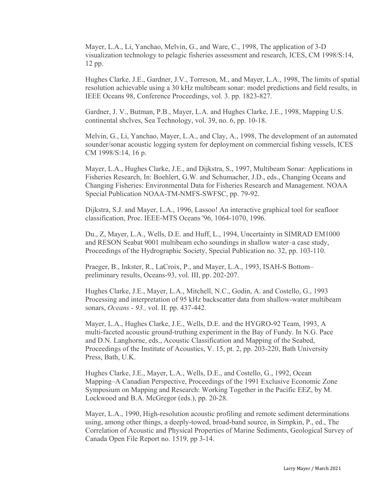Mayer, L.A., Li, Yanchao, Melvin, G., and Ware, C., 1998, The application of 3-D visualization technology to pelagic fisheries assessment and research, ICES, CM 1998/S:14, 12 pp.

Hughes Clarke, J.E., Gardner, J.V., Torreson, M., and Mayer, L.A., 1998, The limits of spatial resolution achievable using a 30 kHz multibeam sonar: model predictions and field results, in IEEE Oceans 98, Conference Proceedings, vol. 3. pp. 1823-827.

Gardner, J. V., Butman, P.B., Mayer, L.A. and Hughes Clarke, J.E., 1998, Mapping U.S. continental shclves, Sea Technology, vol. 39, no. 6, pp. 10-18.

Melvin, G., Li, Yanchao, Mayer, L.A., and Clay, A., 1998, The development of an automated sounder/sonar acoustic logging system for deployment on commercial fishing vessels, ICES CM 1998/S:14, 16 p.

Mayer, L.A., Hughes Clarke, J.E., and Dijkstra, S., 1997, Multibeam Sonar: Applications in Fisheries Research, In: Boehlert, G.W. and Schumacher, J.D., eds., Changing Oceans and Changing Fisheries: Environmental Data for Fisheries Research and Management. NOAA Special Publication NOAA-TM-NMFS-SWFSC, pp. 79-92.

Dijkstra, S.J. and Mayer, L.A., 1996, Lassoo! An interactive graphical tool for seafloor classification, Proc. IEEE-MTS Oceans '96, 1064-1070, 1996.

Du., Z, Mayer, L.A., Wells, D.E. and Huff, L., 1994, Uncertainty in SIMRAD EM1000 and RESON Seabat 9001 multibeam echo soundings in shallow water–a case study, Proceedings of the Hydrographic Society, Special Publication no. 32, pp. 103-110.

Praeger, B., Inkster, R., LaCroix, P., and Mayer, L.A., 1993, ISAH-S Bottom– preliminary results, Oceans-93, vol. III, pp. 202-207.

Hughes Clarke, J.E., Mayer, L.A., Mitchell, N.C., Godin, A. and Costello, G., 1993 Processing and interpretation of 95 kHz backscatter data from shallow-water multibeam sonars, *Oceans - 93.,* vol. II. pp. 437-442.

Mayer, L.A., Hughes Clarke, J.E., Wells, D.E. and the HYGRO-92 Team, 1993, A multi-faceted acoustic ground-truthing experiment in the Bay of Fundy. In N.G. Pace and D.N. Langhorne, eds., Acoustic Classification and Mapping of the Seabed, Proceedings of the Institute of Acoustics, V. 15, pt. 2, pp. 203-220, Bath University Press, Bath, U.K.

Hughes Clarke, J.E., Mayer, L.A., Wells, D.E., and Costello, G., 1992, Ocean Mapping–A Canadian Perspective, Proceedings of the 1991 Exclusive Economic Zone Symposium on Mapping and Research: Working Together in the Pacific EEZ, by M. Lockwood and B.A. McGregor (eds.), pp. 20-28.

Mayer, L.A., 1990, High-resolution acoustic profiling and remote sediment determinations using, among other things, a deeply-towed, broad-band source, in Simpkin, P., ed., The Correlation of Acoustic and Physical Properties of Marine Sediments, Geological Survey of Canada Open File Report no. 1519, pp 3-14.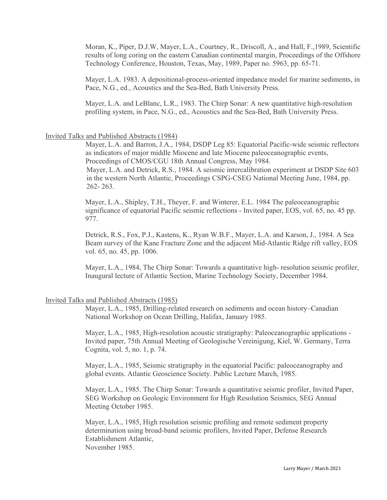Moran, K., Piper, D.J.W, Mayer, L.A., Courtney, R., Driscoll, A., and Hall, F.,1989, Scientific results of long coring on the eastern Canadian continental margin, Proceedings of the Offshore Technology Conference, Houston, Texas, May, 1989, Paper no. 5963, pp. 65-71.

Mayer, L.A. 1983. A depositional-process-oriented impedance model for marine sediments, in Pace, N.G., ed., Acoustics and the Sea-Bed, Bath University Press.

Mayer, L.A. and LeBlanc, L.R., 1983. The Chirp Sonar: A new quantitative high-resolution profiling system, in Pace, N.G., ed., Acoustics and the Sea-Bed, Bath University Press.

#### Invited Talks and Published Abstracts (1984)

Mayer, L.A. and Barron, J.A., 1984, DSDP Leg 85: Equatorial Pacific-wide seismic reflectors as indicators of major middle Miocene and late Miocene paleoceanographic events, Proceedings of CMOS/CGU 18th Annual Congress, May 1984.

Mayer, L.A. and Detrick, R.S., 1984. A seismic intercalibration experiment at DSDP Site 603 in the western North Atlantic, Proceedings CSPG-CSEG National Meeting June, 1984, pp. 262- 263.

Mayer, L.A., Shipley, T.H., Theyer, F. and Winterer, E.L. 1984 The paleoceanographic significance of equatorial Pacific seismic reflections - Invited paper, EOS, vol. 65, no. 45 pp. 977.

Detrick, R.S., Fox, P.J., Kastens, K., Ryan W.B.F., Mayer, L.A. and Karson, J., 1984. A Sea Beam survey of the Kane Fracture Zone and the adjacent Mid-Atlantic Ridge rift valley, EOS vol. 65, no. 45, pp. 1006.

Mayer, L.A., 1984, The Chirp Sonar: Towards a quantitative high- resolution seismic profiler, Inaugural lecture of Atlantic Section, Marine Technology Society, December 1984.

#### Invited Talks and Published Abstracts (1985)

Mayer, L.A., 1985, Drilling-related research on sediments and ocean history–Canadian National Workshop on Ocean Drilling, Halifax, January 1985.

Mayer, L.A., 1985, High-resolution acoustic stratigraphy: Paleoceanographic applications - Invited paper, 75th Annual Meeting of Geologische Vereinigung, Kiel, W. Germany, Terra Cognita, vol. 5, no. 1, p. 74.

Mayer, L.A., 1985, Seismic stratigraphy in the equatorial Pacific: paleoceanography and global events. Atlantic Geoscience Society. Public Lecture March, 1985.

Mayer, L.A., 1985. The Chirp Sonar: Towards a quantitative seismic profiler, Invited Paper, SEG Workshop on Geologic Environment for High Resolution Seismics, SEG Annual Meeting October 1985.

Mayer, L.A., 1985, High resolution seismic profiling and remote sediment property determination using broad-band seismic profilers, Invited Paper, Defense Research Establishment Atlantic, November 1985.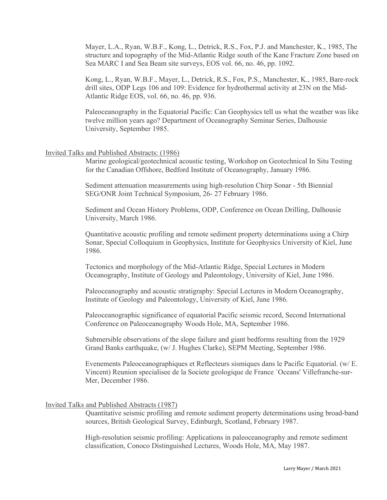Mayer, L.A., Ryan, W.B.F., Kong, L., Detrick, R.S., Fox, P.J. and Manchester, K., 1985, The structure and topography of the Mid-Atlantic Ridge south of the Kane Fracture Zone based on Sea MARC I and Sea Beam site surveys, EOS vol. 66, no. 46, pp. 1092.

Kong, L., Ryan, W.B.F., Mayer, L., Detrick, R.S., Fox, P.S., Manchester, K., 1985, Bare-rock drill sites, ODP Legs 106 and 109: Evidence for hydrothermal activity at 23N on the Mid-Atlantic Ridge EOS, vol. 66, no. 46, pp. 936.

Paleoceanography in the Equatorial Pacific: Can Geophysics tell us what the weather was like twelve million years ago? Department of Oceanography Seminar Series, Dalhousie University, September 1985.

## Invited Talks and Published Abstracts: (1986)

Marine geological/geotechnical acoustic testing, Workshop on Geotechnical In Situ Testing for the Canadian Offshore, Bedford Institute of Oceanography, January 1986.

Sediment attenuation measurements using high-resolution Chirp Sonar - 5th Biennial SEG/ONR Joint Technical Symposium, 26- 27 February 1986.

Sediment and Ocean History Problems, ODP, Conference on Ocean Drilling, Dalhousie University, March 1986.

Quantitative acoustic profiling and remote sediment property determinations using a Chirp Sonar, Special Colloquium in Geophysics, Institute for Geophysics University of Kiel, June 1986.

Tectonics and morphology of the Mid-Atlantic Ridge, Special Lectures in Modern Oceanography, Institute of Geology and Paleontology, University of Kiel, June 1986.

Paleoceanography and acoustic stratigraphy: Special Lectures in Modern Oceanography, Institute of Geology and Paleontology, University of Kiel, June 1986.

Paleoceanographic significance of equatorial Pacific seismic record, Second International Conference on Paleoceanography Woods Hole, MA, September 1986.

Submersible observations of the slope failure and giant bedforms resulting from the 1929 Grand Banks earthquake, (w/ J. Hughes Clarke), SEPM Meeting, September 1986.

Evenements Paleoceanographiques et Reflecteurs sismiques dans le Pacific Equatorial. (w/ E. Vincent) Reunion specialisee de la Societe geologique de France `Oceans' Villefranche-sur-Mer, December 1986.

#### Invited Talks and Published Abstracts (1987)

Quantitative seismic profiling and remote sediment property determinations using broad-band sources, British Geological Survey, Edinburgh, Scotland, February 1987.

High-resolution seismic profiling: Applications in paleoceanography and remote sediment classification, Conoco Distinguished Lectures, Woods Hole, MA, May 1987.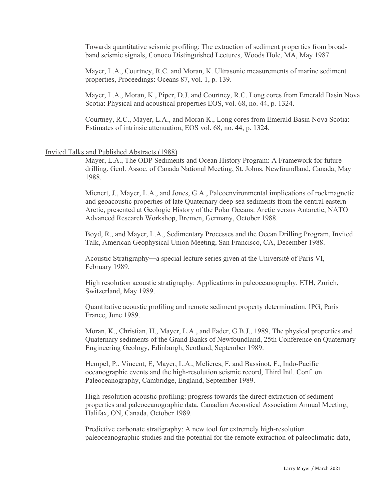Towards quantitative seismic profiling: The extraction of sediment properties from broadband seismic signals, Conoco Distinguished Lectures, Woods Hole, MA, May 1987.

Mayer, L.A., Courtney, R.C. and Moran, K. Ultrasonic measurements of marine sediment properties, Proceedings: Oceans 87, vol. 1, p. 139.

Mayer, L.A., Moran, K., Piper, D.J. and Courtney, R.C. Long cores from Emerald Basin Nova Scotia: Physical and acoustical properties EOS, vol. 68, no. 44, p. 1324.

Courtney, R.C., Mayer, L.A., and Moran K., Long cores from Emerald Basin Nova Scotia: Estimates of intrinsic attenuation, EOS vol. 68, no. 44, p. 1324.

## Invited Talks and Published Abstracts (1988)

Mayer, L.A., The ODP Sediments and Ocean History Program: A Framework for future drilling. Geol. Assoc. of Canada National Meeting, St. Johns, Newfoundland, Canada, May 1988.

Mienert, J., Mayer, L.A., and Jones, G.A., Paleoenvironmental implications of rockmagnetic and geoacoustic properties of late Quaternary deep-sea sediments from the central eastern Arctic, presented at Geologic History of the Polar Oceans: Arctic versus Antarctic, NATO Advanced Research Workshop, Bremen, Germany, October 1988.

Boyd, R., and Mayer, L.A., Sedimentary Processes and the Ocean Drilling Program, Invited Talk, American Geophysical Union Meeting, San Francisco, CA, December 1988.

Acoustic Stratigraphy―a special lecture series given at the Université of Paris VI, February 1989.

High resolution acoustic stratigraphy: Applications in paleoceanography, ETH, Zurich, Switzerland, May 1989.

Quantitative acoustic profiling and remote sediment property determination, IPG, Paris France, June 1989.

Moran, K., Christian, H., Mayer, L.A., and Fader, G.B.J., 1989, The physical properties and Quaternary sediments of the Grand Banks of Newfoundland, 25th Conference on Quaternary Engineering Geology, Edinburgh, Scotland, September 1989.

Hempel, P., Vincent, E, Mayer, L.A., Melieres, F, and Bassinot, F., Indo-Pacific oceanographic events and the high-resolution seismic record, Third Intl. Conf. on Paleoceanography, Cambridge, England, September 1989.

High-resolution acoustic profiling: progress towards the direct extraction of sediment properties and paleoceanographic data, Canadian Acoustical Association Annual Meeting, Halifax, ON, Canada, October 1989.

Predictive carbonate stratigraphy: A new tool for extremely high-resolution paleoceanographic studies and the potential for the remote extraction of paleoclimatic data,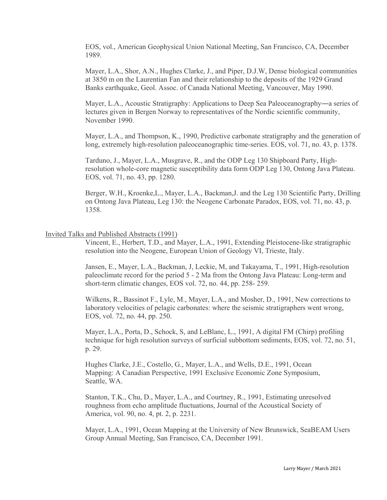EOS, vol., American Geophysical Union National Meeting, San Francisco, CA, December 1989.

Mayer, L.A., Shor, A.N., Hughes Clarke, J., and Piper, D.J.W, Dense biological communities at 3850 m on the Laurentian Fan and their relationship to the deposits of the 1929 Grand Banks earthquake, Geol. Assoc. of Canada National Meeting, Vancouver, May 1990.

Mayer, L.A., Acoustic Stratigraphy: Applications to Deep Sea Paleoceanography―a series of lectures given in Bergen Norway to representatives of the Nordic scientific community, November 1990.

Mayer, L.A., and Thompson, K., 1990, Predictive carbonate stratigraphy and the generation of long, extremely high-resolution paleoceanographic time-series. EOS, vol. 71, no. 43, p. 1378.

Tarduno, J., Mayer, L.A., Musgrave, R., and the ODP Leg 130 Shipboard Party, Highresolution whole-core magnetic susceptibility data form ODP Leg 130, Ontong Java Plateau. EOS, vol. 71, no. 43, pp. 1280.

Berger, W.H., Kroenke,L., Mayer, L.A., Backman,J. and the Leg 130 Scientific Party, Drilling on Ontong Java Plateau, Leg 130: the Neogene Carbonate Paradox, EOS, vol. 71, no. 43, p. 1358.

### Invited Talks and Published Abstracts (1991)

Vincent, E., Herbert, T.D., and Mayer, L.A., 1991, Extending Pleistocene-like stratigraphic resolution into the Neogene, European Union of Geology VI, Trieste, Italy.

Jansen, E., Mayer, L.A., Backman, J, Leckie, M, and Takayama, T., 1991, High-resolution paleoclimate record for the period 5 - 2 Ma from the Ontong Java Plateau: Long-term and short-term climatic changes, EOS vol. 72, no. 44, pp. 258- 259.

Wilkens, R., Bassinot F., Lyle, M., Mayer, L.A., and Mosher, D., 1991, New corrections to laboratory velocities of pelagic carbonates: where the seismic stratigraphers went wrong, EOS, vol. 72, no. 44, pp. 250.

Mayer, L.A., Porta, D., Schock, S, and LeBlanc, L., 1991, A digital FM (Chirp) profiling technique for high resolution surveys of surficial subbottom sediments, EOS, vol. 72, no. 51, p. 29.

Hughes Clarke, J.E., Costello, G., Mayer, L.A., and Wells, D.E., 1991, Ocean Mapping: A Canadian Perspective, 1991 Exclusive Economic Zone Symposium, Seattle, WA.

Stanton, T.K., Chu, D., Mayer, L.A., and Courtney, R., 1991, Estimating unresolved roughness from echo amplitude fluctuations, Journal of the Acoustical Society of America, vol. 90, no. 4, pt. 2, p. 2231.

Mayer, L.A., 1991, Ocean Mapping at the University of New Brunswick, SeaBEAM Users Group Annual Meeting, San Francisco, CA, December 1991.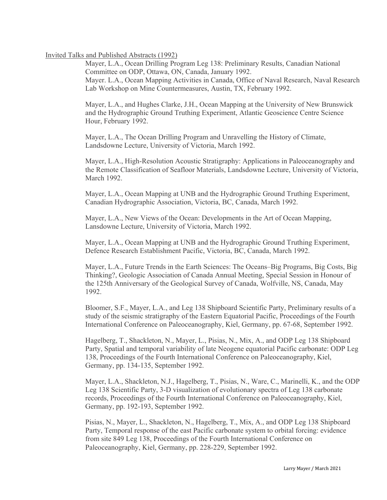## Invited Talks and Published Abstracts (1992)

Mayer, L.A., Ocean Drilling Program Leg 138: Preliminary Results, Canadian National Committee on ODP, Ottawa, ON, Canada, January 1992. Mayer. L.A., Ocean Mapping Activities in Canada, Office of Naval Research, Naval Research Lab Workshop on Mine Countermeasures, Austin, TX, February 1992.

Mayer, L.A., and Hughes Clarke, J.H., Ocean Mapping at the University of New Brunswick and the Hydrographic Ground Truthing Experiment, Atlantic Geoscience Centre Science Hour, February 1992.

Mayer, L.A., The Ocean Drilling Program and Unravelling the History of Climate, Landsdowne Lecture, University of Victoria, March 1992.

Mayer, L.A., High-Resolution Acoustic Stratigraphy: Applications in Paleoceanography and the Remote Classification of Seafloor Materials, Landsdowne Lecture, University of Victoria, March 1992.

Mayer, L.A., Ocean Mapping at UNB and the Hydrographic Ground Truthing Experiment, Canadian Hydrographic Association, Victoria, BC, Canada, March 1992.

Mayer, L.A., New Views of the Ocean: Developments in the Art of Ocean Mapping, Lansdowne Lecture, University of Victoria, March 1992.

Mayer, L.A., Ocean Mapping at UNB and the Hydrographic Ground Truthing Experiment, Defence Research Establishment Pacific, Victoria, BC, Canada, March 1992.

Mayer, L.A., Future Trends in the Earth Sciences: The Oceans–Big Programs, Big Costs, Big Thinking?, Geologic Association of Canada Annual Meeting, Special Session in Honour of the 125th Anniversary of the Geological Survey of Canada, Wolfville, NS, Canada, May 1992.

Bloomer, S.F., Mayer, L.A., and Leg 138 Shipboard Scientific Party, Preliminary results of a study of the seismic stratigraphy of the Eastern Equatorial Pacific, Proceedings of the Fourth International Conference on Paleoceanography, Kiel, Germany, pp. 67-68, September 1992.

Hagelberg, T., Shackleton, N., Mayer, L., Pisias, N., Mix, A., and ODP Leg 138 Shipboard Party, Spatial and temporal variability of late Neogene equatorial Pacific carbonate: ODP Leg 138, Proceedings of the Fourth International Conference on Paleoceanography, Kiel, Germany, pp. 134-135, September 1992.

Mayer, L.A., Shackleton, N.J., Hagelberg, T., Pisias, N., Ware, C., Marinelli, K., and the ODP Leg 138 Scientific Party, 3-D visualization of evolutionary spectra of Leg 138 carbonate records, Proceedings of the Fourth International Conference on Paleoceanography, Kiel, Germany, pp. 192-193, September 1992.

Pisias, N., Mayer, L., Shackleton, N., Hagelberg, T., Mix, A., and ODP Leg 138 Shipboard Party, Temporal response of the east Pacific carbonate system to orbital forcing: evidence from site 849 Leg 138, Proceedings of the Fourth International Conference on Paleoceanography, Kiel, Germany, pp. 228-229, September 1992.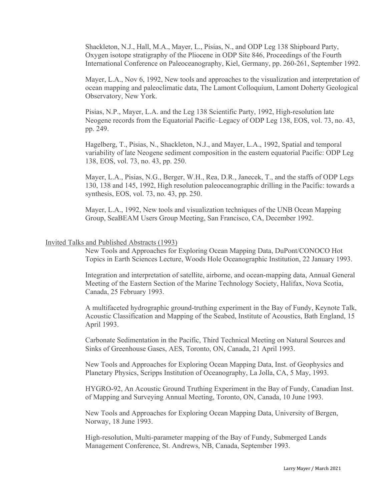Shackleton, N.J., Hall, M.A., Mayer, L., Pisias, N., and ODP Leg 138 Shipboard Party, Oxygen isotope stratigraphy of the Pliocene in ODP Site 846, Proceedings of the Fourth International Conference on Paleoceanography, Kiel, Germany, pp. 260-261, September 1992.

Mayer, L.A., Nov 6, 1992, New tools and approaches to the visualization and interpretation of ocean mapping and paleoclimatic data, The Lamont Colloquium, Lamont Doherty Geological Observatory, New York.

Pisias, N.P., Mayer, L.A. and the Leg 138 Scientific Party, 1992, High-resolution late Neogene records from the Equatorial Pacific–Legacy of ODP Leg 138, EOS, vol. 73, no. 43, pp. 249.

Hagelberg, T., Pisias, N., Shackleton, N.J., and Mayer, L.A., 1992, Spatial and temporal variability of late Neogene sediment composition in the eastern equatorial Pacific: ODP Leg 138, EOS, vol. 73, no. 43, pp. 250.

Mayer, L.A., Pisias, N.G., Berger, W.H., Rea, D.R., Janecek, T., and the staffs of ODP Legs 130, 138 and 145, 1992, High resolution paleoceanographic drilling in the Pacific: towards a synthesis, EOS, vol. 73, no. 43, pp. 250.

Mayer, L.A., 1992, New tools and visualization techniques of the UNB Ocean Mapping Group, SeaBEAM Users Group Meeting, San Francisco, CA, December 1992.

### Invited Talks and Published Abstracts (1993)

New Tools and Approaches for Exploring Ocean Mapping Data, DuPont/CONOCO Hot Topics in Earth Sciences Lecture, Woods Hole Oceanographic Institution, 22 January 1993.

Integration and interpretation of satellite, airborne, and ocean-mapping data, Annual General Meeting of the Eastern Section of the Marine Technology Society, Halifax, Nova Scotia, Canada, 25 February 1993.

A multifaceted hydrographic ground-truthing experiment in the Bay of Fundy, Keynote Talk, Acoustic Classification and Mapping of the Seabed, Institute of Acoustics, Bath England, 15 April 1993.

Carbonate Sedimentation in the Pacific, Third Technical Meeting on Natural Sources and Sinks of Greenhouse Gases, AES, Toronto, ON, Canada, 21 April 1993.

New Tools and Approaches for Exploring Ocean Mapping Data, Inst. of Geophysics and Planetary Physics, Scripps Institution of Oceanography, La Jolla, CA, 5 May, 1993.

HYGRO-92, An Acoustic Ground Truthing Experiment in the Bay of Fundy, Canadian Inst. of Mapping and Surveying Annual Meeting, Toronto, ON, Canada, 10 June 1993.

New Tools and Approaches for Exploring Ocean Mapping Data, University of Bergen, Norway, 18 June 1993.

High-resolution, Multi-parameter mapping of the Bay of Fundy, Submerged Lands Management Conference, St. Andrews, NB, Canada, September 1993.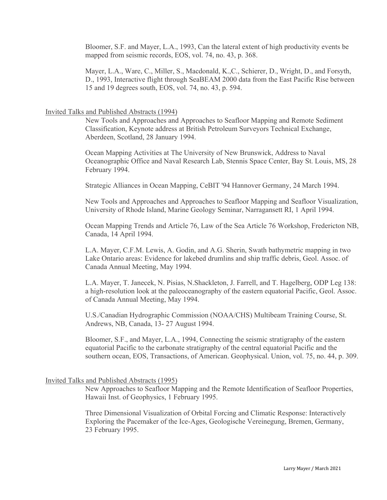Bloomer, S.F. and Mayer, L.A., 1993, Can the lateral extent of high productivity events be mapped from seismic records, EOS, vol. 74, no. 43, p. 368.

Mayer, L.A., Ware, C., Miller, S., Macdonald, K.,C., Schierer, D., Wright, D., and Forsyth, D., 1993, Interactive flight through SeaBEAM 2000 data from the East Pacific Rise between 15 and 19 degrees south, EOS, vol. 74, no. 43, p. 594.

### Invited Talks and Published Abstracts (1994)

New Tools and Approaches and Approaches to Seafloor Mapping and Remote Sediment Classification, Keynote address at British Petroleum Surveyors Technical Exchange, Aberdeen, Scotland, 28 January 1994.

Ocean Mapping Activities at The University of New Brunswick, Address to Naval Oceanographic Office and Naval Research Lab, Stennis Space Center, Bay St. Louis, MS, 28 February 1994.

Strategic Alliances in Ocean Mapping, CeBIT '94 Hannover Germany, 24 March 1994.

New Tools and Approaches and Approaches to Seafloor Mapping and Seafloor Visualization, University of Rhode Island, Marine Geology Seminar, Narragansett RI, 1 April 1994.

Ocean Mapping Trends and Article 76, Law of the Sea Article 76 Workshop, Fredericton NB, Canada, 14 April 1994.

L.A. Mayer, C.F.M. Lewis, A. Godin, and A.G. Sherin, Swath bathymetric mapping in two Lake Ontario areas: Evidence for lakebed drumlins and ship traffic debris, Geol. Assoc. of Canada Annual Meeting, May 1994.

L.A. Mayer, T. Janecek, N. Pisias, N.Shackleton, J. Farrell, and T. Hagelberg, ODP Leg 138: a high-resolution look at the paleoceanography of the eastern equatorial Pacific, Geol. Assoc. of Canada Annual Meeting, May 1994.

U.S./Canadian Hydrographic Commission (NOAA/CHS) Multibeam Training Course, St. Andrews, NB, Canada, 13- 27 August 1994.

Bloomer, S.F., and Mayer, L.A., 1994, Connecting the seismic stratigraphy of the eastern equatorial Pacific to the carbonate stratigraphy of the central equatorial Pacific and the southern ocean, EOS, Transactions, of American. Geophysical. Union, vol. 75, no. 44, p. 309.

### Invited Talks and Published Abstracts (1995)

New Approaches to Seafloor Mapping and the Remote Identification of Seafloor Properties, Hawaii Inst. of Geophysics, 1 February 1995.

Three Dimensional Visualization of Orbital Forcing and Climatic Response: Interactively Exploring the Pacemaker of the Ice-Ages, Geologische Vereinegung, Bremen, Germany, 23 February 1995.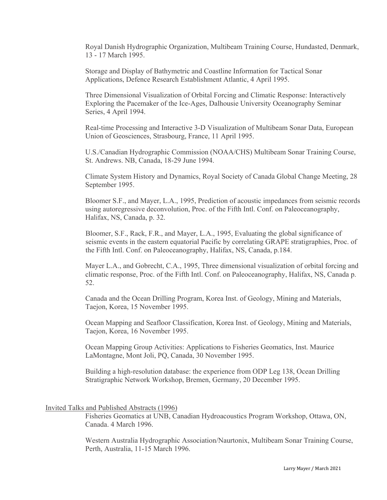Royal Danish Hydrographic Organization, Multibeam Training Course, Hundasted, Denmark, 13 - 17 March 1995.

Storage and Display of Bathymetric and Coastline Information for Tactical Sonar Applications, Defence Research Establishment Atlantic, 4 April 1995.

Three Dimensional Visualization of Orbital Forcing and Climatic Response: Interactively Exploring the Pacemaker of the Ice-Ages, Dalhousie University Oceanography Seminar Series, 4 April 1994.

Real-time Processing and Interactive 3-D Visualization of Multibeam Sonar Data, European Union of Geosciences, Strasbourg, France, 11 April 1995.

U.S./Canadian Hydrographic Commission (NOAA/CHS) Multibeam Sonar Training Course, St. Andrews. NB, Canada, 18-29 June 1994.

Climate System History and Dynamics, Royal Society of Canada Global Change Meeting, 28 September 1995.

Bloomer S.F., and Mayer, L.A., 1995, Prediction of acoustic impedances from seismic records using autoregressive deconvolution, Proc. of the Fifth Intl. Conf. on Paleoceanography, Halifax, NS, Canada, p. 32.

Bloomer, S.F., Rack, F.R., and Mayer, L.A., 1995, Evaluating the global significance of seismic events in the eastern equatorial Pacific by correlating GRAPE stratigraphies, Proc. of the Fifth Intl. Conf. on Paleoceanography, Halifax, NS, Canada, p.184.

Mayer L.A., and Gobrecht, C.A., 1995, Three dimensional visualization of orbital forcing and climatic response, Proc. of the Fifth Intl. Conf. on Paleoceanography, Halifax, NS, Canada p. 52.

Canada and the Ocean Drilling Program, Korea Inst. of Geology, Mining and Materials, Taejon, Korea, 15 November 1995.

Ocean Mapping and Seafloor Classification, Korea Inst. of Geology, Mining and Materials, Taejon, Korea, 16 November 1995.

Ocean Mapping Group Activities: Applications to Fisheries Geomatics, Inst. Maurice LaMontagne, Mont Joli, PQ, Canada, 30 November 1995.

Building a high-resolution database: the experience from ODP Leg 138, Ocean Drilling Stratigraphic Network Workshop, Bremen, Germany, 20 December 1995.

### Invited Talks and Published Abstracts (1996)

Fisheries Geomatics at UNB, Canadian Hydroacoustics Program Workshop, Ottawa, ON, Canada. 4 March 1996.

Western Australia Hydrographic Association/Naurtonix, Multibeam Sonar Training Course, Perth, Australia, 11-15 March 1996.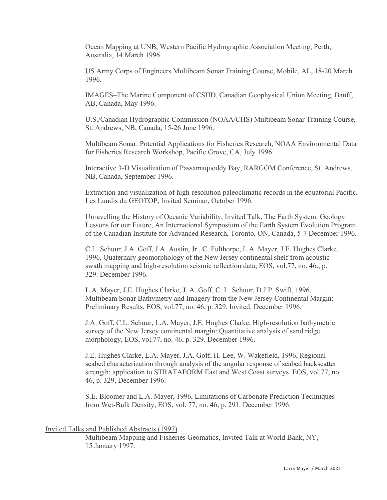Ocean Mapping at UNB, Western Pacific Hydrographic Association Meeting, Perth, Australia, 14 March 1996.

US Army Corps of Engineers Multibeam Sonar Training Course, Mobile, AL, 18-20 March 1996.

IMAGES–The Marine Component of CSHD, Canadian Geophysical Union Meeting, Banff, AB, Canada, May 1996.

U.S./Canadian Hydrographic Commission (NOAA/CHS) Multibeam Sonar Training Course, St. Andrews, NB, Canada, 15-26 June 1996.

Multibeam Sonar: Potential Applications for Fisheries Research, NOAA Environmental Data for Fisheries Research Workshop, Pacific Grove, CA, July 1996.

Interactive 3-D Visualization of Passamaquoddy Bay, RARGOM Conference, St. Andrews, NB, Canada, September 1996.

Extraction and visualization of high-resolution paleoclimatic records in the equatorial Pacific, Les Lundis du GEOTOP, Invited Seminar, October 1996.

Unravelling the History of Oceanic Variability, Invited Talk, The Earth System: Geology Lessons for our Future, An International Symposium of the Earth System Evolution Program of the Canadian Institute for Advanced Research, Toronto, ON, Canada, 5-7 December 1996.

C.L. Schuur, J.A. Goff, J.A. Austin, Jr., C. Fulthorpe, L.A. Mayer, J.E. Hughes Clarke, 1996, Quaternary geomorphology of the New Jersey continental shelf from acoustic swath mapping and high-resolution seismic reflection data, EOS, vol.77, no. 46., p. 329. December 1996.

L.A. Mayer, J.E. Hughes Clarke, J. A. Goff, C. L. Schuur, D.J.P. Swift, 1996, Multibeam Sonar Bathymetry and Imagery from the New Jersey Continental Margin: Preliminary Results, EOS, vol.77, no. 46, p. 329. Invited. December 1996.

J.A. Goff, C.L. Schuur, L.A. Mayer, J.E. Hughes Clarke, High-resolution bathymetric survey of the New Jersey continental margin: Quantitative analysis of sand ridge morphology, EOS, vol.77, no. 46, p. 329. December 1996.

J.E. Hughes Clarke, L.A. Mayer, J.A. Goff, H. Lee, W. Wakefield, 1996, Regional seabed characterization through analysis of the angular response of seabed backscatter strength: application to STRATAFORM East and West Coast surveys. EOS, vol.77, no. 46, p. 329, December 1996.

S.E. Bloomer and L.A. Mayer, 1996, Limitations of Carbonate Prediction Techniques from Wet-Bulk Density, EOS, vol. 77, no. 46, p. 291. December 1996.

#### Invited Talks and Published Abstracts (1997)

Multibeam Mapping and Fisheries Geomatics, Invited Talk at World Bank, NY, 15 January 1997.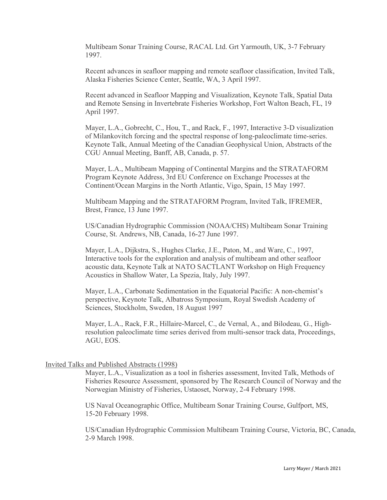Multibeam Sonar Training Course, RACAL Ltd. Grt Yarmouth, UK, 3-7 February 1997.

Recent advances in seafloor mapping and remote seafloor classification, Invited Talk, Alaska Fisheries Science Center, Seattle, WA, 3 April 1997.

Recent advanced in Seafloor Mapping and Visualization, Keynote Talk, Spatial Data and Remote Sensing in Invertebrate Fisheries Workshop, Fort Walton Beach, FL, 19 April 1997.

Mayer, L.A., Gobrecht, C., Hou, T., and Rack, F., 1997, Interactive 3-D visualization of Milankovitch forcing and the spectral response of long-paleoclimate time-series. Keynote Talk, Annual Meeting of the Canadian Geophysical Union, Abstracts of the CGU Annual Meeting, Banff, AB, Canada, p. 57.

Mayer, L.A., Multibeam Mapping of Continental Margins and the STRATAFORM Program Keynote Address, 3rd EU Conference on Exchange Processes at the Continent/Ocean Margins in the North Atlantic, Vigo, Spain, 15 May 1997.

Multibeam Mapping and the STRATAFORM Program, Invited Talk, IFREMER, Brest, France, 13 June 1997.

US/Canadian Hydrographic Commission (NOAA/CHS) Multibeam Sonar Training Course, St. Andrews, NB, Canada, 16-27 June 1997.

Mayer, L.A., Dijkstra, S., Hughes Clarke, J.E., Paton, M., and Ware, C., 1997, Interactive tools for the exploration and analysis of multibeam and other seafloor acoustic data, Keynote Talk at NATO SACTLANT Workshop on High Frequency Acoustics in Shallow Water, La Spezia, Italy, July 1997.

Mayer, L.A., Carbonate Sedimentation in the Equatorial Pacific: A non-chemist's perspective, Keynote Talk, Albatross Symposium, Royal Swedish Academy of Sciences, Stockholm, Sweden, 18 August 1997

Mayer, L.A., Rack, F.R., Hillaire-Marcel, C., de Vernal, A., and Bilodeau, G., Highresolution paleoclimate time series derived from multi-sensor track data, Proceedings, AGU, EOS.

# Invited Talks and Published Abstracts (1998)

Mayer, L.A., Visualization as a tool in fisheries assessment, Invited Talk, Methods of Fisheries Resource Assessment, sponsored by The Research Council of Norway and the Norwegian Ministry of Fisheries, Ustaoset, Norway, 2-4 February 1998.

US Naval Oceanographic Office, Multibeam Sonar Training Course, Gulfport, MS, 15-20 February 1998.

US/Canadian Hydrographic Commission Multibeam Training Course, Victoria, BC, Canada, 2-9 March 1998.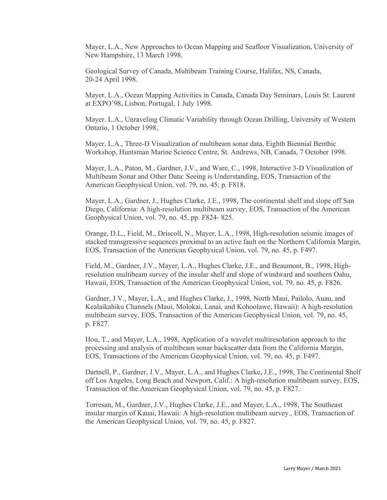Mayer, L.A., New Approaches to Ocean Mapping and Seafloor Visualization, University of New Hampshire, 13 March 1998.

Geological Survey of Canada, Multibeam Training Course, Halifax, NS, Canada, 20-24 April 1998.

Mayer, L.A., Ocean Mapping Activities in Canada, Canada Day Seminars, Louis St. Laurent at EXPO'98, Lisbon, Portugal, 1 July 1998.

Mayer. L.A., Unraveling Climatic Variability through Ocean Drilling, University of Western Ontario, 1 October 1998,

Mayer, L.A., Three-D Visualization of multibeam sonar data, Eighth Biennial Benthic Workshop, Huntsman Marine Science Centre, St. Andrews, NB, Canada, 7 October 1998.

Mayer, L.A., Paton, M., Gardner, J.V., and Ware, C., 1998, Interactive 3-D Visualization of Multibeam Sonar and Other Data: Seeing is Understanding, EOS, Transaction of the American Geophysical Union, vol. 79, no. 45, p. F818.

Mayer, L.A., Gardner, J., Hughes Clarke, J.E., 1998, The continental shelf and slope off San Diego, California: A high-resolution multibeam survey, EOS, Transaction of the American Geophysical Union, vol. 79, no. 45, pp. F824- 825.

Orange, D.L., Field, M., Driscoll, N., Mayer, L.A., 1998, High-resolution seismic images of stacked transgressive sequences proximal to an active fault on the Northern California Margin, EOS, Transaction of the American Geophysical Union, vol. 79, no. 45, p. F497.

Field, M., Gardner, J.V., Mayer, L.A., Hughes Clarke, J.E., and Beaumont, B., 1998, Highresolution multibeam survey of the insular shelf and slope of windward and southern Oahu, Hawaii, EOS, Transaction of the American Geophysical Union, vol. 79, no. 45, p. F826.

Gardner, J.V., Mayer, L.A., and Hughes Clarke, J., 1998, North Maui, Pailolo, Auau, and Kealaikahiku Channels (Maui, Molokai, Lanai, and Kohoolawe, Hawaii): A high-resolution multibeam survey, EOS, Transaction of the American Geophysical Union, vol. 79, no. 45, p. F827.

Hou, T., and Mayer, L.A., 1998, Application of a wavelet multiresolution approach to the processing and analysis of multibeam sonar backscatter data from the California Margin, EOS, Transactions of the American Geophysical Union, vol. 79, no. 45, p. F497.

Dartnell, P., Gardner, J.V., Mayer, L.A., and Hughes Clarke, J.E., 1998, The Continental Shelf off Los Angeles, Long Beach and Newport, Calif.: A high-resolution multibeam survey, EOS, Transaction of the American Geophysical Union, vol. 79, no. 45, p. F827.

Torresan, M., Gardner, J.V., Hughes Clarke, J.E., and Mayer, L.A., 1998, The Southeast insular margin of Kauai, Hawaii: A high-resolution multibeam survey., EOS, Transaction of the American Geophysical Union, vol. 79, no. 45, p. F827.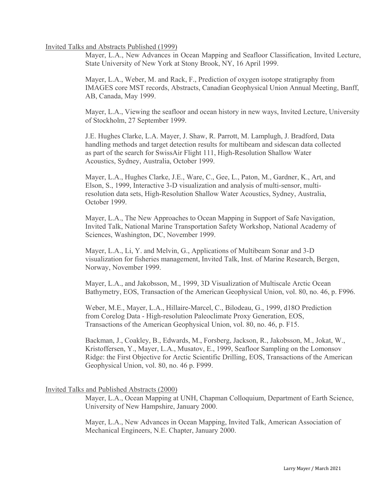# Invited Talks and Abstracts Published (1999)

Mayer, L.A., New Advances in Ocean Mapping and Seafloor Classification, Invited Lecture, State University of New York at Stony Brook, NY, 16 April 1999.

Mayer, L.A., Weber, M. and Rack, F., Prediction of oxygen isotope stratigraphy from IMAGES core MST records, Abstracts, Canadian Geophysical Union Annual Meeting, Banff, AB, Canada, May 1999.

Mayer, L.A., Viewing the seafloor and ocean history in new ways, Invited Lecture, University of Stockholm, 27 September 1999.

J.E. Hughes Clarke, L.A. Mayer, J. Shaw, R. Parrott, M. Lamplugh, J. Bradford, Data handling methods and target detection results for multibeam and sidescan data collected as part of the search for SwissAir Flight 111, High-Resolution Shallow Water Acoustics, Sydney, Australia, October 1999.

Mayer, L.A., Hughes Clarke, J.E., Ware, C., Gee, L., Paton, M., Gardner, K., Art, and Elson, S., 1999, Interactive 3-D visualization and analysis of multi-sensor, multiresolution data sets, High-Resolution Shallow Water Acoustics, Sydney, Australia, October 1999.

Mayer, L.A., The New Approaches to Ocean Mapping in Support of Safe Navigation, Invited Talk, National Marine Transportation Safety Workshop, National Academy of Sciences, Washington, DC, November 1999.

Mayer, L.A., Li, Y. and Melvin, G., Applications of Multibeam Sonar and 3-D visualization for fisheries management, Invited Talk, Inst. of Marine Research, Bergen, Norway, November 1999.

Mayer, L.A., and Jakobsson, M., 1999, 3D Visualization of Multiscale Arctic Ocean Bathymetry, EOS, Transaction of the American Geophysical Union, vol. 80, no. 46, p. F996.

Weber, M.E., Mayer, L.A., Hillaire-Marcel, C., Bilodeau, G., 1999, d18O Prediction from Corelog Data - High-resolution Paleoclimate Proxy Generation, EOS, Transactions of the American Geophysical Union, vol. 80, no. 46, p. F15.

Backman, J., Coakley, B., Edwards, M., Forsberg, Jackson, R., Jakobsson, M., Jokat, W., Kristoffersen, Y., Mayer, L.A., Musatov, E., 1999, Seafloor Sampling on the Lomonsov Ridge: the First Objective for Arctic Scientific Drilling, EOS, Transactions of the American Geophysical Union, vol. 80, no. 46 p. F999.

# Invited Talks and Published Abstracts (2000)

Mayer, L.A., Ocean Mapping at UNH, Chapman Colloquium, Department of Earth Science, University of New Hampshire, January 2000.

Mayer, L.A., New Advances in Ocean Mapping, Invited Talk, American Association of Mechanical Engineers, N.E. Chapter, January 2000.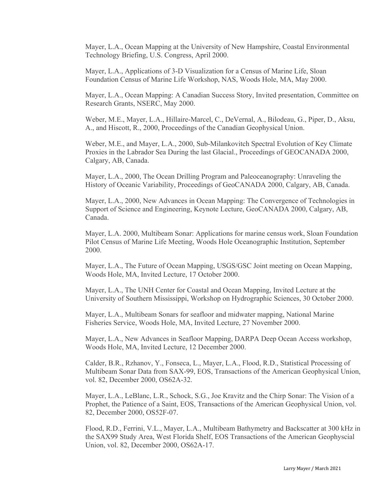Mayer, L.A., Ocean Mapping at the University of New Hampshire, Coastal Environmental Technology Briefing, U.S. Congress, April 2000.

Mayer, L.A., Applications of 3-D Visualization for a Census of Marine Life, Sloan Foundation Census of Marine Life Workshop, NAS, Woods Hole, MA, May 2000.

Mayer, L.A., Ocean Mapping: A Canadian Success Story, Invited presentation, Committee on Research Grants, NSERC, May 2000.

Weber, M.E., Mayer, L.A., Hillaire-Marcel, C., DeVernal, A., Bilodeau, G., Piper, D., Aksu, A., and Hiscott, R., 2000, Proceedings of the Canadian Geophysical Union.

Weber, M.E., and Mayer, L.A., 2000, Sub-Milankovitch Spectral Evolution of Key Climate Proxies in the Labrador Sea During the last Glacial., Proceedings of GEOCANADA 2000, Calgary, AB, Canada.

Mayer, L.A., 2000, The Ocean Drilling Program and Paleoceanography: Unraveling the History of Oceanic Variability, Proceedings of GeoCANADA 2000, Calgary, AB, Canada.

Mayer, L.A., 2000, New Advances in Ocean Mapping: The Convergence of Technologies in Support of Science and Engineering, Keynote Lecture, GeoCANADA 2000, Calgary, AB, Canada.

Mayer, L.A. 2000, Multibeam Sonar: Applications for marine census work, Sloan Foundation Pilot Census of Marine Life Meeting, Woods Hole Oceanographic Institution, September 2000.

Mayer, L.A., The Future of Ocean Mapping, USGS/GSC Joint meeting on Ocean Mapping, Woods Hole, MA, Invited Lecture, 17 October 2000.

Mayer, L.A., The UNH Center for Coastal and Ocean Mapping, Invited Lecture at the University of Southern Mississippi, Workshop on Hydrographic Sciences, 30 October 2000.

Mayer, L.A., Multibeam Sonars for seafloor and midwater mapping, National Marine Fisheries Service, Woods Hole, MA, Invited Lecture, 27 November 2000.

Mayer, L.A., New Advances in Seafloor Mapping, DARPA Deep Ocean Access workshop, Woods Hole, MA, Invited Lecture, 12 December 2000.

Calder, B.R., Rzhanov, Y., Fonseca, L., Mayer, L.A., Flood, R.D., Statistical Processing of Multibeam Sonar Data from SAX-99, EOS, Transactions of the American Geophysical Union, vol. 82, December 2000, OS62A-32.

Mayer, L.A., LeBlanc, L.R., Schock, S.G., Joe Kravitz and the Chirp Sonar: The Vision of a Prophet, the Patience of a Saint, EOS, Transactions of the American Geophysical Union, vol. 82, December 2000, OS52F-07.

Flood, R.D., Ferrini, V.L., Mayer, L.A., Multibeam Bathymetry and Backscatter at 300 kHz in the SAX99 Study Area, West Florida Shelf, EOS Transactions of the American Geophyscial Union, vol. 82, December 2000, OS62A-17.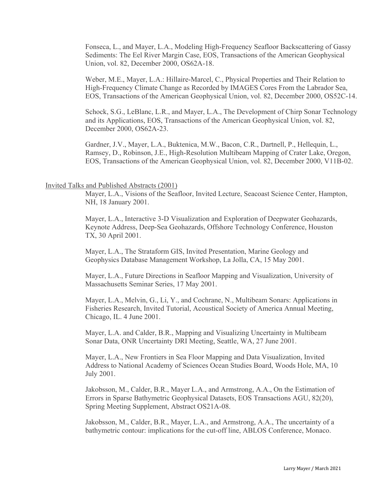Fonseca, L., and Mayer, L.A., Modeling High-Frequency Seafloor Backscattering of Gassy Sediments: The Eel River Margin Case, EOS, Transactions of the American Geophysical Union, vol. 82, December 2000, OS62A-18.

Weber, M.E., Mayer, L.A.: Hillaire-Marcel, C., Physical Properties and Their Relation to High-Frequency Climate Change as Recorded by IMAGES Cores From the Labrador Sea, EOS, Transactions of the American Geophysical Union, vol. 82, December 2000, OS52C-14.

Schock, S.G., LeBlanc, L.R., and Mayer, L.A., The Development of Chirp Sonar Technology and its Applications, EOS, Transactions of the American Geophysical Union, vol. 82, December 2000, OS62A-23.

Gardner, J.V., Mayer, L.A., Buktenica, M.W., Bacon, C.R., Dartnell, P., Hellequin, L., Ramsey, D., Robinson, J.E., High-Resolution Multibeam Mapping of Crater Lake, Oregon, EOS, Transactions of the American Geophysical Union, vol. 82, December 2000, V11B-02.

#### Invited Talks and Published Abstracts (2001)

Mayer, L.A., Visions of the Seafloor, Invited Lecture, Seacoast Science Center, Hampton, NH, 18 January 2001.

Mayer, L.A., Interactive 3-D Visualization and Exploration of Deepwater Geohazards, Keynote Address, Deep-Sea Geohazards, Offshore Technology Conference, Houston TX, 30 April 2001.

Mayer, L.A., The Strataform GIS, Invited Presentation, Marine Geology and Geophysics Database Management Workshop, La Jolla, CA, 15 May 2001.

Mayer, L.A., Future Directions in Seafloor Mapping and Visualization, University of Massachusetts Seminar Series, 17 May 2001.

Mayer, L.A., Melvin, G., Li, Y., and Cochrane, N., Multibeam Sonars: Applications in Fisheries Research, Invited Tutorial, Acoustical Society of America Annual Meeting, Chicago, IL. 4 June 2001.

Mayer, L.A. and Calder, B.R., Mapping and Visualizing Uncertainty in Multibeam Sonar Data, ONR Uncertainty DRI Meeting, Seattle, WA, 27 June 2001.

Mayer, L.A., New Frontiers in Sea Floor Mapping and Data Visualization, Invited Address to National Academy of Sciences Ocean Studies Board, Woods Hole, MA, 10 July 2001.

Jakobsson, M., Calder, B.R., Mayer L.A., and Armstrong, A.A., On the Estimation of Errors in Sparse Bathymetric Geophysical Datasets, EOS Transactions AGU, 82(20), Spring Meeting Supplement, Abstract OS21A-08.

Jakobsson, M., Calder, B.R., Mayer, L.A., and Armstrong, A.A., The uncertainty of a bathymetric contour: implications for the cut-off line, ABLOS Conference, Monaco.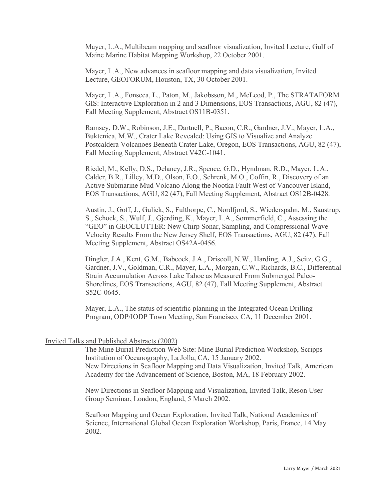Mayer, L.A., Multibeam mapping and seafloor visualization, Invited Lecture, Gulf of Maine Marine Habitat Mapping Workshop, 22 October 2001.

Mayer, L.A., New advances in seafloor mapping and data visualization, Invited Lecture, GEOFORUM, Houston, TX, 30 October 2001.

Mayer, L.A., Fonseca, L., Paton, M., Jakobsson, M., McLeod, P., The STRATAFORM GIS: Interactive Exploration in 2 and 3 Dimensions, EOS Transactions, AGU, 82 (47), Fall Meeting Supplement, Abstract OS11B-0351.

Ramsey, D.W., Robinson, J.E., Dartnell, P., Bacon, C.R., Gardner, J.V., Mayer, L.A., Buktenica, M.W., Crater Lake Revealed: Using GIS to Visualize and Analyze Postcaldera Volcanoes Beneath Crater Lake, Oregon, EOS Transactions, AGU, 82 (47), Fall Meeting Supplement, Abstract V42C-1041.

Riedel, M., Kelly, D.S., Delaney, J.R., Spence, G.D., Hyndman, R.D., Mayer, L.A., Calder, B.R., Lilley, M.D., Olson, E.O., Schrenk, M.O., Coffin, R., Discovery of an Active Submarine Mud Volcano Along the Nootka Fault West of Vancouver Island, EOS Transactions, AGU, 82 (47), Fall Meeting Supplement, Abstract OS12B-0428.

Austin, J., Goff, J., Gulick, S., Fulthorpe, C., Nordfjord, S., Wiederspahn, M., Saustrup, S., Schock, S., Wulf, J., Gjerding, K., Mayer, L.A., Sommerfield, C., Assessing the "GEO" in GEOCLUTTER: New Chirp Sonar, Sampling, and Compressional Wave Velocity Results From the New Jersey Shelf, EOS Transactions, AGU, 82 (47), Fall Meeting Supplement, Abstract OS42A-0456.

Dingler, J.A., Kent, G.M., Babcock, J.A., Driscoll, N.W., Harding, A.J., Seitz, G.G., Gardner, J.V., Goldman, C.R., Mayer, L.A., Morgan, C.W., Richards, B.C., Differential Strain Accumulation Across Lake Tahoe as Measured From Submerged Paleo-Shorelines, EOS Transactions, AGU, 82 (47), Fall Meeting Supplement, Abstract S52C-0645.

Mayer, L.A., The status of scientific planning in the Integrated Ocean Drilling Program, ODP/IODP Town Meeting, San Francisco, CA, 11 December 2001.

#### Invited Talks and Published Abstracts (2002)

The Mine Burial Prediction Web Site: Mine Burial Prediction Workshop, Scripps Institution of Oceanography, La Jolla, CA, 15 January 2002. New Directions in Seafloor Mapping and Data Visualization, Invited Talk, American Academy for the Advancement of Science, Boston, MA, 18 February 2002.

New Directions in Seafloor Mapping and Visualization, Invited Talk, Reson User Group Seminar, London, England, 5 March 2002.

Seafloor Mapping and Ocean Exploration, Invited Talk, National Academies of Science, International Global Ocean Exploration Workshop, Paris, France, 14 May 2002.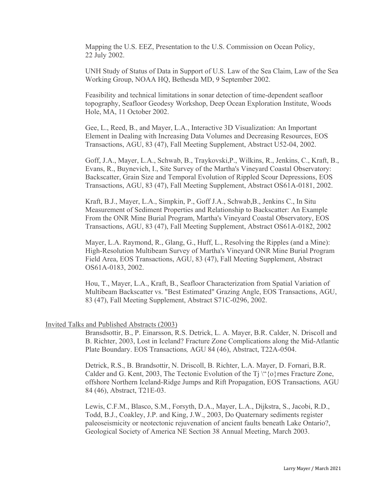Mapping the U.S. EEZ, Presentation to the U.S. Commission on Ocean Policy, 22 July 2002.

UNH Study of Status of Data in Support of U.S. Law of the Sea Claim, Law of the Sea Working Group, NOAA HQ, Bethesda MD, 9 September 2002.

Feasibility and technical limitations in sonar detection of time-dependent seafloor topography, Seafloor Geodesy Workshop, Deep Ocean Exploration Institute, Woods Hole, MA, 11 October 2002.

Gee, L., Reed, B., and Mayer, L.A., Interactive 3D Visualization: An Important Element in Dealing with Increasing Data Volumes and Decreasing Resources, EOS Transactions, AGU, 83 (47), Fall Meeting Supplement, Abstract U52-04, 2002.

Goff, J.A., Mayer, L.A., Schwab, B., Traykovski,P., Wilkins, R., Jenkins, C., Kraft, B., Evans, R., Buynevich, I., Site Survey of the Martha's Vineyard Coastal Observatory: Backscatter, Grain Size and Temporal Evolution of Rippled Scour Depressions, EOS Transactions, AGU, 83 (47), Fall Meeting Supplement, Abstract OS61A-0181, 2002.

Kraft, B.J., Mayer, L.A., Simpkin, P., Goff J.A., Schwab,B., Jenkins C., In Situ Measurement of Sediment Properties and Relationship to Backscatter: An Example From the ONR Mine Burial Program, Martha's Vineyard Coastal Observatory, EOS Transactions, AGU, 83 (47), Fall Meeting Supplement, Abstract OS61A-0182, 2002

Mayer, L.A. Raymond, R., Glang, G., Huff, L., Resolving the Ripples (and a Mine): High-Resolution Multibeam Survey of Martha's Vineyard ONR Mine Burial Program Field Area, EOS Transactions, AGU, 83 (47), Fall Meeting Supplement, Abstract OS61A-0183, 2002.

Hou, T., Mayer, L.A., Kraft, B., Seafloor Characterization from Spatial Variation of Multibeam Backscatter vs. "Best Estimated" Grazing Angle, EOS Transactions, AGU, 83 (47), Fall Meeting Supplement, Abstract S71C-0296, 2002.

#### Invited Talks and Published Abstracts (2003)

Bransdsottir, B., P. Einarsson, R.S. Detrick, L. A. Mayer, B.R. Calder, N. Driscoll and B. Richter, 2003, Lost in Iceland? Fracture Zone Complications along the Mid-Atlantic Plate Boundary. EOS Transactions*,* AGU 84 (46), Abstract, T22A-0504.

Detrick, R.S., B. Brandsottir, N. Driscoll, B. Richter, L.A. Mayer, D. Fornari, B.R. Calder and G. Kent, 2003, The Tectonic Evolution of the  $T<sub>j</sub> \lq \lq \rq \rceil$  are Fracture Zone, offshore Northern Iceland-Ridge Jumps and Rift Propagation, EOS Transactions*,* AGU 84 (46), Abstract, T21E-03.

Lewis, C.F.M., Blasco, S.M., Forsyth, D.A., Mayer, L.A., Dijkstra, S., Jacobi, R.D., Todd, B.J., Coakley, J.P. and King, J.W., 2003, Do Quaternary sediments register paleoseismicity or neotectonic rejuvenation of ancient faults beneath Lake Ontario?, Geological Society of America NE Section 38 Annual Meeting, March 2003.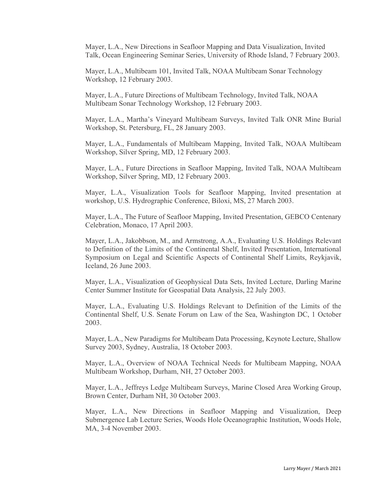Mayer, L.A., New Directions in Seafloor Mapping and Data Visualization, Invited Talk, Ocean Engineering Seminar Series, University of Rhode Island, 7 February 2003.

Mayer, L.A., Multibeam 101, Invited Talk, NOAA Multibeam Sonar Technology Workshop, 12 February 2003.

Mayer, L.A., Future Directions of Multibeam Technology, Invited Talk, NOAA Multibeam Sonar Technology Workshop, 12 February 2003.

Mayer, L.A., Martha's Vineyard Multibeam Surveys, Invited Talk ONR Mine Burial Workshop, St. Petersburg, FL, 28 January 2003.

Mayer, L.A., Fundamentals of Multibeam Mapping, Invited Talk, NOAA Multibeam Workshop, Silver Spring, MD, 12 February 2003.

Mayer, L.A., Future Directions in Seafloor Mapping, Invited Talk, NOAA Multibeam Workshop, Silver Spring, MD, 12 February 2003.

Mayer, L.A., Visualization Tools for Seafloor Mapping, Invited presentation at workshop, U.S. Hydrographic Conference, Biloxi, MS, 27 March 2003.

Mayer, L.A., The Future of Seafloor Mapping, Invited Presentation, GEBCO Centenary Celebration, Monaco, 17 April 2003.

Mayer, L.A., Jakobbson, M., and Armstrong, A.A., Evaluating U.S. Holdings Relevant to Definition of the Limits of the Continental Shelf, Invited Presentation, International Symposium on Legal and Scientific Aspects of Continental Shelf Limits, Reykjavik, Iceland, 26 June 2003.

Mayer, L.A., Visualization of Geophysical Data Sets, Invited Lecture, Darling Marine Center Summer Institute for Geospatial Data Analysis, 22 July 2003.

Mayer, L.A., Evaluating U.S. Holdings Relevant to Definition of the Limits of the Continental Shelf, U.S. Senate Forum on Law of the Sea, Washington DC, 1 October 2003.

Mayer, L.A., New Paradigms for Multibeam Data Processing, Keynote Lecture, Shallow Survey 2003, Sydney, Australia, 18 October 2003.

Mayer, L.A., Overview of NOAA Technical Needs for Multibeam Mapping, NOAA Multibeam Workshop, Durham, NH, 27 October 2003.

Mayer, L.A., Jeffreys Ledge Multibeam Surveys, Marine Closed Area Working Group, Brown Center, Durham NH, 30 October 2003.

Mayer, L.A., New Directions in Seafloor Mapping and Visualization, Deep Submergence Lab Lecture Series, Woods Hole Oceanographic Institution, Woods Hole, MA, 3-4 November 2003.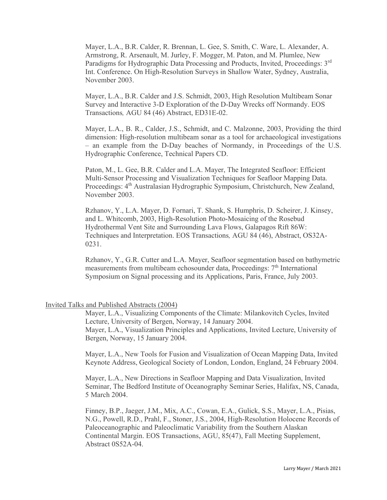Mayer, L.A., B.R. Calder, R. Brennan, L. Gee, S. Smith, C. Ware, L. Alexander, A. Armstrong, R. Arsenault, M. Jurley, F. Mogger, M. Paton, and M. Plumlee, New Paradigms for Hydrographic Data Processing and Products, Invited, Proceedings: 3rd Int. Conference. On High-Resolution Surveys in Shallow Water, Sydney, Australia, November 2003.

Mayer, L.A., B.R. Calder and J.S. Schmidt, 2003, High Resolution Multibeam Sonar Survey and Interactive 3-D Exploration of the D-Day Wrecks off Normandy. EOS Transactions*,* AGU 84 (46) Abstract, ED31E-02.

Mayer, L.A., B. R., Calder, J.S., Schmidt, and C. Malzonne, 2003, Providing the third dimension: High-resolution multibeam sonar as a tool for archaeological investigations – an example from the D-Day beaches of Normandy, in Proceedings of the U.S. Hydrographic Conference, Technical Papers CD.

Paton, M., L. Gee, B.R. Calder and L.A. Mayer, The Integrated Seafloor: Efficient Multi-Sensor Processing and Visualization Techniques for Seafloor Mapping Data. Proceedings: 4th Australasian Hydrographic Symposium, Christchurch, New Zealand, November 2003.

Rzhanov, Y., L.A. Mayer, D. Fornari, T. Shank, S. Humphris, D. Scheirer, J. Kinsey, and L. Whitcomb, 2003, High-Resolution Photo-Mosaicing of the Rosebud Hydrothermal Vent Site and Surrounding Lava Flows, Galapagos Rift 86W: Techniques and Interpretation. EOS Transactions*,* AGU 84 (46), Abstract, OS32A-0231.

Rzhanov, Y., G.R. Cutter and L.A. Mayer, Seafloor segmentation based on bathymetric measurements from multibeam echosounder data, Proceedings: 7<sup>th</sup> International Symposium on Signal processing and its Applications, Paris, France, July 2003.

#### Invited Talks and Published Abstracts (2004)

Mayer, L.A., Visualizing Components of the Climate: Milankovitch Cycles, Invited Lecture, University of Bergen, Norway, 14 January 2004. Mayer, L.A., Visualization Principles and Applications, Invited Lecture, University of Bergen, Norway, 15 January 2004.

Mayer, L.A., New Tools for Fusion and Visualization of Ocean Mapping Data, Invited Keynote Address, Geological Society of London, London, England, 24 February 2004.

Mayer, L.A., New Directions in Seafloor Mapping and Data Visualization, Invited Seminar, The Bedford Institute of Oceanography Seminar Series, Halifax, NS, Canada, 5 March 2004.

Finney, B.P., Jaeger, J.M., Mix, A.C., Cowan, E.A., Gulick, S.S., Mayer, L.A., Pisias, N.G., Powell, R.D., Prahl, F., Stoner, J.S., 2004, High-Resolution Holocene Records of Paleoceanographic and Paleoclimatic Variability from the Southern Alaskan Continental Margin. EOS Transactions, AGU, 85(47), Fall Meeting Supplement, Abstract 0S52A-04.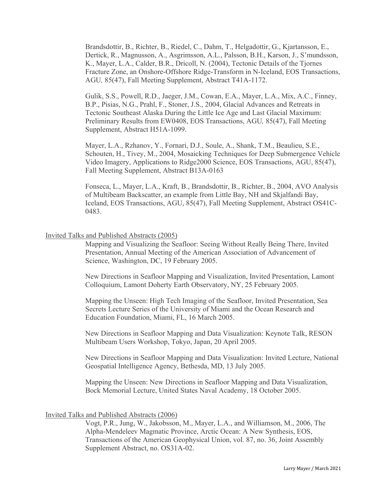Brandsdottir, B., Richter, B., Riedel, C., Dahm, T., Helgadottir, G., Kjartansson, E., Dertick, R., Magnusson, A., Asgrimsson, A.L., Palsson, B.H., Karson, J., S'mundsson, K., Mayer, L.A., Calder, B.R., Dricoll, N. (2004), Tectonic Details of the Tjornes Fracture Zone, an Onshore-Offshore Ridge-Transform in N-Iceland, EOS Transactions, AGU*,* 85(47), Fall Meeting Supplement, Abstract T41A-1172.

Gulik, S.S., Powell, R.D., Jaeger, J.M., Cowan, E.A., Mayer, L.A., Mix, A.C., Finney, B.P., Pisias, N.G., Prahl, F., Stoner, J.S., 2004, Glacial Advances and Retreats in Tectonic Southeast Alaska During the Little Ice Age and Last Glacial Maximum: Preliminary Results from EW0408, EOS Transactions, AGU*,* 85(47), Fall Meeting Supplement, Abstract H51A-1099.

Mayer, L.A., Rzhanov, Y., Fornari, D.J., Soule, A., Shank, T.M., Beaulieu, S.E., Schouten, H., Tivey, M., 2004, Mosaicking Techniques for Deep Submergence Vehicle Video Imagery, Applications to Ridge2000 Science, EOS Transactions, AGU, 85(47), Fall Meeting Supplement, Abstract B13A-0163

Fonseca, L., Mayer, L.A., Kraft, B., Brandsdottir, B., Richter, B., 2004, AVO Analysis of Multibeam Backscatter, an example from Little Bay, NH and Skjalfandi Bay, Iceland, EOS Transactions, AGU, 85(47), Fall Meeting Supplement, Abstract OS41C-0483.

#### Invited Talks and Published Abstracts (2005)

Mapping and Visualizing the Seafloor: Seeing Without Really Being There, Invited Presentation, Annual Meeting of the American Association of Advancement of Science, Washington, DC, 19 February 2005.

New Directions in Seafloor Mapping and Visualization, Invited Presentation, Lamont Colloquium, Lamont Doherty Earth Observatory, NY, 25 February 2005.

Mapping the Unseen: High Tech Imaging of the Seafloor, Invited Presentation, Sea Secrets Lecture Series of the University of Miami and the Ocean Research and Education Foundation, Miami, FL, 16 March 2005.

New Directions in Seafloor Mapping and Data Visualization: Keynote Talk, RESON Multibeam Users Workshop, Tokyo, Japan, 20 April 2005.

New Directions in Seafloor Mapping and Data Visualization: Invited Lecture, National Geospatial Intelligence Agency, Bethesda, MD, 13 July 2005.

Mapping the Unseen: New Directions in Seafloor Mapping and Data Visualization, Bock Memorial Lecture, United States Naval Academy, 18 October 2005.

#### Invited Talks and Published Abstracts (2006)

Vogt, P.R., Jung, W., Jakobsson, M., Mayer, L.A., and Williamson, M., 2006, The Alpha-Mendeleev Magmatic Province, Arctic Ocean: A New Synthesis, EOS, Transactions of the American Geophysical Union, vol. 87, no. 36, Joint Assembly Supplement Abstract, no. OS31A-02.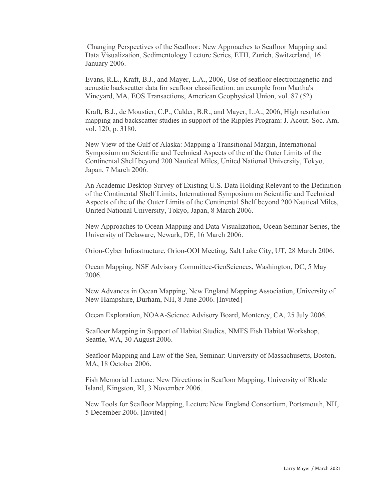Changing Perspectives of the Seafloor: New Approaches to Seafloor Mapping and Data Visualization, Sedimentology Lecture Series, ETH, Zurich, Switzerland, 16 January 2006.

Evans, R.L., Kraft, B.J., and Mayer, L.A., 2006, Use of seafloor electromagnetic and acoustic backscatter data for seafloor classification: an example from Martha's Vineyard, MA, EOS Transactions, American Geophysical Union, vol. 87 (52).

Kraft, B.J., de Moustier, C.P., Calder, B.R., and Mayer, L.A., 2006, High resolution mapping and backscatter studies in support of the Ripples Program: J. Acout. Soc. Am, vol. 120, p. 3180.

New View of the Gulf of Alaska: Mapping a Transitional Margin, International Symposium on Scientific and Technical Aspects of the of the Outer Limits of the Continental Shelf beyond 200 Nautical Miles, United National University, Tokyo, Japan, 7 March 2006.

An Academic Desktop Survey of Existing U.S. Data Holding Relevant to the Definition of the Continental Shelf Limits, International Symposium on Scientific and Technical Aspects of the of the Outer Limits of the Continental Shelf beyond 200 Nautical Miles, United National University, Tokyo, Japan, 8 March 2006.

New Approaches to Ocean Mapping and Data Visualization, Ocean Seminar Series, the University of Delaware, Newark, DE, 16 March 2006.

Orion-Cyber Infrastructure, Orion-OOI Meeting, Salt Lake City, UT, 28 March 2006.

Ocean Mapping, NSF Advisory Committee-GeoSciences, Washington, DC, 5 May 2006.

New Advances in Ocean Mapping, New England Mapping Association, University of New Hampshire, Durham, NH, 8 June 2006. [Invited]

Ocean Exploration, NOAA-Science Advisory Board, Monterey, CA, 25 July 2006.

Seafloor Mapping in Support of Habitat Studies, NMFS Fish Habitat Workshop, Seattle, WA, 30 August 2006.

Seafloor Mapping and Law of the Sea, Seminar: University of Massachusetts, Boston, MA, 18 October 2006.

Fish Memorial Lecture: New Directions in Seafloor Mapping, University of Rhode Island, Kingston, RI, 3 November 2006.

New Tools for Seafloor Mapping, Lecture New England Consortium, Portsmouth, NH, 5 December 2006. [Invited]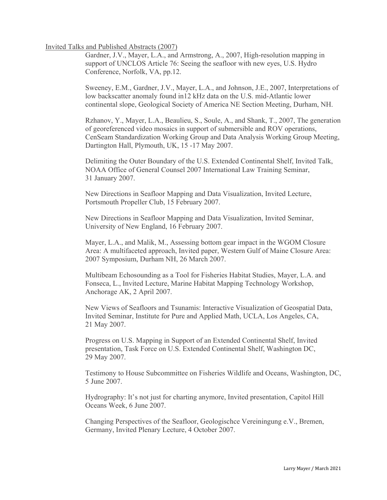# Invited Talks and Published Abstracts (2007)

Gardner, J.V., Mayer, L.A., and Armstrong, A., 2007, High-resolution mapping in support of UNCLOS Article 76: Seeing the seafloor with new eyes, U.S. Hydro Conference, Norfolk, VA, pp.12.

Sweeney, E.M., Gardner, J.V., Mayer, L.A., and Johnson, J.E., 2007, Interpretations of low backscatter anomaly found in12 kHz data on the U.S. mid-Atlantic lower continental slope, Geological Society of America NE Section Meeting, Durham, NH.

Rzhanov, Y., Mayer, L.A., Beaulieu, S., Soule, A., and Shank, T., 2007, The generation of georeferenced video mosaics in support of submersible and ROV operations, CenSeam Standardization Working Group and Data Analysis Working Group Meeting, Dartington Hall, Plymouth, UK, 15 -17 May 2007.

Delimiting the Outer Boundary of the U.S. Extended Continental Shelf, Invited Talk, NOAA Office of General Counsel 2007 International Law Training Seminar, 31 January 2007.

New Directions in Seafloor Mapping and Data Visualization, Invited Lecture, Portsmouth Propeller Club, 15 February 2007.

New Directions in Seafloor Mapping and Data Visualization, Invited Seminar, University of New England, 16 February 2007.

Mayer, L.A., and Malik, M., Assessing bottom gear impact in the WGOM Closure Area: A multifaceted approach, Invited paper, Western Gulf of Maine Closure Area: 2007 Symposium, Durham NH, 26 March 2007.

Multibeam Echosounding as a Tool for Fisheries Habitat Studies, Mayer, L.A. and Fonseca, L., Invited Lecture, Marine Habitat Mapping Technology Workshop, Anchorage AK, 2 April 2007.

New Views of Seafloors and Tsunamis: Interactive Visualization of Geospatial Data, Invited Seminar, Institute for Pure and Applied Math, UCLA, Los Angeles, CA, 21 May 2007.

Progress on U.S. Mapping in Support of an Extended Continental Shelf, Invited presentation, Task Force on U.S. Extended Continental Shelf, Washington DC, 29 May 2007.

Testimony to House Subcommittee on Fisheries Wildlife and Oceans, Washington, DC, 5 June 2007.

Hydrography: It's not just for charting anymore, Invited presentation, Capitol Hill Oceans Week, 6 June 2007.

Changing Perspectives of the Seafloor, Geologischce Vereiningung e.V., Bremen, Germany, Invited Plenary Lecture, 4 October 2007.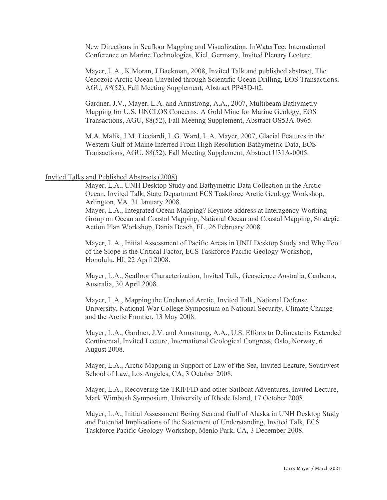New Directions in Seafloor Mapping and Visualization, InWaterTec: International Conference on Marine Technologies, Kiel, Germany, Invited Plenary Lecture.

Mayer, L.A., K Moran, J Backman, 2008, Invited Talk and published abstract, The Cenozoic Arctic Ocean Unveiled through Scientific Ocean Drilling, EOS Transactions, AGU*, 88*(52), Fall Meeting Supplement, Abstract PP43D-02.

Gardner, J.V., Mayer, L.A. and Armstrong, A.A., 2007, Multibeam Bathymetry Mapping for U.S. UNCLOS Concerns: A Gold Mine for Marine Geology, EOS Transactions, AGU, 88(52), Fall Meeting Supplement, Abstract OS53A-0965.

M.A. Malik, J.M. Licciardi, L.G. Ward, L.A. Mayer, 2007, Glacial Features in the Western Gulf of Maine Inferred From High Resolution Bathymetric Data, EOS Transactions, AGU, 88(52), Fall Meeting Supplement, Abstract U31A-0005.

### Invited Talks and Published Abstracts (2008)

Mayer, L.A., UNH Desktop Study and Bathymetric Data Collection in the Arctic Ocean, Invited Talk, State Department ECS Taskforce Arctic Geology Workshop, Arlington, VA, 31 January 2008.

Mayer, L.A., Integrated Ocean Mapping? Keynote address at Interagency Working Group on Ocean and Coastal Mapping, National Ocean and Coastal Mapping, Strategic Action Plan Workshop, Dania Beach, FL, 26 February 2008.

Mayer, L.A., Initial Assessment of Pacific Areas in UNH Desktop Study and Why Foot of the Slope is the Critical Factor, ECS Taskforce Pacific Geology Workshop, Honolulu, HI, 22 April 2008.

Mayer, L.A., Seafloor Characterization, Invited Talk, Geoscience Australia, Canberra, Australia, 30 April 2008.

Mayer, L.A., Mapping the Uncharted Arctic, Invited Talk, National Defense University, National War College Symposium on National Security, Climate Change and the Arctic Frontier, 13 May 2008.

Mayer, L.A., Gardner, J.V. and Armstrong, A.A., U.S. Efforts to Delineate its Extended Continental, Invited Lecture, International Geological Congress, Oslo, Norway, 6 August 2008.

Mayer, L.A., Arctic Mapping in Support of Law of the Sea, Invited Lecture, Southwest School of Law, Los Angeles, CA, 3 October 2008.

Mayer, L.A., Recovering the TRIFFID and other Sailboat Adventures, Invited Lecture, Mark Wimbush Symposium, University of Rhode Island, 17 October 2008.

Mayer, L.A., Initial Assessment Bering Sea and Gulf of Alaska in UNH Desktop Study and Potential Implications of the Statement of Understanding, Invited Talk, ECS Taskforce Pacific Geology Workshop, Menlo Park, CA, 3 December 2008.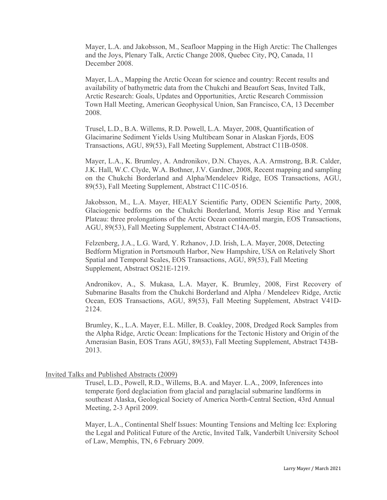Mayer, L.A. and Jakobsson, M., Seafloor Mapping in the High Arctic: The Challenges and the Joys, Plenary Talk, Arctic Change 2008, Quebec City, PQ, Canada, 11 December 2008.

Mayer, L.A., Mapping the Arctic Ocean for science and country: Recent results and availability of bathymetric data from the Chukchi and Beaufort Seas, Invited Talk, Arctic Research: Goals, Updates and Opportunities, Arctic Research Commission Town Hall Meeting, American Geophysical Union, San Francisco, CA, 13 December 2008.

Trusel, L.D., B.A. Willems, R.D. Powell, L.A. Mayer, 2008, Quantification of Glacimarine Sediment Yields Using Multibeam Sonar in Alaskan Fjords, EOS Transactions, AGU, 89(53), Fall Meeting Supplement, Abstract C11B-0508.

Mayer, L.A., K. Brumley, A. Andronikov, D.N. Chayes, A.A. Armstrong, B.R. Calder, J.K. Hall, W.C. Clyde, W.A. Bothner, J.V. Gardner, 2008, Recent mapping and sampling on the Chukchi Borderland and Alpha/Mendeleev Ridge, EOS Transactions, AGU, 89(53), Fall Meeting Supplement, Abstract C11C-0516.

Jakobsson, M., L.A. Mayer, HEALY Scientific Party, ODEN Scientific Party, 2008, Glaciogenic bedforms on the Chukchi Borderland, Morris Jesup Rise and Yermak Plateau: three prolongations of the Arctic Ocean continental margin, EOS Transactions, AGU, 89(53), Fall Meeting Supplement, Abstract C14A-05.

Felzenberg, J.A., L.G. Ward, Y. Rzhanov, J.D. Irish, L.A. Mayer, 2008, Detecting Bedform Migration in Portsmouth Harbor, New Hampshire, USA on Relatively Short Spatial and Temporal Scales, EOS Transactions, AGU, 89(53), Fall Meeting Supplement, Abstract OS21E-1219.

Andronikov, A., S. Mukasa, L.A. Mayer, K. Brumley, 2008, First Recovery of Submarine Basalts from the Chukchi Borderland and Alpha / Mendeleev Ridge, Arctic Ocean, EOS Transactions, AGU, 89(53), Fall Meeting Supplement, Abstract V41D-2124.

Brumley, K., L.A. Mayer, E.L. Miller, B. Coakley, 2008, Dredged Rock Samples from the Alpha Ridge, Arctic Ocean: Implications for the Tectonic History and Origin of the Amerasian Basin, EOS Trans AGU, 89(53), Fall Meeting Supplement, Abstract T43B-2013.

# Invited Talks and Published Abstracts (2009)

Trusel, L.D., Powell, R.D., Willems, B.A. and Mayer. L.A., 2009, Inferences into temperate fjord deglaciation from glacial and paraglacial submarine landforms in southeast Alaska, Geological Society of America North-Central Section, 43rd Annual Meeting, 2-3 April 2009.

Mayer, L.A., Continental Shelf Issues: Mounting Tensions and Melting Ice: Exploring the Legal and Political Future of the Arctic, Invited Talk, Vanderbilt University School of Law, Memphis, TN, 6 February 2009.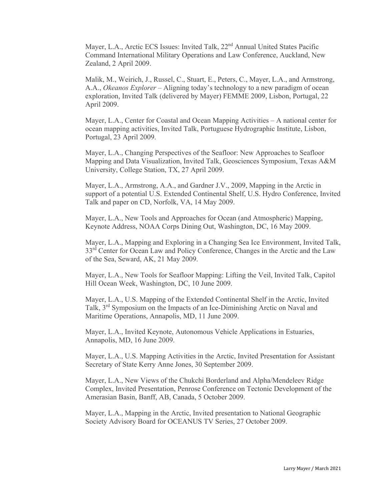Mayer, L.A., Arctic ECS Issues: Invited Talk, 22<sup>nd</sup> Annual United States Pacific Command International Military Operations and Law Conference, Auckland, New Zealand, 2 April 2009.

Malik, M., Weirich, J., Russel, C., Stuart, E., Peters, C., Mayer, L.A., and Armstrong, A.A., *Okeanos Explorer* – Aligning today's technology to a new paradigm of ocean exploration, Invited Talk (delivered by Mayer) FEMME 2009, Lisbon, Portugal, 22 April 2009.

Mayer, L.A., Center for Coastal and Ocean Mapping Activities – A national center for ocean mapping activities, Invited Talk, Portuguese Hydrographic Institute, Lisbon, Portugal, 23 April 2009.

Mayer, L.A., Changing Perspectives of the Seafloor: New Approaches to Seafloor Mapping and Data Visualization, Invited Talk, Geosciences Symposium, Texas A&M University, College Station, TX, 27 April 2009.

Mayer, L.A., Armstrong, A.A., and Gardner J.V., 2009, Mapping in the Arctic in support of a potential U.S. Extended Continental Shelf, U.S. Hydro Conference, Invited Talk and paper on CD, Norfolk, VA, 14 May 2009.

Mayer, L.A., New Tools and Approaches for Ocean (and Atmospheric) Mapping, Keynote Address, NOAA Corps Dining Out, Washington, DC, 16 May 2009.

Mayer, L.A., Mapping and Exploring in a Changing Sea Ice Environment, Invited Talk, 33<sup>rd</sup> Center for Ocean Law and Policy Conference, Changes in the Arctic and the Law of the Sea, Seward, AK, 21 May 2009.

Mayer, L.A., New Tools for Seafloor Mapping: Lifting the Veil, Invited Talk, Capitol Hill Ocean Week, Washington, DC, 10 June 2009.

Mayer, L.A., U.S. Mapping of the Extended Continental Shelf in the Arctic, Invited Talk, 3rd Symposium on the Impacts of an Ice-Diminishing Arctic on Naval and Maritime Operations, Annapolis, MD, 11 June 2009.

Mayer, L.A., Invited Keynote, Autonomous Vehicle Applications in Estuaries, Annapolis, MD, 16 June 2009.

Mayer, L.A., U.S. Mapping Activities in the Arctic, Invited Presentation for Assistant Secretary of State Kerry Anne Jones, 30 September 2009.

Mayer, L.A., New Views of the Chukchi Borderland and Alpha/Mendeleev Ridge Complex, Invited Presentation, Penrose Conference on Tectonic Development of the Amerasian Basin, Banff, AB, Canada, 5 October 2009.

Mayer, L.A., Mapping in the Arctic, Invited presentation to National Geographic Society Advisory Board for OCEANUS TV Series, 27 October 2009.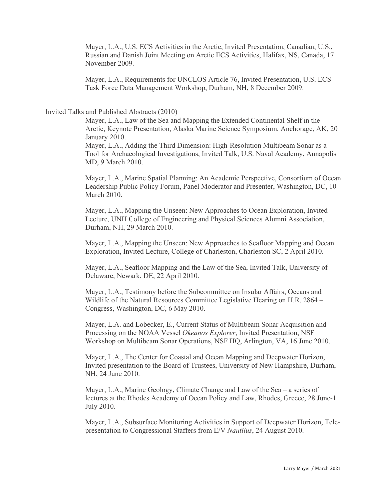Mayer, L.A., U.S. ECS Activities in the Arctic, Invited Presentation, Canadian, U.S., Russian and Danish Joint Meeting on Arctic ECS Activities, Halifax, NS, Canada, 17 November 2009.

Mayer, L.A., Requirements for UNCLOS Article 76, Invited Presentation, U.S. ECS Task Force Data Management Workshop, Durham, NH, 8 December 2009.

#### Invited Talks and Published Abstracts (2010)

Mayer, L.A., Law of the Sea and Mapping the Extended Continental Shelf in the Arctic, Keynote Presentation, Alaska Marine Science Symposium, Anchorage, AK, 20 January 2010.

Mayer, L.A., Adding the Third Dimension: High-Resolution Multibeam Sonar as a Tool for Archaeological Investigations, Invited Talk, U.S. Naval Academy, Annapolis MD, 9 March 2010.

Mayer, L.A., Marine Spatial Planning: An Academic Perspective, Consortium of Ocean Leadership Public Policy Forum, Panel Moderator and Presenter, Washington, DC, 10 March 2010.

Mayer, L.A., Mapping the Unseen: New Approaches to Ocean Exploration, Invited Lecture, UNH College of Engineering and Physical Sciences Alumni Association, Durham, NH, 29 March 2010.

Mayer, L.A., Mapping the Unseen: New Approaches to Seafloor Mapping and Ocean Exploration, Invited Lecture, College of Charleston, Charleston SC, 2 April 2010.

Mayer, L.A., Seafloor Mapping and the Law of the Sea, Invited Talk, University of Delaware, Newark, DE, 22 April 2010.

Mayer, L.A., Testimony before the Subcommittee on Insular Affairs, Oceans and Wildlife of the Natural Resources Committee Legislative Hearing on H.R. 2864 – Congress, Washington, DC, 6 May 2010.

Mayer, L.A. and Lobecker, E., Current Status of Multibeam Sonar Acquisition and Processing on the NOAA Vessel *Okeanos Explorer*, Invited Presentation, NSF Workshop on Multibeam Sonar Operations, NSF HQ, Arlington, VA, 16 June 2010.

Mayer, L.A., The Center for Coastal and Ocean Mapping and Deepwater Horizon, Invited presentation to the Board of Trustees, University of New Hampshire, Durham, NH, 24 June 2010.

Mayer, L.A., Marine Geology, Climate Change and Law of the Sea – a series of lectures at the Rhodes Academy of Ocean Policy and Law, Rhodes, Greece, 28 June-1 July 2010.

Mayer, L.A., Subsurface Monitoring Activities in Support of Deepwater Horizon, Telepresentation to Congressional Staffers from E/V *Nautilus*, 24 August 2010.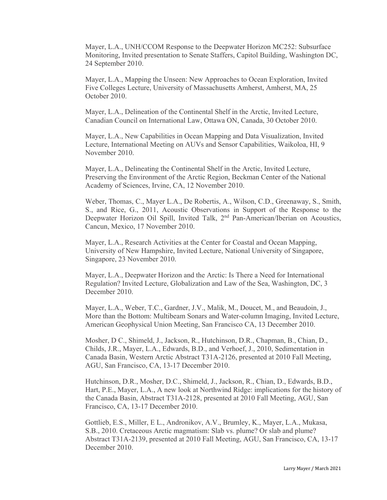Mayer, L.A., UNH/CCOM Response to the Deepwater Horizon MC252: Subsurface Monitoring, Invited presentation to Senate Staffers, Capitol Building, Washington DC, 24 September 2010.

Mayer, L.A., Mapping the Unseen: New Approaches to Ocean Exploration, Invited Five Colleges Lecture, University of Massachusetts Amherst, Amherst, MA, 25 October 2010.

Mayer, L.A., Delineation of the Continental Shelf in the Arctic, Invited Lecture, Canadian Council on International Law, Ottawa ON, Canada, 30 October 2010.

Mayer, L.A., New Capabilities in Ocean Mapping and Data Visualization, Invited Lecture, International Meeting on AUVs and Sensor Capabilities, Waikoloa, HI, 9 November 2010.

Mayer, L.A., Delineating the Continental Shelf in the Arctic, Invited Lecture, Preserving the Environment of the Arctic Region, Beckman Center of the National Academy of Sciences, Irvine, CA, 12 November 2010.

Weber, Thomas, C., Mayer L.A., De Robertis, A., Wilson, C.D., Greenaway, S., Smith, S., and Rice, G., 2011, Acoustic Observations in Support of the Response to the Deepwater Horizon Oil Spill, Invited Talk, 2<sup>nd</sup> Pan-American/Iberian on Acoustics, Cancun, Mexico, 17 November 2010.

Mayer, L.A., Research Activities at the Center for Coastal and Ocean Mapping, University of New Hampshire, Invited Lecture, National University of Singapore, Singapore, 23 November 2010.

Mayer, L.A., Deepwater Horizon and the Arctic: Is There a Need for International Regulation? Invited Lecture, Globalization and Law of the Sea, Washington, DC, 3 December 2010.

Mayer, L.A., Weber, T.C., Gardner, J.V., Malik, M., Doucet, M., and Beaudoin, J., More than the Bottom: Multibeam Sonars and Water-column Imaging, Invited Lecture, American Geophysical Union Meeting, San Francisco CA, 13 December 2010.

Mosher, D C., Shimeld, J., Jackson, R., Hutchinson, D.R., Chapman, B., Chian, D., Childs, J.R., Mayer, L.A., Edwards, B.D., and Verhoef, J., 2010, Sedimentation in Canada Basin, Western Arctic Abstract T31A-2126, presented at 2010 Fall Meeting, AGU, San Francisco, CA, 13-17 December 2010.

Hutchinson, D.R., Mosher, D.C., Shimeld, J., Jackson, R., Chian, D., Edwards, B.D., Hart, P.E., Mayer, L.A., A new look at Northwind Ridge: implications for the history of the Canada Basin, Abstract T31A-2128, presented at 2010 Fall Meeting, AGU, San Francisco, CA, 13-17 December 2010.

Gottlieb, E.S., Miller, E L., Andronikov, A.V., Brumley, K., Mayer, L.A., Mukasa, S.B., 2010. Cretaceous Arctic magmatism: Slab vs. plume? Or slab and plume? Abstract T31A-2139, presented at 2010 Fall Meeting, AGU, San Francisco, CA, 13-17 December 2010.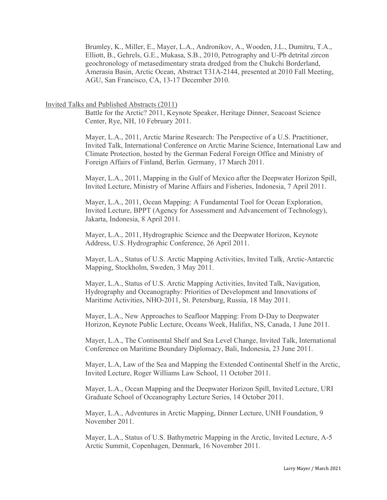Brumley, K., Miller, E., Mayer, L.A., Andronikov, A., Wooden, J.L., Dumitru, T.A., Elliott, B., Gehrels, G.E., Mukasa, S.B., 2010, Petrography and U-Pb detrital zircon geochronology of metasedimentary strata dredged from the Chukchi Borderland, Amerasia Basin, Arctic Ocean, Abstract T31A-2144, presented at 2010 Fall Meeting, AGU, San Francisco, CA, 13-17 December 2010.

# Invited Talks and Published Abstracts (2011)

Battle for the Arctic? 2011, Keynote Speaker, Heritage Dinner, Seacoast Science Center, Rye, NH, 10 February 2011.

Mayer, L.A., 2011, Arctic Marine Research: The Perspective of a U.S. Practitioner, Invited Talk, International Conference on Arctic Marine Science, International Law and Climate Protection, hosted by the German Federal Foreign Office and Ministry of Foreign Affairs of Finland, Berlin. Germany, 17 March 2011.

Mayer, L.A., 2011, Mapping in the Gulf of Mexico after the Deepwater Horizon Spill, Invited Lecture, Ministry of Marine Affairs and Fisheries, Indonesia, 7 April 2011.

Mayer, L.A., 2011, Ocean Mapping: A Fundamental Tool for Ocean Exploration, Invited Lecture, BPPT (Agency for Assessment and Advancement of Technology), Jakarta, Indonesia, 8 April 2011.

Mayer, L.A., 2011, Hydrographic Science and the Deepwater Horizon, Keynote Address, U.S. Hydrographic Conference, 26 April 2011.

Mayer, L.A., Status of U.S. Arctic Mapping Activities, Invited Talk, Arctic-Antarctic Mapping, Stockholm, Sweden, 3 May 2011.

Mayer, L.A., Status of U.S. Arctic Mapping Activities, Invited Talk, Navigation, Hydrography and Oceanography: Priorities of Development and Innovations of Maritime Activities, NHO-2011, St. Petersburg, Russia, 18 May 2011.

Mayer, L.A., New Approaches to Seafloor Mapping: From D-Day to Deepwater Horizon, Keynote Public Lecture, Oceans Week, Halifax, NS, Canada, 1 June 2011.

Mayer, L.A., The Continental Shelf and Sea Level Change, Invited Talk, International Conference on Maritime Boundary Diplomacy, Bali, Indonesia, 23 June 2011.

Mayer, L.A, Law of the Sea and Mapping the Extended Continental Shelf in the Arctic, Invited Lecture, Roger Williams Law School, 11 October 2011.

Mayer, L.A., Ocean Mapping and the Deepwater Horizon Spill, Invited Lecture, URI Graduate School of Oceanography Lecture Series, 14 October 2011.

Mayer, L.A., Adventures in Arctic Mapping, Dinner Lecture, UNH Foundation, 9 November 2011.

Mayer, L.A., Status of U.S. Bathymetric Mapping in the Arctic, Invited Lecture, A-5 Arctic Summit, Copenhagen, Denmark, 16 November 2011.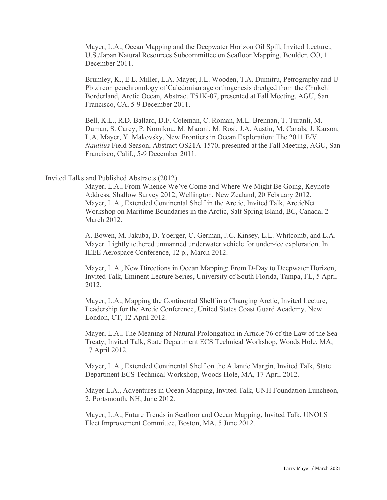Mayer, L.A., Ocean Mapping and the Deepwater Horizon Oil Spill, Invited Lecture., U.S./Japan Natural Resources Subcommittee on Seafloor Mapping, Boulder, CO, 1 December 2011.

Brumley, K., E L. Miller, L.A. Mayer, J.L. Wooden, T.A. Dumitru, Petrography and U-Pb zircon geochronology of Caledonian age orthogenesis dredged from the Chukchi Borderland, Arctic Ocean, Abstract T51K-07, presented at Fall Meeting, AGU, San Francisco, CA, 5-9 December 2011.

Bell, K.L., R.D. Ballard, D.F. Coleman, C. Roman, M.L. Brennan, T. Turanli, M. Duman, S. Carey, P. Nomikou, M. Marani, M. Rosi, J.A. Austin, M. Canals, J. Karson, L.A. Mayer, Y. Makovsky, New Frontiers in Ocean Exploration: The 2011 E/V *Nautilus* Field Season, Abstract OS21A-1570, presented at the Fall Meeting, AGU, San Francisco, Calif., 5-9 December 2011.

# Invited Talks and Published Abstracts (2012)

Mayer, L.A., From Whence We've Come and Where We Might Be Going, Keynote Address, Shallow Survey 2012, Wellington, New Zealand, 20 February 2012. Mayer, L.A., Extended Continental Shelf in the Arctic, Invited Talk, ArcticNet Workshop on Maritime Boundaries in the Arctic, Salt Spring Island, BC, Canada, 2 March 2012.

A. Bowen, M. Jakuba, D. Yoerger, C. German, J.C. Kinsey, L.L. Whitcomb, and L.A. Mayer. Lightly tethered unmanned underwater vehicle for under-ice exploration. In IEEE Aerospace Conference, 12 p., March 2012.

Mayer, L.A., New Directions in Ocean Mapping: From D-Day to Deepwater Horizon, Invited Talk, Eminent Lecture Series, University of South Florida, Tampa, FL, 5 April 2012.

Mayer, L.A., Mapping the Continental Shelf in a Changing Arctic, Invited Lecture, Leadership for the Arctic Conference, United States Coast Guard Academy, New London, CT, 12 April 2012.

Mayer, L.A., The Meaning of Natural Prolongation in Article 76 of the Law of the Sea Treaty, Invited Talk, State Department ECS Technical Workshop, Woods Hole, MA, 17 April 2012.

Mayer, L.A., Extended Continental Shelf on the Atlantic Margin, Invited Talk, State Department ECS Technical Workshop, Woods Hole, MA, 17 April 2012.

Mayer L.A., Adventures in Ocean Mapping, Invited Talk, UNH Foundation Luncheon, 2, Portsmouth, NH, June 2012.

Mayer, L.A., Future Trends in Seafloor and Ocean Mapping, Invited Talk, UNOLS Fleet Improvement Committee, Boston, MA, 5 June 2012.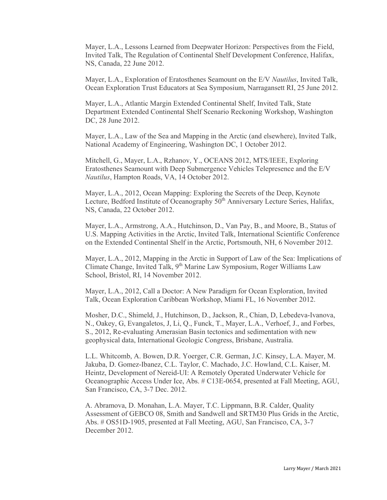Mayer, L.A., Lessons Learned from Deepwater Horizon: Perspectives from the Field, Invited Talk, The Regulation of Continental Shelf Development Conference, Halifax, NS, Canada, 22 June 2012.

Mayer, L.A., Exploration of Eratosthenes Seamount on the E/V *Nautilus*, Invited Talk, Ocean Exploration Trust Educators at Sea Symposium, Narragansett RI, 25 June 2012.

Mayer, L.A., Atlantic Margin Extended Continental Shelf, Invited Talk, State Department Extended Continental Shelf Scenario Reckoning Workshop, Washington DC, 28 June 2012.

Mayer, L.A., Law of the Sea and Mapping in the Arctic (and elsewhere), Invited Talk, National Academy of Engineering, Washington DC, 1 October 2012.

Mitchell, G., Mayer, L.A., Rzhanov, Y., OCEANS 2012, MTS/IEEE, Exploring Eratosthenes Seamount with Deep Submergence Vehicles Telepresence and the E/V *Nautilus*, Hampton Roads, VA, 14 October 2012.

Mayer, L.A., 2012, Ocean Mapping: Exploring the Secrets of the Deep, Keynote Lecture, Bedford Institute of Oceanography  $50<sup>th</sup>$  Anniversary Lecture Series, Halifax, NS, Canada, 22 October 2012.

Mayer, L.A., Armstrong, A.A., Hutchinson, D., Van Pay, B., and Moore, B., Status of U.S. Mapping Activities in the Arctic, Invited Talk, International Scientific Conference on the Extended Continental Shelf in the Arctic, Portsmouth, NH, 6 November 2012.

Mayer, L.A., 2012, Mapping in the Arctic in Support of Law of the Sea: Implications of Climate Change, Invited Talk, 9<sup>th</sup> Marine Law Symposium, Roger Williams Law School, Bristol, RI, 14 November 2012.

Mayer, L.A., 2012, Call a Doctor: A New Paradigm for Ocean Exploration, Invited Talk, Ocean Exploration Caribbean Workshop, Miami FL, 16 November 2012.

Mosher, D.C., Shimeld, J., Hutchinson, D., Jackson, R., Chian, D, Lebedeva-Ivanova, N., Oakey, G, Evangaletos, J, Li, Q., Funck, T., Mayer, L.A., Verhoef, J., and Forbes, S., 2012, Re-evaluating Amerasian Basin tectonics and sedimentation with new geophysical data, International Geologic Congress, Brisbane, Australia.

L.L. Whitcomb, A. Bowen, D.R. Yoerger, C.R. German, J.C. Kinsey, L.A. Mayer, M. Jakuba, D. Gomez-Ibanez, C.L. Taylor, C. Machado, J.C. Howland, C.L. Kaiser, M. Heintz, Development of Nereid-UI: A Remotely Operated Underwater Vehicle for Oceanographic Access Under Ice, Abs. # C13E-0654, presented at Fall Meeting, AGU, San Francisco, CA, 3-7 Dec. 2012.

A. Abramova, D. Monahan, L.A. Mayer, T.C. Lippmann, B.R. Calder, Quality Assessment of GEBCO 08, Smith and Sandwell and SRTM30 Plus Grids in the Arctic, Abs. # OS51D-1905, presented at Fall Meeting, AGU, San Francisco, CA, 3-7 December 2012.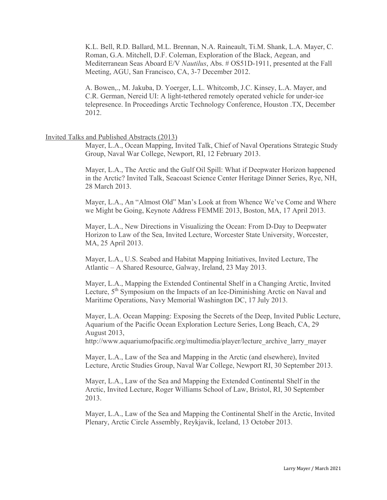K.L. Bell, R.D. Ballard, M.L. Brennan, N.A. Raineault, Ti.M. Shank, L.A. Mayer, C. Roman, G.A. Mitchell, D.F. Coleman, Exploration of the Black, Aegean, and Mediterranean Seas Aboard E/V *Nautilus*, Abs. # OS51D-1911, presented at the Fall Meeting, AGU, San Francisco, CA, 3-7 December 2012.

A. Bowen,., M. Jakuba, D. Yoerger, L.L. Whitcomb, J.C. Kinsey, L.A. Mayer, and C.R. German, Nereid UI: A light-tethered remotely operated vehicle for under-ice telepresence. In Proceedings Arctic Technology Conference, Houston .TX, December 2012.

# Invited Talks and Published Abstracts (2013)

Mayer, L.A., Ocean Mapping, Invited Talk, Chief of Naval Operations Strategic Study Group, Naval War College, Newport, RI, 12 February 2013.

Mayer, L.A., The Arctic and the Gulf Oil Spill: What if Deepwater Horizon happened in the Arctic? Invited Talk, Seacoast Science Center Heritage Dinner Series, Rye, NH, 28 March 2013.

Mayer, L.A., An "Almost Old" Man's Look at from Whence We've Come and Where we Might be Going, Keynote Address FEMME 2013, Boston, MA, 17 April 2013.

Mayer, L.A., New Directions in Visualizing the Ocean: From D-Day to Deepwater Horizon to Law of the Sea, Invited Lecture, Worcester State University, Worcester, MA, 25 April 2013.

Mayer, L.A., U.S. Seabed and Habitat Mapping Initiatives, Invited Lecture, The Atlantic – A Shared Resource, Galway, Ireland, 23 May 2013.

Mayer, L.A., Mapping the Extended Continental Shelf in a Changing Arctic, Invited Lecture, 5<sup>th</sup> Symposium on the Impacts of an Ice-Diminishing Arctic on Naval and Maritime Operations, Navy Memorial Washington DC, 17 July 2013.

Mayer, L.A. Ocean Mapping: Exposing the Secrets of the Deep, Invited Public Lecture, Aquarium of the Pacific Ocean Exploration Lecture Series, Long Beach, CA, 29 August 2013,

[http://www.aquariumofpacific.org/multimedia/player/lecture\\_archive\\_larry\\_mayer](http://www.aquariumofpacific.org/multimedia/player/lecture_archive_larry_mayer)

Mayer, L.A., Law of the Sea and Mapping in the Arctic (and elsewhere), Invited Lecture, Arctic Studies Group, Naval War College, Newport RI, 30 September 2013.

Mayer, L.A., Law of the Sea and Mapping the Extended Continental Shelf in the Arctic, Invited Lecture, Roger Williams School of Law, Bristol, RI, 30 September 2013.

Mayer, L.A., Law of the Sea and Mapping the Continental Shelf in the Arctic, Invited Plenary, Arctic Circle Assembly, Reykjavik, Iceland, 13 October 2013.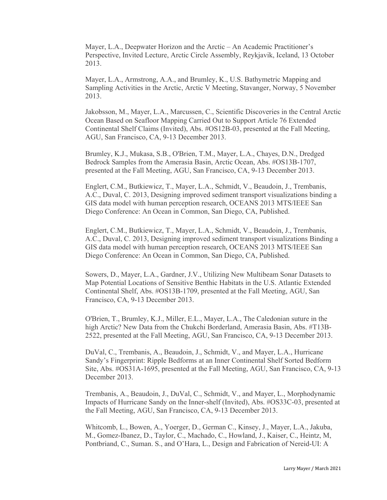Mayer, L.A., Deepwater Horizon and the Arctic – An Academic Practitioner's Perspective, Invited Lecture, Arctic Circle Assembly, Reykjavik, Iceland, 13 October 2013.

Mayer, L.A., Armstrong, A.A., and Brumley, K., U.S. Bathymetric Mapping and Sampling Activities in the Arctic, Arctic V Meeting, Stavanger, Norway, 5 November 2013.

Jakobsson, M., Mayer, L.A., Marcussen, C., Scientific Discoveries in the Central Arctic Ocean Based on Seafloor Mapping Carried Out to Support Article 76 Extended Continental Shelf Claims (Invited), Abs. #OS12B-03, presented at the Fall Meeting, AGU, San Francisco, CA, 9-13 December 2013.

Brumley, K.J., Mukasa, S.B., O'Brien, T.M., Mayer, L.A., Chayes, D.N., Dredged Bedrock Samples from the Amerasia Basin, Arctic Ocean, Abs. #OS13B-1707, presented at the Fall Meeting, AGU, San Francisco, CA, 9-13 December 2013.

Englert, C.M., Butkiewicz, T., Mayer, L.A., Schmidt, V., Beaudoin, J., Trembanis, A.C., Duval, C. 2013, Designing improved sediment transport visualizations binding a GIS data model with human perception research, OCEANS 2013 MTS/IEEE San Diego Conference: An Ocean in Common, San Diego, CA, Published.

Englert, C.M., Butkiewicz, T., Mayer, L.A., Schmidt, V., Beaudoin, J., Trembanis, A.C., Duval, C. 2013, Designing improved sediment transport visualizations Binding a GIS data model with human perception research, OCEANS 2013 MTS/IEEE San Diego Conference: An Ocean in Common, San Diego, CA, Published.

Sowers, D., Mayer, L.A., Gardner, J.V., Utilizing New Multibeam Sonar Datasets to Map Potential Locations of Sensitive Benthic Habitats in the U.S. Atlantic Extended Continental Shelf, Abs. #OS13B-1709, presented at the Fall Meeting, AGU, San Francisco, CA, 9-13 December 2013.

O'Brien, T., Brumley, K.J., Miller, E.L., Mayer, L.A., The Caledonian suture in the high Arctic? New Data from the Chukchi Borderland, Amerasia Basin, Abs. #T13B-2522, presented at the Fall Meeting, AGU, San Francisco, CA, 9-13 December 2013.

DuVal, C., Trembanis, A., Beaudoin, J., Schmidt, V., and Mayer, L.A., Hurricane Sandy's Fingerprint: Ripple Bedforms at an Inner Continental Shelf Sorted Bedform Site, Abs. #OS31A-1695, presented at the Fall Meeting, AGU, San Francisco, CA, 9-13 December 2013.

Trembanis, A., Beaudoin, J., DuVal, C., Schmidt, V., and Mayer, L., Morphodynamic Impacts of Hurricane Sandy on the Inner-shelf (Invited), Abs. #OS33C-03, presented at the Fall Meeting, AGU, San Francisco, CA, 9-13 December 2013.

Whitcomb, L., Bowen, A., Yoerger, D., German C., Kinsey, J., Mayer, L.A., Jakuba, M., Gomez-Ibanez, D., Taylor, C., Machado, C., Howland, J., Kaiser, C., Heintz, M, Pontbriand, C., Suman. S., and O'Hara, L., Design and Fabrication of Nereid-UI: A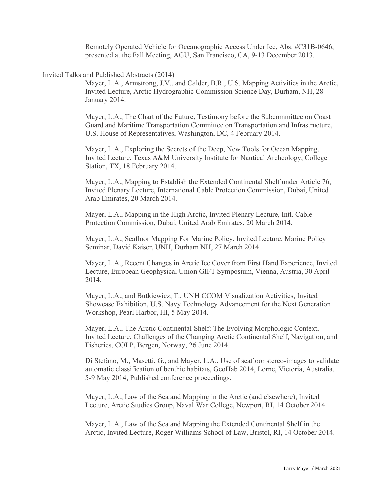Remotely Operated Vehicle for Oceanographic Access Under Ice, Abs. #C31B-0646, presented at the Fall Meeting, AGU, San Francisco, CA, 9-13 December 2013.

#### Invited Talks and Published Abstracts (2014)

Mayer, L.A., Armstrong, J.V., and Calder, B.R., U.S. Mapping Activities in the Arctic, Invited Lecture, Arctic Hydrographic Commission Science Day, Durham, NH, 28 January 2014.

Mayer, L.A., The Chart of the Future, Testimony before the Subcommittee on Coast Guard and Maritime Transportation Committee on Transportation and Infrastructure, U.S. House of Representatives, Washington, DC, 4 February 2014.

Mayer, L.A., Exploring the Secrets of the Deep, New Tools for Ocean Mapping, Invited Lecture, Texas A&M University Institute for Nautical Archeology, College Station, TX, 18 February 2014.

Mayer, L.A., Mapping to Establish the Extended Continental Shelf under Article 76, Invited Plenary Lecture, International Cable Protection Commission, Dubai, United Arab Emirates, 20 March 2014.

Mayer, L.A., Mapping in the High Arctic, Invited Plenary Lecture, Intl. Cable Protection Commission, Dubai, United Arab Emirates, 20 March 2014.

Mayer, L.A., Seafloor Mapping For Marine Policy, Invited Lecture, Marine Policy Seminar, David Kaiser, UNH, Durham NH, 27 March 2014.

Mayer, L.A., Recent Changes in Arctic Ice Cover from First Hand Experience, Invited Lecture, European Geophysical Union GIFT Symposium, Vienna, Austria, 30 April 2014.

Mayer, L.A., and Butkiewicz, T., UNH CCOM Visualization Activities, Invited Showcase Exhibition, U.S. Navy Technology Advancement for the Next Generation Workshop, Pearl Harbor, HI, 5 May 2014.

Mayer, L.A., The Arctic Continental Shelf: The Evolving Morphologic Context, Invited Lecture, Challenges of the Changing Arctic Continental Shelf, Navigation, and Fisheries, COLP, Bergen, Norway, 26 June 2014.

Di Stefano, M., Masetti, G., and Mayer, L.A., Use of seafloor stereo-images to validate automatic classification of benthic habitats, GeoHab 2014, Lorne, Victoria, Australia, 5-9 May 2014, Published conference proceedings.

Mayer, L.A., Law of the Sea and Mapping in the Arctic (and elsewhere), Invited Lecture, Arctic Studies Group, Naval War College, Newport, RI, 14 October 2014.

Mayer, L.A., Law of the Sea and Mapping the Extended Continental Shelf in the Arctic, Invited Lecture, Roger Williams School of Law, Bristol, RI, 14 October 2014.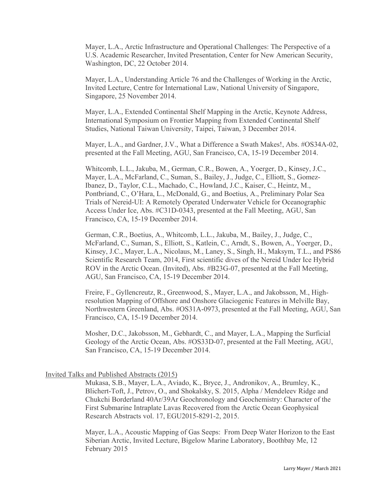Mayer, L.A., Arctic Infrastructure and Operational Challenges: The Perspective of a U.S. Academic Researcher, Invited Presentation, Center for New American Security, Washington, DC, 22 October 2014.

Mayer, L.A., Understanding Article 76 and the Challenges of Working in the Arctic, Invited Lecture, Centre for International Law, National University of Singapore, Singapore, 25 November 2014.

Mayer, L.A., Extended Continental Shelf Mapping in the Arctic, Keynote Address, International Symposium on Frontier Mapping from Extended Continental Shelf Studies, National Taiwan University, Taipei, Taiwan, 3 December 2014.

Mayer, L.A., and Gardner, J.V., What a Difference a Swath Makes!, Abs. #OS34A-02, presented at the Fall Meeting, AGU, San Francisco, CA, 15-19 December 2014.

Whitcomb, L.L., Jakuba, M., German, C.R., Bowen, A., Yoerger, D., Kinsey, J.C., Mayer, L.A., McFarland, C., Suman, S., Bailey, J., Judge, C., Elliott, S., Gomez-Ibanez, D., Taylor, C.L., Machado, C., Howland, J.C., Kaiser, C., Heintz, M., Pontbriand, C., O'Hara, L., McDonald, G., and Boetius, A., Preliminary Polar Sea Trials of Nereid-UI: A Remotely Operated Underwater Vehicle for Oceanographic Access Under Ice, Abs. #C31D-0343, presented at the Fall Meeting, AGU, San Francisco, CA, 15-19 December 2014.

German, C.R., Boetius, A., Whitcomb, L.L., Jakuba, M., Bailey, J., Judge, C., McFarland, C., Suman, S., Elliott, S., Katlein, C., Arndt, S., Bowen, A., Yoerger, D., Kinsey, J.C., Mayer, L.A., Nicolaus, M., Laney, S., Singh, H., Maksym, T.L., and PS86 Scientific Research Team, 2014, First scientific dives of the Nereid Under Ice Hybrid ROV in the Arctic Ocean. (Invited), Abs. #B23G-07, presented at the Fall Meeting, AGU, San Francisco, CA, 15-19 December 2014.

Freire, F., Gyllencreutz, R., Greenwood, S., Mayer, L.A., and Jakobsson, M., Highresolution Mapping of Offshore and Onshore Glaciogenic Features in Melville Bay, Northwestern Greenland, Abs. #OS31A-0973, presented at the Fall Meeting, AGU, San Francisco, CA, 15-19 December 2014.

Mosher, D.C., Jakobsson, M., Gebhardt, C., and Mayer, L.A., Mapping the Surficial Geology of the Arctic Ocean, Abs. #OS33D-07, presented at the Fall Meeting, AGU, San Francisco, CA, 15-19 December 2014.

# Invited Talks and Published Abstracts (2015)

Mukasa, S.B., Mayer, L.A., Aviado, K., Bryce, J., Andronikov, A., Brumley, K., Blichert-Toft, J., Petrov, O., and Shokalsky, S. 2015, Alpha / Mendeleev Ridge and Chukchi Borderland 40Ar/39Ar Geochronology and Geochemistry: Character of the First Submarine Intraplate Lavas Recovered from the Arctic Ocean Geophysical Research Abstracts vol. 17, EGU2015-8291-2, 2015.

Mayer, L.A., Acoustic Mapping of Gas Seeps: From Deep Water Horizon to the East Siberian Arctic, Invited Lecture, Bigelow Marine Laboratory, Boothbay Me, 12 February 2015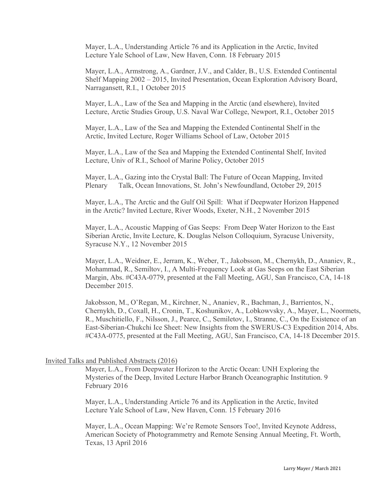Mayer, L.A., Understanding Article 76 and its Application in the Arctic, Invited Lecture Yale School of Law, New Haven, Conn. 18 February 2015

Mayer, L.A., Armstrong, A., Gardner, J.V., and Calder, B., U.S. Extended Continental Shelf Mapping 2002 – 2015, Invited Presentation, Ocean Exploration Advisory Board, Narragansett, R.I., 1 October 2015

Mayer, L.A., Law of the Sea and Mapping in the Arctic (and elsewhere), Invited Lecture, Arctic Studies Group, U.S. Naval War College, Newport, R.I., October 2015

Mayer, L.A., Law of the Sea and Mapping the Extended Continental Shelf in the Arctic, Invited Lecture, Roger Williams School of Law, October 2015

Mayer, L.A., Law of the Sea and Mapping the Extended Continental Shelf, Invited Lecture, Univ of R.I., School of Marine Policy, October 2015

Mayer, L.A., Gazing into the Crystal Ball: The Future of Ocean Mapping, Invited Plenary Talk, Ocean Innovations, St. John's Newfoundland, October 29, 2015

Mayer, L.A., The Arctic and the Gulf Oil Spill: What if Deepwater Horizon Happened in the Arctic? Invited Lecture, River Woods, Exeter, N.H., 2 November 2015

Mayer, L.A., Acoustic Mapping of Gas Seeps: From Deep Water Horizon to the East Siberian Arctic, Invite Lecture, K. Douglas Nelson Colloquium, Syracuse University, Syracuse N.Y., 12 November 2015

Mayer, L.A., Weidner, E., Jerram, K., Weber, T., Jakobsson, M., Chernykh, D., Ananiev, R., Mohammad, R., Semiltov, I., A Multi-Frequency Look at Gas Seeps on the East Siberian Margin, Abs. #C43A-0779, presented at the Fall Meeting, AGU, San Francisco, CA, 14-18 December 2015.

Jakobsson, M., O'Regan, M., Kirchner, N., Ananiev, R., Bachman, J., Barrientos, N., Chernykh, D., Coxall, H., Cronin, T., Koshunikov, A., Lobkowvsky, A., Mayer, L., Noormets, R., Muschitiello, F., Nilsson, J., Pearce, C., Semiletov, I., Stranne, C., On the Existence of an East-Siberian-Chukchi Ice Sheet: New Insights from the SWERUS-C3 Expedition 2014, Abs. #C43A-0775, presented at the Fall Meeting, AGU, San Francisco, CA, 14-18 December 2015.

# Invited Talks and Published Abstracts (2016)

Mayer, L.A., From Deepwater Horizon to the Arctic Ocean: UNH Exploring the Mysteries of the Deep, Invited Lecture Harbor Branch Oceanographic Institution. 9 February 2016

Mayer, L.A., Understanding Article 76 and its Application in the Arctic, Invited Lecture Yale School of Law, New Haven, Conn. 15 February 2016

Mayer, L.A., Ocean Mapping: We're Remote Sensors Too!, Invited Keynote Address, American Society of Photogrammetry and Remote Sensing Annual Meeting, Ft. Worth, Texas, 13 April 2016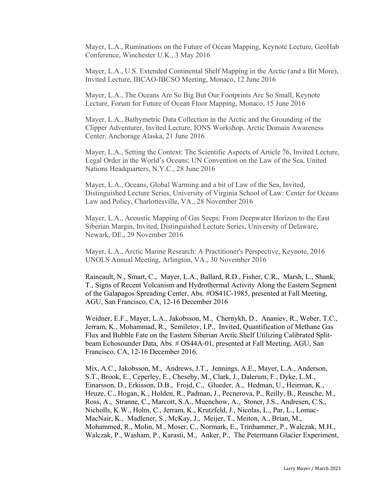Mayer, L.A., Ruminations on the Future of Ocean Mapping, Keynote Lecture, GeoHab Conference, Winchester U.K., 3 May 2016

Mayer, L.A., U.S. Extended Continental Shelf Mapping in the Arctic (and a Bit More), Invited Lecture, IBCAO-IBCSO Meeting, Monaco, 12 June 2016

Mayer, L.A., The Oceans Are So Big But Our Footprints Are So Small, Keynote Lecture, Forum for Future of Ocean Floor Mapping, Monaco, 15 June 2016

Mayer, L.A., Bathymetric Data Collection in the Arctic and the Grounding of the Clipper Adventurer, Invited Lecture, IONS Workshop, Arctic Domain Awareness Center, Anchorage Alaska, 21 June 2016

Mayer, L.A., Setting the Context: The Scientific Aspects of Article 76, Invited Lecture, Legal Order in the World's Oceans: UN Convention on the Law of the Sea, United Nations Headquarters, N.Y.C., 28 June 2016

Mayer, L.A., Oceans, Global Warming and a bit of Law of the Sea, Invited, Distinguished Lecture Series, University of Virginia School of Law: Center for Oceans Law and Policy, Charlottesville, VA., 28 November 2016

Mayer, L.A., Acoustic Mapping of Gas Seeps: From Deepwater Horizon to the East Siberian Margin, Invited, Distinguished Lecture Series, University of Delaware, Newark, DE., 29 November 2016

Mayer, L.A., Arctic Marine Research: A Practitioner's Perspective, Keynote, 2016 UNOLS Annual Meeting, Arlington, VA., 30 November 2016

Raineault, N., Smart, C., Mayer, L.A., Ballard, R.D., Fisher, C.R., Marsh, L., Shank, T., Signs of Recent Volcanism and Hydrothermal Activity Along the Eastern Segment of the Galapagos Spreading Center, Abs. #OS41C-1985, presented at Fall Meeting, AGU, San Francisco, CA, 12-16 December 2016

Weidner, E.F., Mayer, L.A., Jakobsson, M., Chernykh, D., Ananiev, R., Weber, T.C., Jerram, K., Mohammad, R., Semiletov, I.P., Invited, Quantification of Methane Gas Flux and Bubble Fate on the Eastern Siberian Arctic Shelf Utilizing Calibrated Splitbeam Echosounder Data, Abs. # OS44A-01, presented at Fall Meeting, AGU, San Francisco, CA, 12-16 December 2016.

Mix, A.C., Jakobsson, M., Andrews, J.T., Jennings, A.E., Mayer, L.A., Anderson, S.T., Brook, E., Ceperley, E., Cheseby, M., Clark, J., Dalerum, F., Dyke, L.M., Einarsson, D., Erkisson, D.B., Frojd, C., Glueder, A., Hedman, U., Heirman, K., Heuze, C., Hogan, K., Holden, R., Padman, J., Pecnerova, P., Reilly, B., Reusche, M., Ross, A., Stranne, C., Marcott, S.A., Muenchow, A., Stoner, J.S., Andresen, C.S., Nicholls, K.W., Holm, C., Jerram, K., Krutzfeld, J., Nicolas, L., Par, L., Lomac-MacNair, K., Madlener, S., McKay, J., Meijer, T., Meiton, A., Brian, M., Mohammed, R., Molin, M., Moser, C., Normark, E., Trinhammer, P., Walczak, M.H., Walczak, P., Washam, P., Karasti, M., Anker, P., The Petermann Glacier Experiment,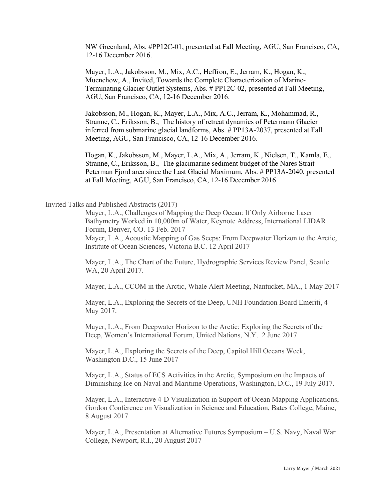NW Greenland, Abs. #PP12C-01, presented at Fall Meeting, AGU, San Francisco, CA, 12-16 December 2016.

Mayer, L.A., Jakobsson, M., Mix, A.C., Heffron, E., Jerram, K., Hogan, K., Muenchow, A., Invited, Towards the Complete Characterization of Marine-Terminating Glacier Outlet Systems, Abs. # PP12C-02, presented at Fall Meeting, AGU, San Francisco, CA, 12-16 December 2016.

Jakobsson, M., Hogan, K., Mayer, L.A., Mix, A.C., Jerram, K., Mohammad, R., Stranne, C., Eriksson, B., The history of retreat dynamics of Petermann Glacier inferred from submarine glacial landforms, Abs. # PP13A-2037, presented at Fall Meeting, AGU, San Francisco, CA, 12-16 December 2016.

Hogan, K., Jakobsson, M., Mayer, L.A., Mix, A., Jerram, K., Nielsen, T., Kamla, E., Stranne, C., Eriksson, B., The glacimarine sediment budget of the Nares Strait-Peterman Fjord area since the Last Glacial Maximum, Abs. # PP13A-2040, presented at Fall Meeting, AGU, San Francisco, CA, 12-16 December 2016

# Invited Talks and Published Abstracts (2017)

Mayer, L.A., Challenges of Mapping the Deep Ocean: If Only Airborne Laser Bathymetry Worked in 10,000m of Water, Keynote Address, International LIDAR Forum, Denver, CO. 13 Feb. 2017

Mayer, L.A., Acoustic Mapping of Gas Seeps: From Deepwater Horizon to the Arctic, Institute of Ocean Sciences, Victoria B.C. 12 April 2017

Mayer, L.A., The Chart of the Future, Hydrographic Services Review Panel, Seattle WA, 20 April 2017.

Mayer, L.A., CCOM in the Arctic, Whale Alert Meeting, Nantucket, MA., 1 May 2017

Mayer, L.A., Exploring the Secrets of the Deep, UNH Foundation Board Emeriti, 4 May 2017.

Mayer, L.A., From Deepwater Horizon to the Arctic: Exploring the Secrets of the Deep, Women's International Forum, United Nations, N.Y. 2 June 2017

Mayer, L.A., Exploring the Secrets of the Deep, Capitol Hill Oceans Week, Washington D.C., 15 June 2017

Mayer, L.A., Status of ECS Activities in the Arctic, Symposium on the Impacts of Diminishing Ice on Naval and Maritime Operations, Washington, D.C., 19 July 2017.

Mayer, L.A., Interactive 4-D Visualization in Support of Ocean Mapping Applications, Gordon Conference on Visualization in Science and Education, Bates College, Maine, 8 August 2017

Mayer, L.A., Presentation at Alternative Futures Symposium – U.S. Navy, Naval War College, Newport, R.I., 20 August 2017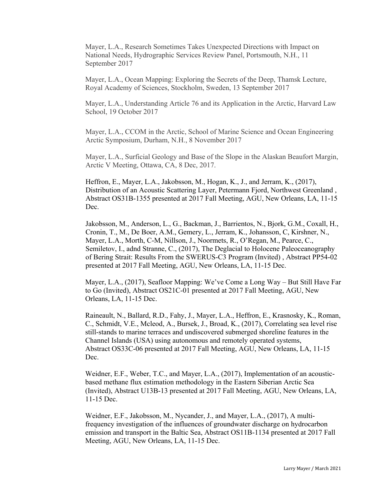Mayer, L.A., Research Sometimes Takes Unexpected Directions with Impact on National Needs, Hydrographic Services Review Panel, Portsmouth, N.H., 11 September 2017

Mayer, L.A., Ocean Mapping: Exploring the Secrets of the Deep, Thamsk Lecture, Royal Academy of Sciences, Stockholm, Sweden, 13 September 2017

Mayer, L.A., Understanding Article 76 and its Application in the Arctic, Harvard Law School, 19 October 2017

Mayer, L.A., CCOM in the Arctic, School of Marine Science and Ocean Engineering Arctic Symposium, Durham, N.H., 8 November 2017

Mayer, L.A., Surficial Geology and Base of the Slope in the Alaskan Beaufort Margin, Arctic V Meeting, Ottawa, CA, 8 Dec, 2017.

Heffron, E., Mayer, L.A., Jakobsson, M., Hogan, K., J., and Jerram, K., (2017), Distribution of an Acoustic Scattering Layer, Petermann Fjord, Northwest Greenland , Abstract OS31B-1355 presented at 2017 Fall Meeting, AGU, New Orleans, LA, 11-15 Dec.

Jakobsson, M., Anderson, L., G., Backman, J., Barrientos, N., Bjork, G.M., Coxall, H., Cronin, T., M., De Boer, A.M., Gemery, L., Jerram, K., Johansson, C, Kirshner, N., Mayer, L.A., Morth, C-M, Nillson, J., Noormets, R., O'Regan, M., Pearce, C., Semiletov, I., adnd Stranne, C., (2017), The Deglacial to Holocene Paleoceanography of Bering Strait: Results From the SWERUS-C3 Program (Invited) , Abstract PP54-02 presented at 2017 Fall Meeting, AGU, New Orleans, LA, 11-15 Dec.

Mayer, L.A., (2017), Seafloor Mapping: We've Come a Long Way – But Still Have Far to Go (Invited), Abstract OS21C-01 presented at 2017 Fall Meeting, AGU, New Orleans, LA, 11-15 Dec.

Raineault, N., Ballard, R.D., Fahy, J., Mayer, L.A., Heffron, E., Krasnosky, K., Roman, C., Schmidt, V.E., Mcleod, A., Bursek, J., Broad, K., (2017), Correlating sea level rise still-stands to marine terraces and undiscovered submerged shoreline features in the Channel Islands (USA) using autonomous and remotely operated systems, Abstract OS33C-06 presented at 2017 Fall Meeting, AGU, New Orleans, LA, 11-15 Dec.

Weidner, E.F., Weber, T.C., and Mayer, L.A., (2017), Implementation of an acousticbased methane flux estimation methodology in the Eastern Siberian Arctic Sea (Invited), Abstract U13B-13 presented at 2017 Fall Meeting, AGU, New Orleans, LA, 11-15 Dec.

Weidner, E.F., Jakobsson, M., Nycander, J., and Mayer, L.A., (2017), A multifrequency investigation of the influences of groundwater discharge on hydrocarbon emission and transport in the Baltic Sea, Abstract OS11B-1134 presented at 2017 Fall Meeting, AGU, New Orleans, LA, 11-15 Dec.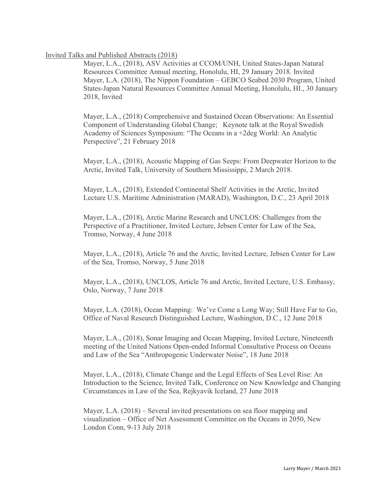# Invited Talks and Published Abstracts (2018)

Mayer, L.A., (2018), ASV Activities at CCOM/UNH, United States-Japan Natural Resources Committee Annual meeting, Honolulu, HI, 29 January 2018. Invited Mayer, L.A. (2018), The Nippon Foundation – GEBCO Seabed 2030 Program, United States-Japan Natural Resources Committee Annual Meeting, Honolulu, HI., 30 January 2018, Invited

Mayer, L.A., (2018) Comprehensive and Sustained Ocean Observations: An Essential Component of Understanding Global Change; Keynote talk at the Royal Swedish Academy of Sciences Symposium: "The Oceans in a +2deg World: An Analytic Perspective", 21 February 2018

Mayer, L.A., (2018), Acoustic Mapping of Gas Seeps: From Deepwater Horizon to the Arctic, Invited Talk, University of Southern Mississippi, 2 March 2018.

Mayer, L.A., (2018), Extended Continental Shelf Activities in the Arctic, Invited Lecture U.S. Maritime Administration (MARAD), Washington, D.C., 23 April 2018

Mayer, L.A., (2018), Arctic Marine Research and UNCLOS: Challenges from the Perspective of a Practitioner, Invited Lecture, Jebsen Center for Law of the Sea, Tromso, Norway, 4 June 2018

Mayer, L.A., (2018), Article 76 and the Arctic, Invited Lecture, Jebsen Center for Law of the Sea, Tromso, Norway, 5 June 2018

Mayer, L.A., (2018), UNCLOS, Article 76 and Arctic, Invited Lecture, U.S. Embassy, Oslo, Norway, 7 June 2018

Mayer, L.A. (2018), Ocean Mapping: We've Come a Long Way; Still Have Far to Go, Office of Naval Research Distinguished Lecture, Washington, D.C., 12 June 2018

Mayer, L.A., (2018), Sonar Imaging and Ocean Mapping, Invited Lecture, Nineteenth meeting of the United Nations Open-ended Informal Consultative Process on Oceans and Law of the Sea "Anthropogenic Underwater Noise", 18 June 2018

Mayer, L.A., (2018), Climate Change and the Legal Effects of Sea Level Rise: An Introduction to the Science, Invited Talk, Conference on New Knowledge and Changing Circumstances in Law of the Sea, Rejkyavik Iceland, 27 June 2018

Mayer, L.A. (2018) – Several invited presentations on sea floor mapping and visualization – Office of Net Assessment Committee on the Oceans in 2050, New London Conn, 9-13 July 2018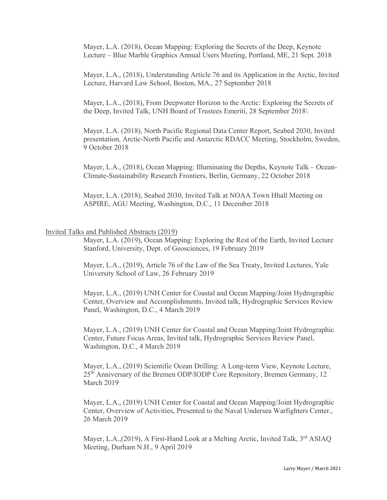Mayer, L.A. (2018), Ocean Mapping: Exploring the Secrets of the Deep, Keynote Lecture – Blue Marble Graphics Annual Users Meeting, Portland, ME, 21 Sept. 2018

Mayer, L.A., (2018), Understanding Article 76 and its Application in the Arctic, Invited Lecture, Harvard Law School, Boston, MA., 27 September 2018

Mayer, L.A., (2018), From Deepwater Horizon to the Arctic: Exploring the Secrets of the Deep, Invited Talk, UNH Board of Trustees Emeriti, 28 September 2018\

Mayer, L.A. (2018), North Pacific Regional Data Center Report, Seabed 2030, Invited presentation, Arctic-North Pacific and Antarctic RDACC Meeting, Stockholm, Sweden, 9 October 2018

Mayer, L.A., (2018), Ocean Mapping: Illuminating the Depths, Keynote Talk – Ocean-Climate-Sustainability Research Frontiers, Berlin, Germany, 22 October 2018

Mayer, L.A. (2018), Seabed 2030, Invited Talk at NOAA Town Hhall Meeting on ASPIRE, AGU Meeting, Washington, D.C., 11 December 2018

# Invited Talks and Published Abstracts (2019)

Mayer, L.A. (2019), Ocean Mapping: Exploring the Rest of the Earth, Invited Lecture Stanford, University, Dept. of Geosciences, 19 February 2019

Mayer, L.A., (2019), Article 76 of the Law of the Sea Treaty, Invited Lectures, Yale University School of Law, 26 February 2019

Mayer, L.A., (2019) UNH Center for Coastal and Ocean Mapping/Joint Hydrographic Center, Overview and Accomplishments, Invited talk, Hydrographic Services Review Panel, Washington, D.C., 4 March 2019

Mayer, L.A., (2019) UNH Center for Coastal and Ocean Mapping/Joint Hydrographic Center, Future Focus Areas, Invited talk, Hydrographic Services Review Panel, Washington, D.C., 4 March 2019

Mayer, L.A., (2019) Scientific Ocean Drilling: A Long-term View, Keynote Lecture, 25<sup>th</sup> Anniversary of the Bremen ODP/IODP Core Repository, Bremen Germany, 12 March 2019

Mayer, L.A., (2019) UNH Center for Coastal and Ocean Mapping/Joint Hydrographic Center, Overview of Activities, Presented to the Naval Undersea Warfighters Center., 26 March 2019

Mayer, L.A., (2019), A First-Hand Look at a Melting Arctic, Invited Talk, 3<sup>rd</sup> ASIAQ Meeting, Durham N.H., 9 April 2019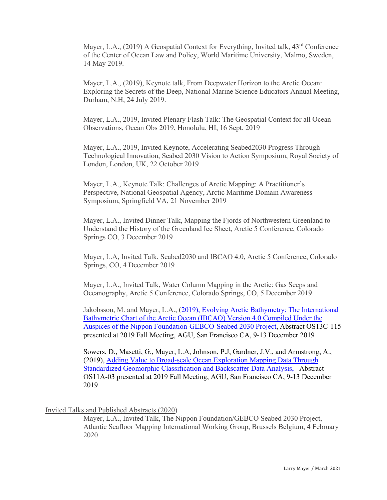Mayer, L.A., (2019) A Geospatial Context for Everything, Invited talk, 43<sup>rd</sup> Conference of the Center of Ocean Law and Policy, World Maritime University, Malmo, Sweden, 14 May 2019.

Mayer, L.A., (2019), Keynote talk, From Deepwater Horizon to the Arctic Ocean: Exploring the Secrets of the Deep, National Marine Science Educators Annual Meeting, Durham, N.H, 24 July 2019.

Mayer, L.A., 2019, Invited Plenary Flash Talk: The Geospatial Context for all Ocean Observations, Ocean Obs 2019, Honolulu, HI, 16 Sept. 2019

Mayer, L.A., 2019, Invited Keynote, Accelerating Seabed2030 Progress Through Technological Innovation, Seabed 2030 Vision to Action Symposium, Royal Society of London, London, UK, 22 October 2019

Mayer, L.A., Keynote Talk: Challenges of Arctic Mapping: A Practitioner's Perspective, National Geospatial Agency, Arctic Maritime Domain Awareness Symposium, Springfield VA, 21 November 2019

Mayer, L.A., Invited Dinner Talk, Mapping the Fjords of Northwestern Greenland to Understand the History of the Greenland Ice Sheet, Arctic 5 Conference, Colorado Springs CO, 3 December 2019

Mayer, L.A, Invited Talk, Seabed2030 and IBCAO 4.0, Arctic 5 Conference, Colorado Springs, CO, 4 December 2019

Mayer, L.A., Invited Talk, Water Column Mapping in the Arctic: Gas Seeps and Oceanography, Arctic 5 Conference, Colorado Springs, CO, 5 December 2019

Jakobsson, M. and Mayer, L.A., [\(2019\), Evolving Arctic Bathymetry: The International](https://agu.confex.com/agu/fm19/meetingapp.cgi/Paper/575093)  [Bathymetric Chart of the Arctic Ocean \(IBCAO\) Version 4.0 Compiled Under the](https://agu.confex.com/agu/fm19/meetingapp.cgi/Paper/575093)  [Auspices of the Nippon Foundation-GEBCO-Seabed 2030 Project,](https://agu.confex.com/agu/fm19/meetingapp.cgi/Paper/575093) Abstract OS13C-115 presented at 2019 Fall Meeting, AGU, San Francisco CA, 9-13 December 2019

Sowers, D., Masetti, G., Mayer, L.A, Johnson, P.J, Gardner, J.V., and Armstrong, A., (2019), [Adding Value to Broad-scale Ocean Exploration Mapping Data Through](https://agu.confex.com/agu/fm19/meetingapp.cgi/Paper/613245)  [Standardized Geomorphic Classification and Backscatter Data Analysis,](https://agu.confex.com/agu/fm19/meetingapp.cgi/Paper/613245) Abstract OS11A-03 presented at 2019 Fall Meeting, AGU, San Francisco CA, 9-13 December 2019

Invited Talks and Published Abstracts (2020)

Mayer, L.A., Invited Talk, The Nippon Foundation/GEBCO Seabed 2030 Project, Atlantic Seafloor Mapping International Working Group, Brussels Belgium, 4 February 2020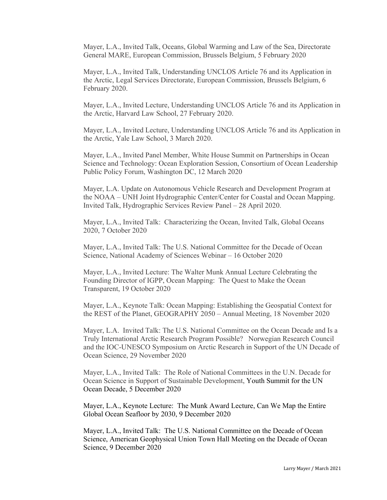Mayer, L.A., Invited Talk, Oceans, Global Warming and Law of the Sea, Directorate General MARE, European Commission, Brussels Belgium, 5 February 2020

Mayer, L.A., Invited Talk, Understanding UNCLOS Article 76 and its Application in the Arctic, Legal Services Directorate, European Commission, Brussels Belgium, 6 February 2020.

Mayer, L.A., Invited Lecture, Understanding UNCLOS Article 76 and its Application in the Arctic, Harvard Law School, 27 February 2020.

Mayer, L.A., Invited Lecture, Understanding UNCLOS Article 76 and its Application in the Arctic, Yale Law School, 3 March 2020.

Mayer, L.A., Invited Panel Member, White House Summit on Partnerships in Ocean Science and Technology: Ocean Exploration Session, Consortium of Ocean Leadership Public Policy Forum, Washington DC, 12 March 2020

Mayer, L.A. Update on Autonomous Vehicle Research and Development Program at the NOAA – UNH Joint Hydrographic Center/Center for Coastal and Ocean Mapping. Invited Talk, Hydrographic Services Review Panel – 28 April 2020.

Mayer, L.A., Invited Talk: Characterizing the Ocean, Invited Talk, Global Oceans 2020, 7 October 2020

Mayer, L.A., Invited Talk: The U.S. National Committee for the Decade of Ocean Science, National Academy of Sciences Webinar – 16 October 2020

Mayer, L.A., Invited Lecture: The Walter Munk Annual Lecture Celebrating the Founding Director of IGPP, Ocean Mapping: The Quest to Make the Ocean Transparent, 19 October 2020

Mayer, L.A., Keynote Talk: Ocean Mapping: Establishing the Geospatial Context for the REST of the Planet, GEOGRAPHY 2050 – Annual Meeting, 18 November 2020

Mayer, L.A. Invited Talk: The U.S. National Committee on the Ocean Decade and Is a Truly International Arctic Research Program Possible? Norwegian Research Council and the IOC-UNESCO Symposium on Arctic Research in Support of the UN Decade of Ocean Science, 29 November 2020

Mayer, L.A., Invited Talk: The Role of National Committees in the U.N. Decade for Ocean Science in Support of Sustainable Development, Youth Summit for the UN Ocean Decade, 5 December 2020

Mayer, L.A., Keynote Lecture: The Munk Award Lecture, Can We Map the Entire Global Ocean Seafloor by 2030, 9 December 2020

Mayer, L.A., Invited Talk: The U.S. National Committee on the Decade of Ocean Science, American Geophysical Union Town Hall Meeting on the Decade of Ocean Science, 9 December 2020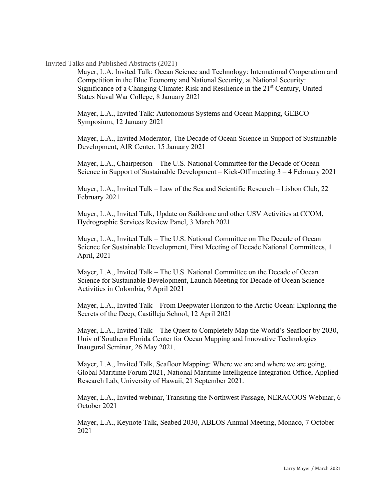# Invited Talks and Published Abstracts (2021)

Mayer, L.A. Invited Talk: Ocean Science and Technology: International Cooperation and Competition in the Blue Economy and National Security, at National Security: Significance of a Changing Climate: Risk and Resilience in the 21st Century, United States Naval War College, 8 January 2021

Mayer, L.A., Invited Talk: Autonomous Systems and Ocean Mapping, GEBCO Symposium, 12 January 2021

Mayer, L.A., Invited Moderator, The Decade of Ocean Science in Support of Sustainable Development, AIR Center, 15 January 2021

Mayer, L.A., Chairperson – The U.S. National Committee for the Decade of Ocean Science in Support of Sustainable Development – Kick-Off meeting 3 – 4 February 2021

Mayer, L.A., Invited Talk – Law of the Sea and Scientific Research – Lisbon Club, 22 February 2021

Mayer, L.A., Invited Talk, Update on Saildrone and other USV Activities at CCOM, Hydrographic Services Review Panel, 3 March 2021

Mayer, L.A., Invited Talk – The U.S. National Committee on The Decade of Ocean Science for Sustainable Development, First Meeting of Decade National Committees, 1 April, 2021

Mayer, L.A., Invited Talk – The U.S. National Committee on the Decade of Ocean Science for Sustainable Development, Launch Meeting for Decade of Ocean Science Activities in Colombia, 9 April 2021

Mayer, L.A., Invited Talk – From Deepwater Horizon to the Arctic Ocean: Exploring the Secrets of the Deep, Castilleja School, 12 April 2021

Mayer, L.A., Invited Talk – The Quest to Completely Map the World's Seafloor by 2030, Univ of Southern Florida Center for Ocean Mapping and Innovative Technologies Inaugural Seminar, 26 May 2021.

Mayer, L.A., Invited Talk, Seafloor Mapping: Where we are and where we are going, Global Maritime Forum 2021, National Maritime Intelligence Integration Office, Applied Research Lab, University of Hawaii, 21 September 2021.

Mayer, L.A., Invited webinar, Transiting the Northwest Passage, NERACOOS Webinar, 6 October 2021

Mayer, L.A., Keynote Talk, Seabed 2030, ABLOS Annual Meeting, Monaco, 7 October 2021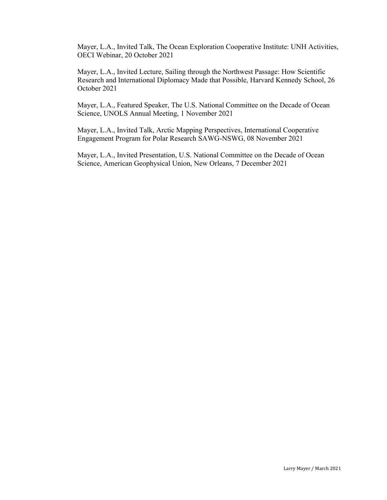Mayer, L.A., Invited Talk, The Ocean Exploration Cooperative Institute: UNH Activities, OECI Webinar, 20 October 2021

Mayer, L.A., Invited Lecture, Sailing through the Northwest Passage: How Scientific Research and International Diplomacy Made that Possible, Harvard Kennedy School, 26 October 2021

Mayer, L.A., Featured Speaker, The U.S. National Committee on the Decade of Ocean Science, UNOLS Annual Meeting, 1 November 2021

Mayer, L.A., Invited Talk, Arctic Mapping Perspectives, International Cooperative Engagement Program for Polar Research SAWG-NSWG, 08 November 2021

Mayer, L.A., Invited Presentation, U.S. National Committee on the Decade of Ocean Science, American Geophysical Union, New Orleans, 7 December 2021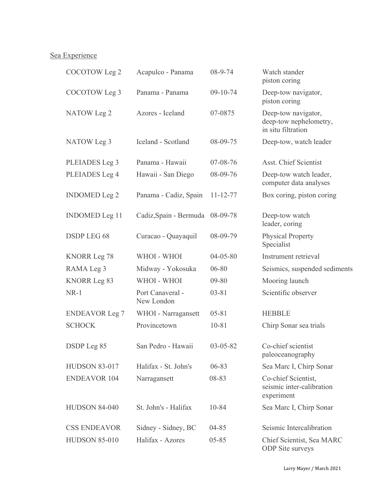# Sea Experience

| COCOTOW Leg 2         | Acapulco - Panama              | $08 - 9 - 74$  | Watch stander<br>piston coring                                      |
|-----------------------|--------------------------------|----------------|---------------------------------------------------------------------|
| COCOTOW Leg 3         | Panama - Panama                | 09-10-74       | Deep-tow navigator,<br>piston coring                                |
| NATOW Leg 2           | Azores - Iceland               | 07-0875        | Deep-tow navigator,<br>deep-tow nephelometry,<br>in situ filtration |
| NATOW Leg 3           | Iceland - Scotland             | 08-09-75       | Deep-tow, watch leader                                              |
| PLEIADES Leg 3        | Panama - Hawaii                | $07 - 08 - 76$ | Asst. Chief Scientist                                               |
| PLEIADES Leg 4        | Hawaii - San Diego             | 08-09-76       | Deep-tow watch leader,<br>computer data analyses                    |
| <b>INDOMED</b> Leg 2  | Panama - Cadiz, Spain          | $11 - 12 - 77$ | Box coring, piston coring                                           |
| <b>INDOMED</b> Leg 11 | Cadiz, Spain - Bermuda         | 08-09-78       | Deep-tow watch<br>leader, coring                                    |
| <b>DSDP LEG 68</b>    | Curacao - Quayaquil            | 08-09-79       | <b>Physical Property</b><br>Specialist                              |
| <b>KNORR Leg 78</b>   | WHOI - WHOI                    | $04 - 05 - 80$ | Instrument retrieval                                                |
| RAMA Leg 3            | Midway - Yokosuka              | 06-80          | Seismics, suspended sediments                                       |
| <b>KNORR Leg 83</b>   | WHOI - WHOI                    | 09-80          | Mooring launch                                                      |
| $NR-1$                | Port Canaveral -<br>New London | $03 - 81$      | Scientific observer                                                 |
| <b>ENDEAVOR Leg 7</b> | WHOI - Narragansett            | $05 - 81$      | <b>HEBBLE</b>                                                       |
| <b>SCHOCK</b>         | Provincetown                   | $10 - 81$      | Chirp Sonar sea trials                                              |
| DSDP Leg 85           | San Pedro - Hawaii             | $03 - 05 - 82$ | Co-chief scientist<br>paleoceanography                              |
| <b>HUDSON 83-017</b>  | Halifax - St. John's           | 06-83          | Sea Marc I, Chirp Sonar                                             |
| <b>ENDEAVOR 104</b>   | Narragansett                   | 08-83          | Co-chief Scientist,<br>seismic inter-calibration<br>experiment      |
| <b>HUDSON 84-040</b>  | St. John's - Halifax           | 10-84          | Sea Marc I, Chirp Sonar                                             |
| <b>CSS ENDEAVOR</b>   | Sidney - Sidney, BC            | $04 - 85$      | Seismic Intercalibration                                            |
| <b>HUDSON 85-010</b>  | Halifax - Azores               | $05 - 85$      | Chief Scientist, Sea MARC<br><b>ODP</b> Site surveys                |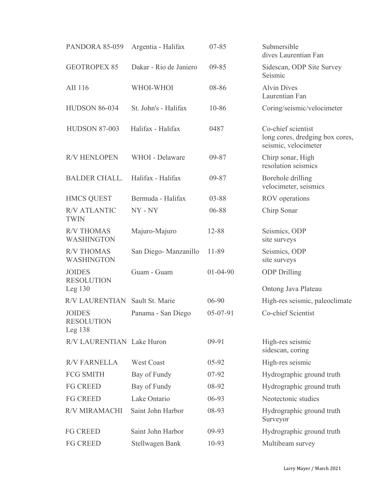| PANDORA 85-059                                  | Argentia - Halifax     | $07 - 85$      | Submersible<br>dives Laurentian Fan                                           |  |
|-------------------------------------------------|------------------------|----------------|-------------------------------------------------------------------------------|--|
| <b>GEOTROPEX 85</b>                             | Dakar - Rio de Janiero | $09 - 85$      | Sidescan, ODP Site Survey<br>Seismic                                          |  |
| AII 116                                         | WHOI-WHOI              | 08-86          | <b>Alvin Dives</b><br>Laurentian Fan                                          |  |
| <b>HUDSON 86-034</b>                            | St. John's - Halifax   | 10-86          | Coring/seismic/velocimeter                                                    |  |
| <b>HUDSON 87-003</b>                            | Halifax - Halifax      | 0487           | Co-chief scientist<br>long cores, dredging box cores,<br>seismic, velocimeter |  |
| <b>R/V HENLOPEN</b>                             | WHOI - Delaware        | 09-87          | Chirp sonar, High<br>resolution seismics                                      |  |
| <b>BALDER CHALL.</b>                            | Halifax - Halifax      | 09-87          | Borehole drilling<br>velocimeter, seismics                                    |  |
| <b>HMCS QUEST</b>                               | Bermuda - Halifax      | 03-88          | ROV operations                                                                |  |
| <b>R/V ATLANTIC</b><br><b>TWIN</b>              | NY - NY                | 06-88          | Chirp Sonar                                                                   |  |
| <b>R/V THOMAS</b><br><b>WASHINGTON</b>          | Majuro-Majuro          | 12-88          | Seismics, ODP<br>site surveys                                                 |  |
| <b>R/V THOMAS</b><br><b>WASHINGTON</b>          | San Diego- Manzanillo  | 11-89          | Seismics, ODP<br>site surveys                                                 |  |
| <b>JOIDES</b><br><b>RESOLUTION</b><br>Leg $130$ | Guam - Guam            | $01 - 04 - 90$ | <b>ODP</b> Drilling<br>Ontong Java Plateau                                    |  |
| R/V LAURENTIAN Sault St. Marie                  |                        | 06-90          | High-res seismic, paleoclimate                                                |  |
| <b>JOIDES</b><br><b>RESOLUTION</b><br>Leg $138$ | Panama - San Diego     | 05-07-91       | Co-chief Scientist                                                            |  |
| R/V LAURENTIAN Lake Huron                       |                        | $09-91$        | High-res seismic<br>sidescan, coring                                          |  |
| <b>R/V FARNELLA</b>                             | <b>West Coast</b>      | $05 - 92$      | High-res seismic                                                              |  |
| <b>FCG SMITH</b>                                | Bay of Fundy           | 07-92          | Hydrographic ground truth                                                     |  |
| <b>FG CREED</b>                                 | Bay of Fundy           | 08-92          | Hydrographic ground truth                                                     |  |
| <b>FG CREED</b>                                 | Lake Ontario           | 06-93          | Neotectonic studies                                                           |  |
| R/V MIRAMACHI                                   | Saint John Harbor      | 08-93          | Hydrographic ground truth<br>Surveyor                                         |  |
| <b>FG CREED</b>                                 | Saint John Harbor      | $09-93$        | Hydrographic ground truth                                                     |  |
| <b>FG CREED</b>                                 | Stellwagen Bank        | 10-93          | Multibeam survey                                                              |  |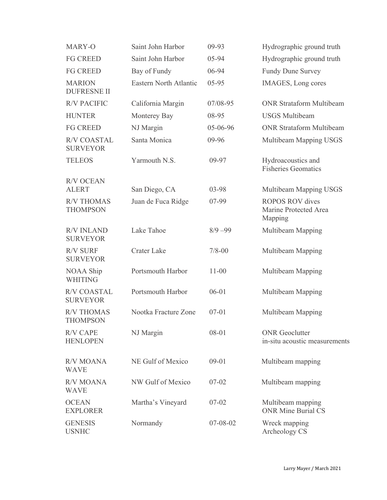| MARY-O                                | Saint John Harbor      | 09-93      | Hydrographic ground truth                                  |
|---------------------------------------|------------------------|------------|------------------------------------------------------------|
| <b>FG CREED</b>                       | Saint John Harbor      | 05-94      | Hydrographic ground truth                                  |
| <b>FG CREED</b>                       | Bay of Fundy           | 06-94      | <b>Fundy Dune Survey</b>                                   |
| <b>MARION</b><br><b>DUFRESNE II</b>   | Eastern North Atlantic | $05 - 95$  | IMAGES, Long cores                                         |
| <b>R/V PACIFIC</b>                    | California Margin      | 07/08-95   | <b>ONR Strataform Multibeam</b>                            |
| <b>HUNTER</b>                         | Monterey Bay           | 08-95      | <b>USGS Multibeam</b>                                      |
| <b>FG CREED</b>                       | NJ Margin              | 05-06-96   | <b>ONR Strataform Multibeam</b>                            |
| <b>R/V COASTAL</b><br><b>SURVEYOR</b> | Santa Monica           | 09-96      | Multibeam Mapping USGS                                     |
| <b>TELEOS</b>                         | Yarmouth N.S.          | 09-97      | Hydroacoustics and<br><b>Fisheries Geomatics</b>           |
| <b>R/V OCEAN</b><br><b>ALERT</b>      | San Diego, CA          | 03-98      | Multibeam Mapping USGS                                     |
| <b>R/V THOMAS</b><br><b>THOMPSON</b>  | Juan de Fuca Ridge     | 07-99      | <b>ROPOS ROV</b> dives<br>Marine Protected Area<br>Mapping |
| <b>R/V INLAND</b><br><b>SURVEYOR</b>  | Lake Tahoe             | $8/9 - 99$ | Multibeam Mapping                                          |
| <b>R/V SURF</b><br><b>SURVEYOR</b>    | <b>Crater Lake</b>     | $7/8 - 00$ | Multibeam Mapping                                          |
| NOAA Ship<br><b>WHITING</b>           | Portsmouth Harbor      | $11 - 00$  | Multibeam Mapping                                          |
| <b>R/V COASTAL</b><br><b>SURVEYOR</b> | Portsmouth Harbor      | $06 - 01$  | Multibeam Mapping                                          |
| <b>R/V THOMAS</b><br><b>THOMPSON</b>  | Nootka Fracture Zone   | $07 - 01$  | Multibeam Mapping                                          |
| <b>R/V CAPE</b><br><b>HENLOPEN</b>    | NJ Margin              | 08-01      | <b>ONR</b> Geoclutter<br>in-situ acoustic measurements     |
| <b>R/V MOANA</b><br><b>WAVE</b>       | NE Gulf of Mexico      | $09 - 01$  | Multibeam mapping                                          |
| <b>R/V MOANA</b><br><b>WAVE</b>       | NW Gulf of Mexico      | $07 - 02$  | Multibeam mapping                                          |
| <b>OCEAN</b><br><b>EXPLORER</b>       | Martha's Vineyard      | $07 - 02$  | Multibeam mapping<br><b>ONR Mine Burial CS</b>             |
| <b>GENESIS</b><br><b>USNHC</b>        | Normandy               | 07-08-02   | Wreck mapping<br>Archeology CS                             |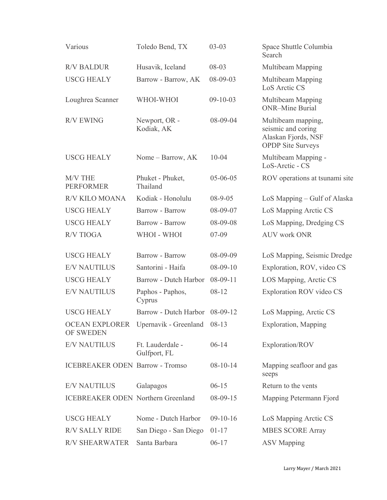| Various                                   | Toledo Bend, TX                            | $03 - 03$      | Space Shuttle Columbia<br>Search                                                            |  |
|-------------------------------------------|--------------------------------------------|----------------|---------------------------------------------------------------------------------------------|--|
| <b>R/V BALDUR</b>                         | Husavik, Iceland                           | 08-03          | Multibeam Mapping                                                                           |  |
| <b>USCG HEALY</b>                         | Barrow - Barrow, AK                        | 08-09-03       | Multibeam Mapping<br>LoS Arctic CS                                                          |  |
| Loughrea Scanner                          | WHOI-WHOI                                  | $09-10-03$     | Multibeam Mapping<br><b>ONR-Mine Burial</b>                                                 |  |
| <b>R/V EWING</b>                          | Newport, OR -<br>Kodiak, AK                | 08-09-04       | Multibeam mapping,<br>seismic and coring<br>Alaskan Fjords, NSF<br><b>OPDP</b> Site Surveys |  |
| <b>USCG HEALY</b>                         | Nome – Barrow, AK                          | $10 - 04$      | Multibeam Mapping -<br>LoS-Arctic - CS                                                      |  |
| M/V THE<br><b>PERFORMER</b>               | Phuket - Phuket,<br>Thailand               | 05-06-05       | ROV operations at tsunami site                                                              |  |
| R/V KILO MOANA                            | Kodiak - Honolulu                          | $08 - 9 - 05$  | LoS Mapping – Gulf of Alaska                                                                |  |
| <b>USCG HEALY</b>                         | <b>Barrow - Barrow</b>                     | 08-09-07       | LoS Mapping Arctic CS                                                                       |  |
| <b>USCG HEALY</b>                         | <b>Barrow - Barrow</b>                     | 08-09-08       | LoS Mapping, Dredging CS                                                                    |  |
| <b>R/V TIOGA</b>                          | WHOI - WHOI                                | $07 - 09$      | <b>AUV work ONR</b>                                                                         |  |
| <b>USCG HEALY</b>                         | <b>Barrow - Barrow</b>                     | 08-09-09       | LoS Mapping, Seismic Dredge                                                                 |  |
| <b>E/V NAUTILUS</b>                       | Santorini - Haifa                          | $08 - 09 - 10$ | Exploration, ROV, video CS                                                                  |  |
| <b>USCG HEALY</b>                         | Barrow - Dutch Harbor                      | $08-09-11$     | LOS Mapping, Arctic CS                                                                      |  |
| <b>E/V NAUTILUS</b>                       | Paphos - Paphos,<br>Cyprus                 | 08-12          | Exploration ROV video CS                                                                    |  |
| <b>USCG HEALY</b>                         | Barrow - Dutch Harbor 08-09-12             |                | LoS Mapping, Arctic CS                                                                      |  |
| OF SWEDEN                                 | OCEAN EXPLORER Upernavik - Greenland 08-13 |                | <b>Exploration</b> , Mapping                                                                |  |
| <b>E/V NAUTILUS</b>                       | Ft. Lauderdale -<br>Gulfport, FL           | $06 - 14$      | Exploration/ROV                                                                             |  |
| <b>ICEBREAKER ODEN Barrow - Tromso</b>    |                                            | $08 - 10 - 14$ | Mapping seafloor and gas<br>seeps                                                           |  |
| <b>E/V NAUTILUS</b>                       | Galapagos                                  | $06 - 15$      | Return to the vents                                                                         |  |
| <b>ICEBREAKER ODEN Northern Greenland</b> |                                            | $08 - 09 - 15$ | Mapping Petermann Fjord                                                                     |  |
| <b>USCG HEALY</b>                         | Nome - Dutch Harbor                        | $09-10-16$     | LoS Mapping Arctic CS                                                                       |  |
| <b>R/V SALLY RIDE</b>                     | San Diego - San Diego                      | $01 - 17$      | <b>MBES SCORE Array</b>                                                                     |  |
| <b>R/V SHEARWATER</b>                     | Santa Barbara                              | $06 - 17$      | <b>ASV Mapping</b>                                                                          |  |